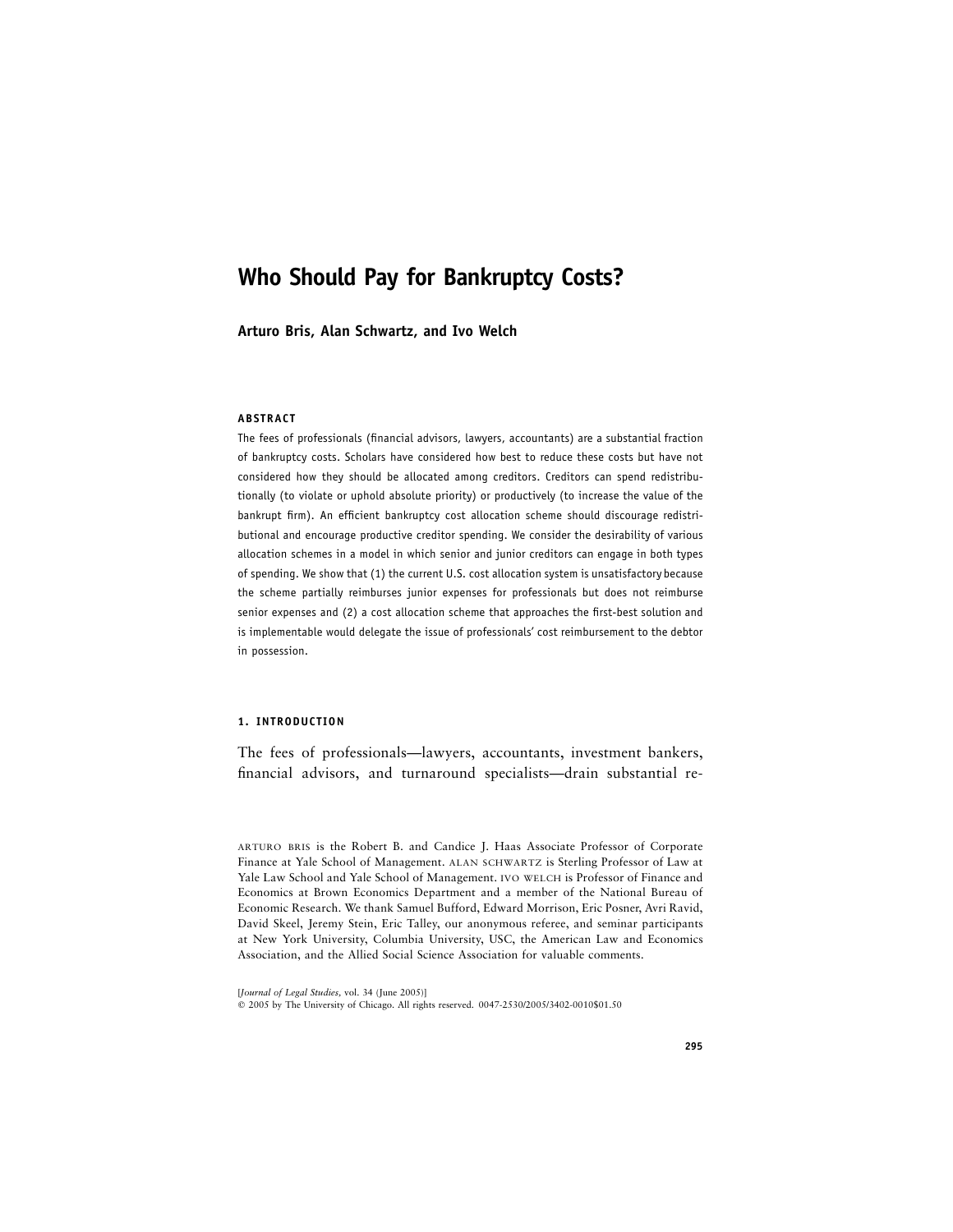# **Who Should Pay for Bankruptcy Costs?**

**Arturo Bris, Alan Schwartz, and Ivo Welch**

### **ABSTRACT**

The fees of professionals (financial advisors, lawyers, accountants) are a substantial fraction of bankruptcy costs. Scholars have considered how best to reduce these costs but have not considered how they should be allocated among creditors. Creditors can spend redistributionally (to violate or uphold absolute priority) or productively (to increase the value of the bankrupt firm). An efficient bankruptcy cost allocation scheme should discourage redistributional and encourage productive creditor spending. We consider the desirability of various allocation schemes in a model in which senior and junior creditors can engage in both types of spending. We show that (1) the current U.S. cost allocation system is unsatisfactory because the scheme partially reimburses junior expenses for professionals but does not reimburse senior expenses and (2) a cost allocation scheme that approaches the first-best solution and is implementable would delegate the issue of professionals' cost reimbursement to the debtor in possession.

### **1. INTRODUCTION**

The fees of professionals—lawyers, accountants, investment bankers, financial advisors, and turnaround specialists—drain substantial re-

ARTURO BRIS is the Robert B. and Candice J. Haas Associate Professor of Corporate Finance at Yale School of Management. ALAN SCHWARTZ is Sterling Professor of Law at Yale Law School and Yale School of Management. IVO WELCH is Professor of Finance and Economics at Brown Economics Department and a member of the National Bureau of Economic Research. We thank Samuel Bufford, Edward Morrison, Eric Posner, Avri Ravid, David Skeel, Jeremy Stein, Eric Talley, our anonymous referee, and seminar participants at New York University, Columbia University, USC, the American Law and Economics Association, and the Allied Social Science Association for valuable comments.

[*Journal of Legal Studies,* vol. 34 (June 2005)]

2005 by The University of Chicago. All rights reserved. 0047-2530/2005/3402-0010\$01.50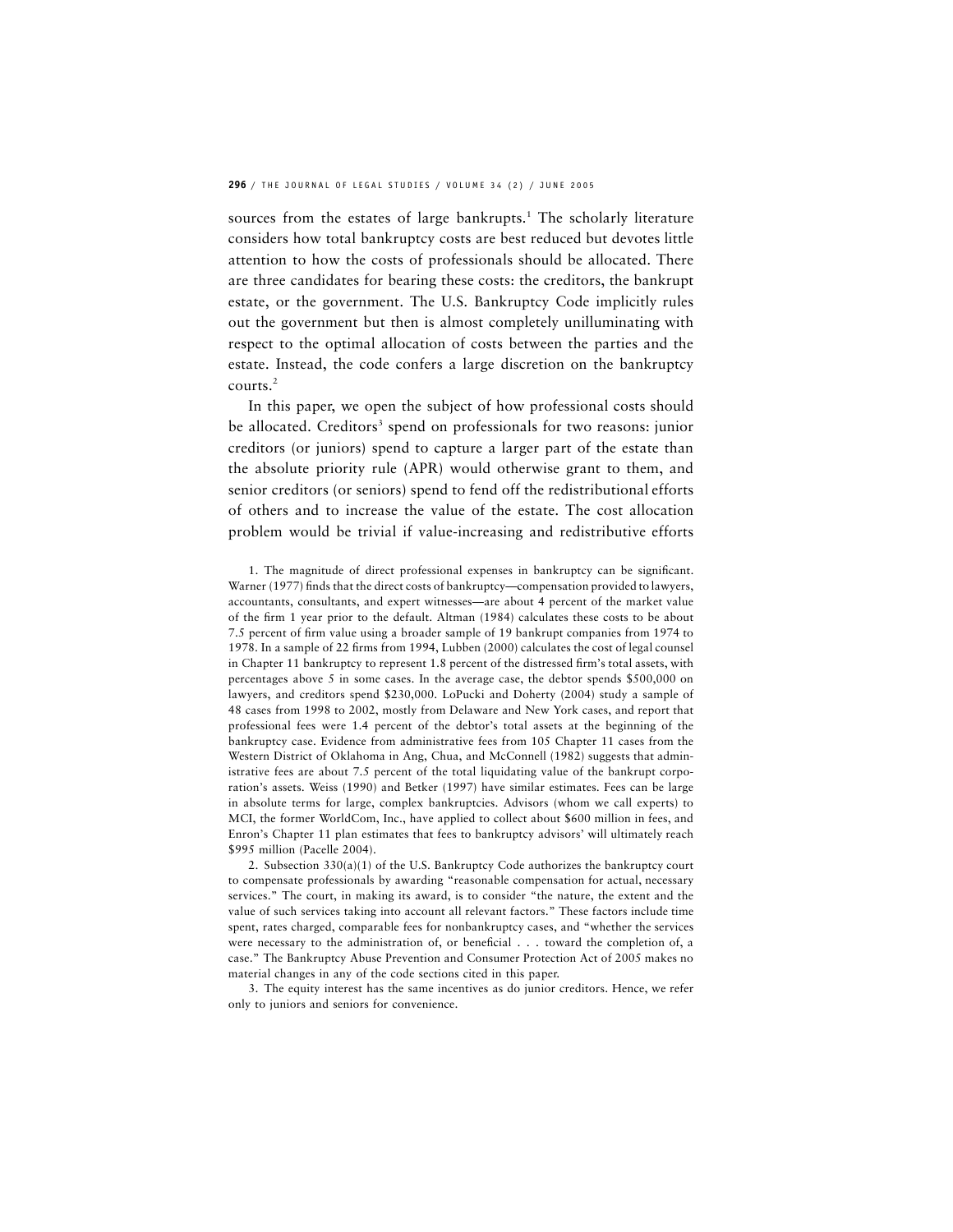sources from the estates of large bankrupts.<sup>1</sup> The scholarly literature considers how total bankruptcy costs are best reduced but devotes little attention to how the costs of professionals should be allocated. There are three candidates for bearing these costs: the creditors, the bankrupt estate, or the government. The U.S. Bankruptcy Code implicitly rules out the government but then is almost completely unilluminating with respect to the optimal allocation of costs between the parties and the estate. Instead, the code confers a large discretion on the bankruptcy courts.<sup>2</sup>

In this paper, we open the subject of how professional costs should be allocated. Creditors<sup>3</sup> spend on professionals for two reasons: junior creditors (or juniors) spend to capture a larger part of the estate than the absolute priority rule (APR) would otherwise grant to them, and senior creditors (or seniors) spend to fend off the redistributional efforts of others and to increase the value of the estate. The cost allocation problem would be trivial if value-increasing and redistributive efforts

2. Subsection 330(a)(1) of the U.S. Bankruptcy Code authorizes the bankruptcy court to compensate professionals by awarding "reasonable compensation for actual, necessary services." The court, in making its award, is to consider "the nature, the extent and the value of such services taking into account all relevant factors." These factors include time spent, rates charged, comparable fees for nonbankruptcy cases, and "whether the services were necessary to the administration of, or beneficial . . . toward the completion of, a case." The Bankruptcy Abuse Prevention and Consumer Protection Act of 2005 makes no material changes in any of the code sections cited in this paper.

3. The equity interest has the same incentives as do junior creditors. Hence, we refer only to juniors and seniors for convenience.

<sup>1.</sup> The magnitude of direct professional expenses in bankruptcy can be significant. Warner (1977) finds that the direct costs of bankruptcy—compensation provided to lawyers, accountants, consultants, and expert witnesses—are about 4 percent of the market value of the firm 1 year prior to the default. Altman (1984) calculates these costs to be about 7.5 percent of firm value using a broader sample of 19 bankrupt companies from 1974 to 1978. In a sample of 22 firms from 1994, Lubben (2000) calculates the cost of legal counsel in Chapter 11 bankruptcy to represent 1.8 percent of the distressed firm's total assets, with percentages above 5 in some cases. In the average case, the debtor spends \$500,000 on lawyers, and creditors spend \$230,000. LoPucki and Doherty (2004) study a sample of 48 cases from 1998 to 2002, mostly from Delaware and New York cases, and report that professional fees were 1.4 percent of the debtor's total assets at the beginning of the bankruptcy case. Evidence from administrative fees from 105 Chapter 11 cases from the Western District of Oklahoma in Ang, Chua, and McConnell (1982) suggests that administrative fees are about 7.5 percent of the total liquidating value of the bankrupt corporation's assets. Weiss (1990) and Betker (1997) have similar estimates. Fees can be large in absolute terms for large, complex bankruptcies. Advisors (whom we call experts) to MCI, the former WorldCom, Inc., have applied to collect about \$600 million in fees, and Enron's Chapter 11 plan estimates that fees to bankruptcy advisors' will ultimately reach \$995 million (Pacelle 2004).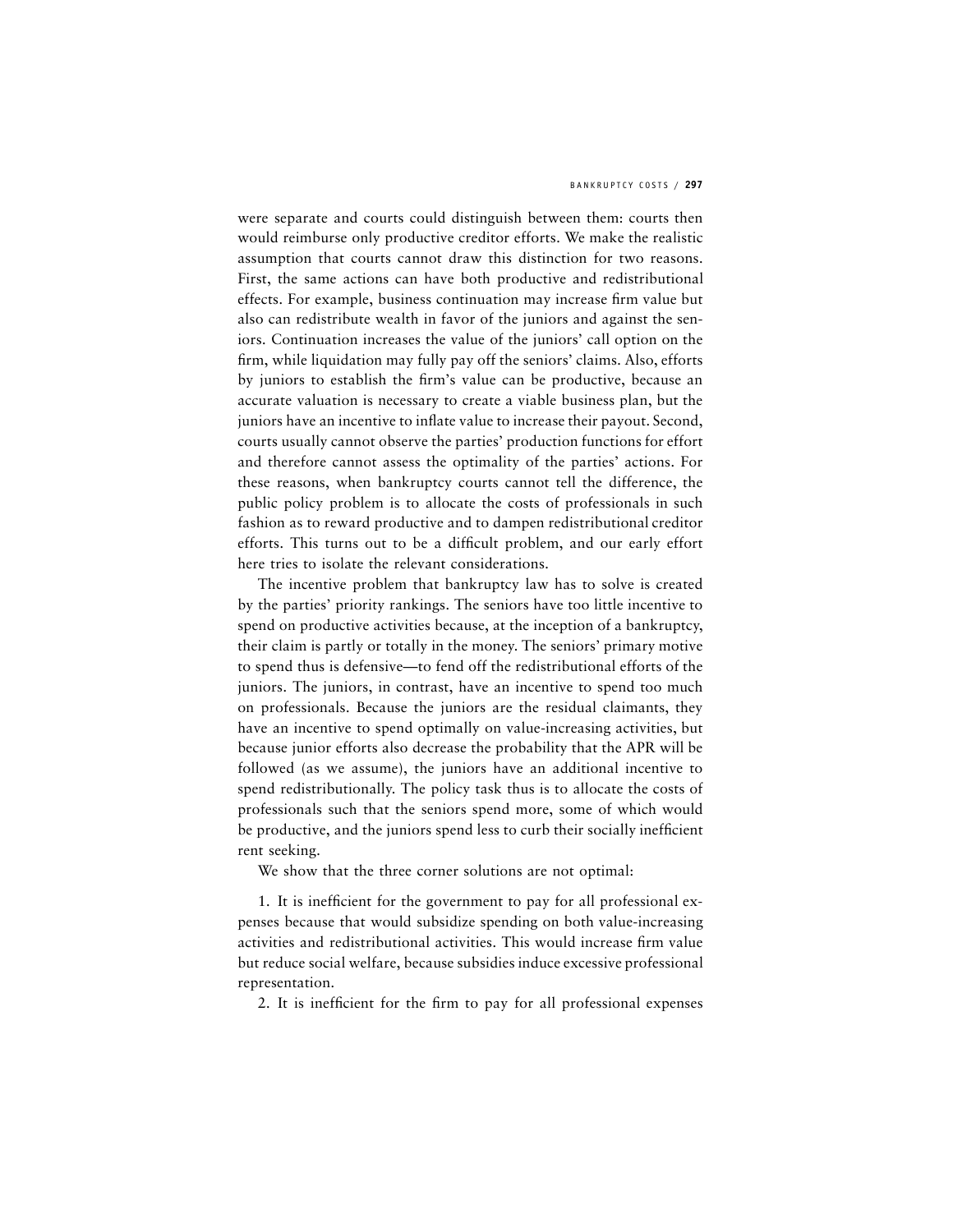were separate and courts could distinguish between them: courts then would reimburse only productive creditor efforts. We make the realistic assumption that courts cannot draw this distinction for two reasons. First, the same actions can have both productive and redistributional effects. For example, business continuation may increase firm value but also can redistribute wealth in favor of the juniors and against the seniors. Continuation increases the value of the juniors' call option on the firm, while liquidation may fully pay off the seniors' claims. Also, efforts by juniors to establish the firm's value can be productive, because an accurate valuation is necessary to create a viable business plan, but the juniors have an incentive to inflate value to increase their payout. Second, courts usually cannot observe the parties' production functions for effort and therefore cannot assess the optimality of the parties' actions. For these reasons, when bankruptcy courts cannot tell the difference, the public policy problem is to allocate the costs of professionals in such fashion as to reward productive and to dampen redistributional creditor efforts. This turns out to be a difficult problem, and our early effort here tries to isolate the relevant considerations.

The incentive problem that bankruptcy law has to solve is created by the parties' priority rankings. The seniors have too little incentive to spend on productive activities because, at the inception of a bankruptcy, their claim is partly or totally in the money. The seniors' primary motive to spend thus is defensive—to fend off the redistributional efforts of the juniors. The juniors, in contrast, have an incentive to spend too much on professionals. Because the juniors are the residual claimants, they have an incentive to spend optimally on value-increasing activities, but because junior efforts also decrease the probability that the APR will be followed (as we assume), the juniors have an additional incentive to spend redistributionally. The policy task thus is to allocate the costs of professionals such that the seniors spend more, some of which would be productive, and the juniors spend less to curb their socially inefficient rent seeking.

We show that the three corner solutions are not optimal:

1. It is inefficient for the government to pay for all professional expenses because that would subsidize spending on both value-increasing activities and redistributional activities. This would increase firm value but reduce social welfare, because subsidies induce excessive professional representation.

2. It is inefficient for the firm to pay for all professional expenses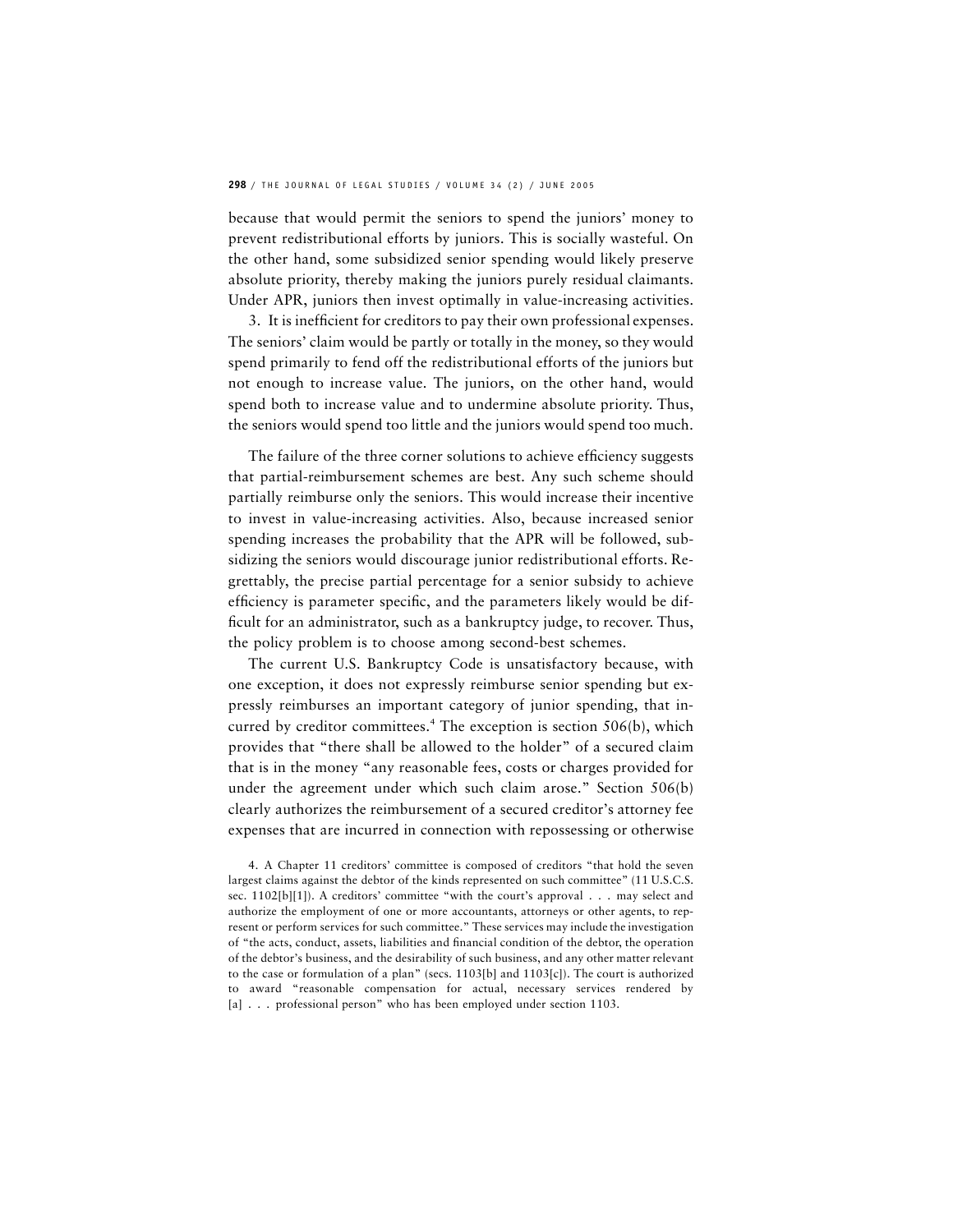because that would permit the seniors to spend the juniors' money to prevent redistributional efforts by juniors. This is socially wasteful. On the other hand, some subsidized senior spending would likely preserve absolute priority, thereby making the juniors purely residual claimants. Under APR, juniors then invest optimally in value-increasing activities.

3. It is inefficient for creditors to pay their own professional expenses. The seniors' claim would be partly or totally in the money, so they would spend primarily to fend off the redistributional efforts of the juniors but not enough to increase value. The juniors, on the other hand, would spend both to increase value and to undermine absolute priority. Thus, the seniors would spend too little and the juniors would spend too much.

The failure of the three corner solutions to achieve efficiency suggests that partial-reimbursement schemes are best. Any such scheme should partially reimburse only the seniors. This would increase their incentive to invest in value-increasing activities. Also, because increased senior spending increases the probability that the APR will be followed, subsidizing the seniors would discourage junior redistributional efforts. Regrettably, the precise partial percentage for a senior subsidy to achieve efficiency is parameter specific, and the parameters likely would be difficult for an administrator, such as a bankruptcy judge, to recover. Thus, the policy problem is to choose among second-best schemes.

The current U.S. Bankruptcy Code is unsatisfactory because, with one exception, it does not expressly reimburse senior spending but expressly reimburses an important category of junior spending, that incurred by creditor committees.<sup>4</sup> The exception is section 506(b), which provides that "there shall be allowed to the holder" of a secured claim that is in the money "any reasonable fees, costs or charges provided for under the agreement under which such claim arose." Section 506(b) clearly authorizes the reimbursement of a secured creditor's attorney fee expenses that are incurred in connection with repossessing or otherwise

<sup>4.</sup> A Chapter 11 creditors' committee is composed of creditors "that hold the seven largest claims against the debtor of the kinds represented on such committee" (11 U.S.C.S. sec. 1102[b][1]). A creditors' committee "with the court's approval . . . may select and authorize the employment of one or more accountants, attorneys or other agents, to represent or perform services for such committee." These services may include the investigation of "the acts, conduct, assets, liabilities and financial condition of the debtor, the operation of the debtor's business, and the desirability of such business, and any other matter relevant to the case or formulation of a plan" (secs. 1103[b] and  $1103[c]$ ). The court is authorized to award "reasonable compensation for actual, necessary services rendered by [a] . . . professional person" who has been employed under section 1103.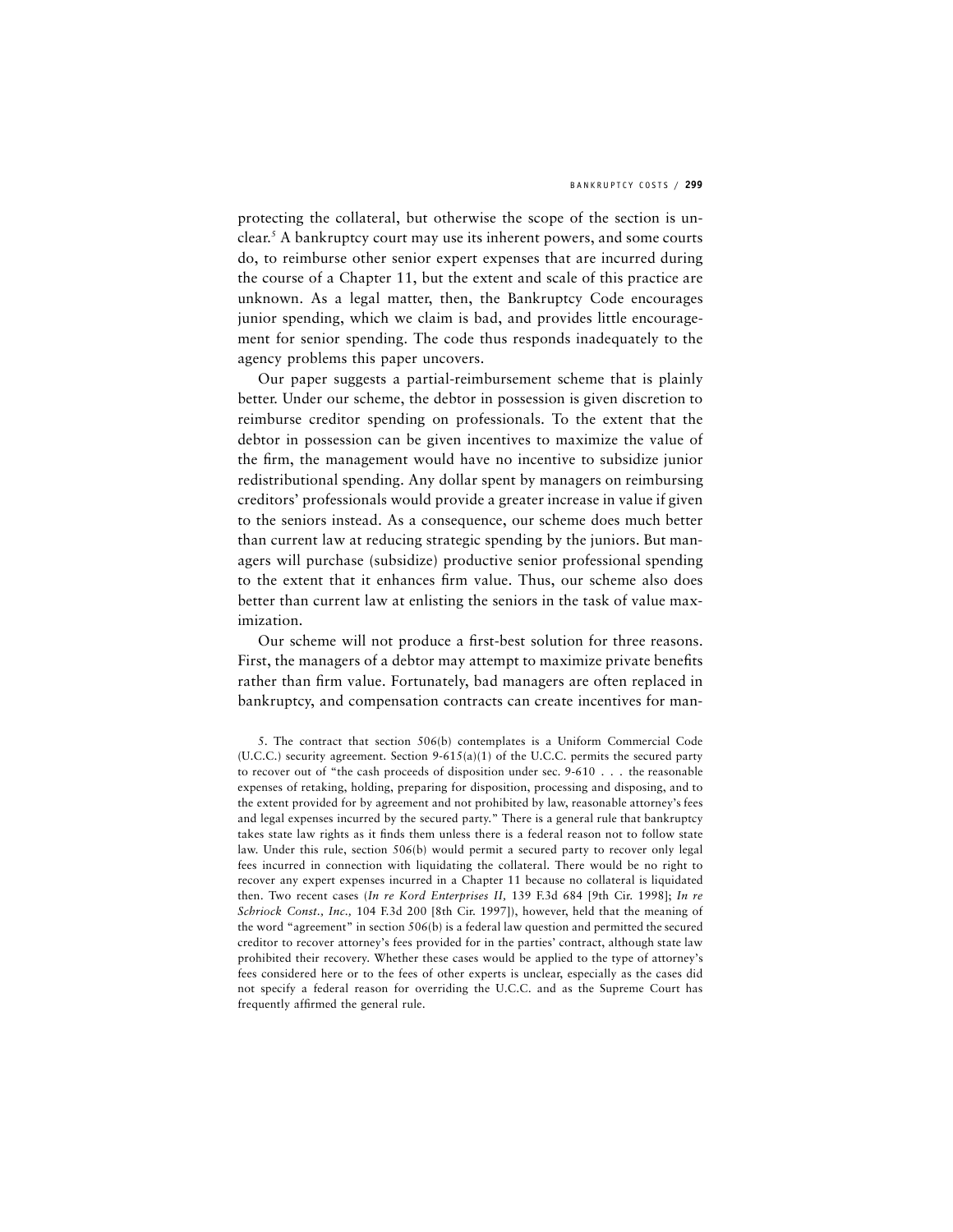protecting the collateral, but otherwise the scope of the section is unclear.5 A bankruptcy court may use its inherent powers, and some courts do, to reimburse other senior expert expenses that are incurred during the course of a Chapter 11, but the extent and scale of this practice are unknown. As a legal matter, then, the Bankruptcy Code encourages junior spending, which we claim is bad, and provides little encouragement for senior spending. The code thus responds inadequately to the agency problems this paper uncovers.

Our paper suggests a partial-reimbursement scheme that is plainly better. Under our scheme, the debtor in possession is given discretion to reimburse creditor spending on professionals. To the extent that the debtor in possession can be given incentives to maximize the value of the firm, the management would have no incentive to subsidize junior redistributional spending. Any dollar spent by managers on reimbursing creditors' professionals would provide a greater increase in value if given to the seniors instead. As a consequence, our scheme does much better than current law at reducing strategic spending by the juniors. But managers will purchase (subsidize) productive senior professional spending to the extent that it enhances firm value. Thus, our scheme also does better than current law at enlisting the seniors in the task of value maximization.

Our scheme will not produce a first-best solution for three reasons. First, the managers of a debtor may attempt to maximize private benefits rather than firm value. Fortunately, bad managers are often replaced in bankruptcy, and compensation contracts can create incentives for man-

<sup>5.</sup> The contract that section 506(b) contemplates is a Uniform Commercial Code (U.C.C.) security agreement. Section  $9-615(a)(1)$  of the U.C.C. permits the secured party to recover out of "the cash proceeds of disposition under sec. 9-610 . . . the reasonable expenses of retaking, holding, preparing for disposition, processing and disposing, and to the extent provided for by agreement and not prohibited by law, reasonable attorney's fees and legal expenses incurred by the secured party." There is a general rule that bankruptcy takes state law rights as it finds them unless there is a federal reason not to follow state law. Under this rule, section 506(b) would permit a secured party to recover only legal fees incurred in connection with liquidating the collateral. There would be no right to recover any expert expenses incurred in a Chapter 11 because no collateral is liquidated then. Two recent cases (*In re Kord Enterprises II,* 139 F.3d 684 [9th Cir. 1998]; *In re Schriock Const., Inc.,* 104 F.3d 200 [8th Cir. 1997]), however, held that the meaning of the word "agreement" in section 506(b) is a federal law question and permitted the secured creditor to recover attorney's fees provided for in the parties' contract, although state law prohibited their recovery. Whether these cases would be applied to the type of attorney's fees considered here or to the fees of other experts is unclear, especially as the cases did not specify a federal reason for overriding the U.C.C. and as the Supreme Court has frequently affirmed the general rule.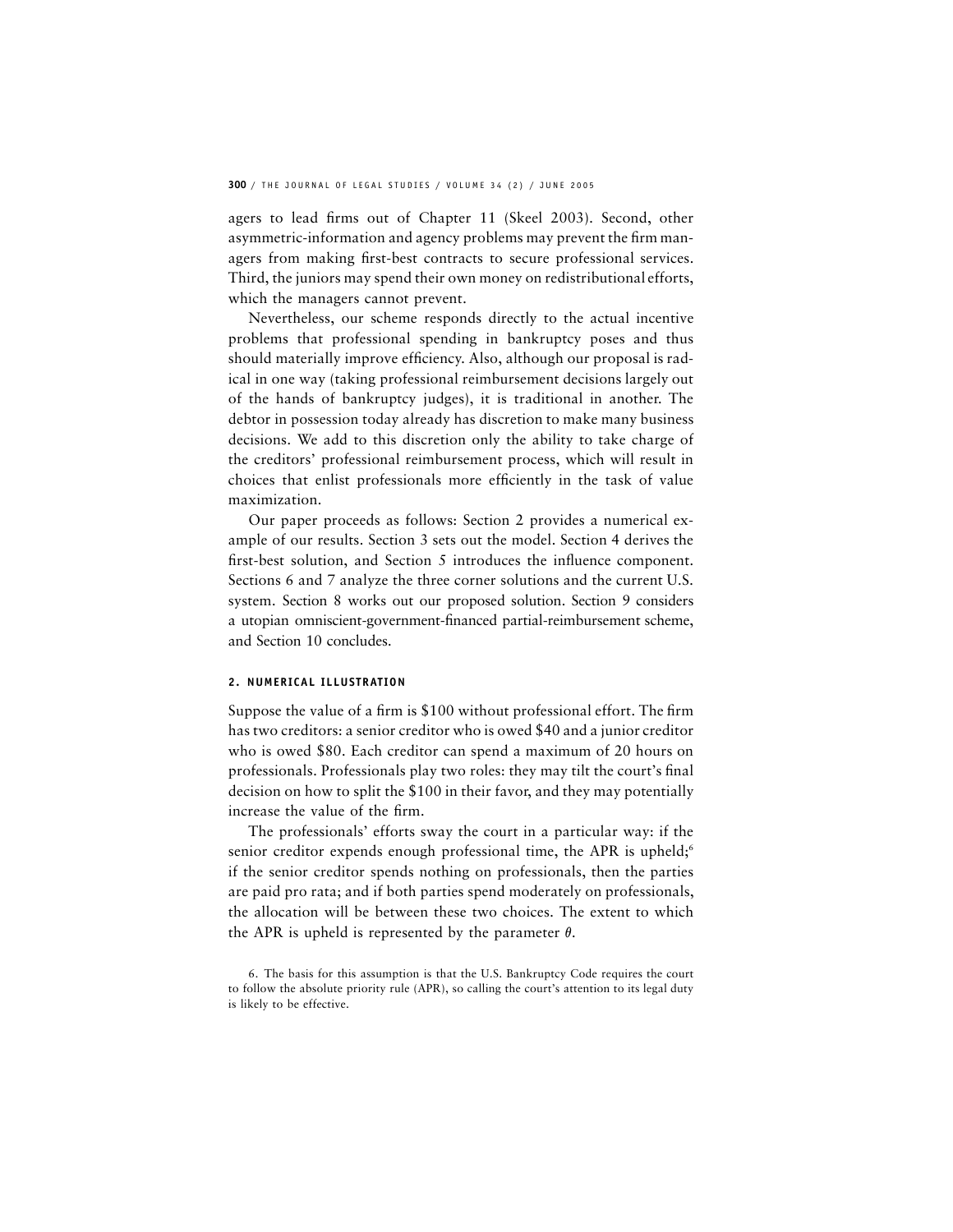agers to lead firms out of Chapter 11 (Skeel 2003). Second, other asymmetric-information and agency problems may prevent the firm managers from making first-best contracts to secure professional services. Third, the juniors may spend their own money on redistributional efforts, which the managers cannot prevent.

Nevertheless, our scheme responds directly to the actual incentive problems that professional spending in bankruptcy poses and thus should materially improve efficiency. Also, although our proposal is radical in one way (taking professional reimbursement decisions largely out of the hands of bankruptcy judges), it is traditional in another. The debtor in possession today already has discretion to make many business decisions. We add to this discretion only the ability to take charge of the creditors' professional reimbursement process, which will result in choices that enlist professionals more efficiently in the task of value maximization.

Our paper proceeds as follows: Section 2 provides a numerical example of our results. Section 3 sets out the model. Section 4 derives the first-best solution, and Section 5 introduces the influence component. Sections 6 and 7 analyze the three corner solutions and the current U.S. system. Section 8 works out our proposed solution. Section 9 considers a utopian omniscient-government-financed partial-reimbursement scheme, and Section 10 concludes.

### **2. NUMERICAL ILLUSTRATION**

Suppose the value of a firm is \$100 without professional effort. The firm has two creditors: a senior creditor who is owed \$40 and a junior creditor who is owed \$80. Each creditor can spend a maximum of 20 hours on professionals. Professionals play two roles: they may tilt the court's final decision on how to split the \$100 in their favor, and they may potentially increase the value of the firm.

The professionals' efforts sway the court in a particular way: if the senior creditor expends enough professional time, the APR is upheld;<sup>6</sup> if the senior creditor spends nothing on professionals, then the parties are paid pro rata; and if both parties spend moderately on professionals, the allocation will be between these two choices. The extent to which the APR is upheld is represented by the parameter  $\theta$ .

<sup>6.</sup> The basis for this assumption is that the U.S. Bankruptcy Code requires the court to follow the absolute priority rule (APR), so calling the court's attention to its legal duty is likely to be effective.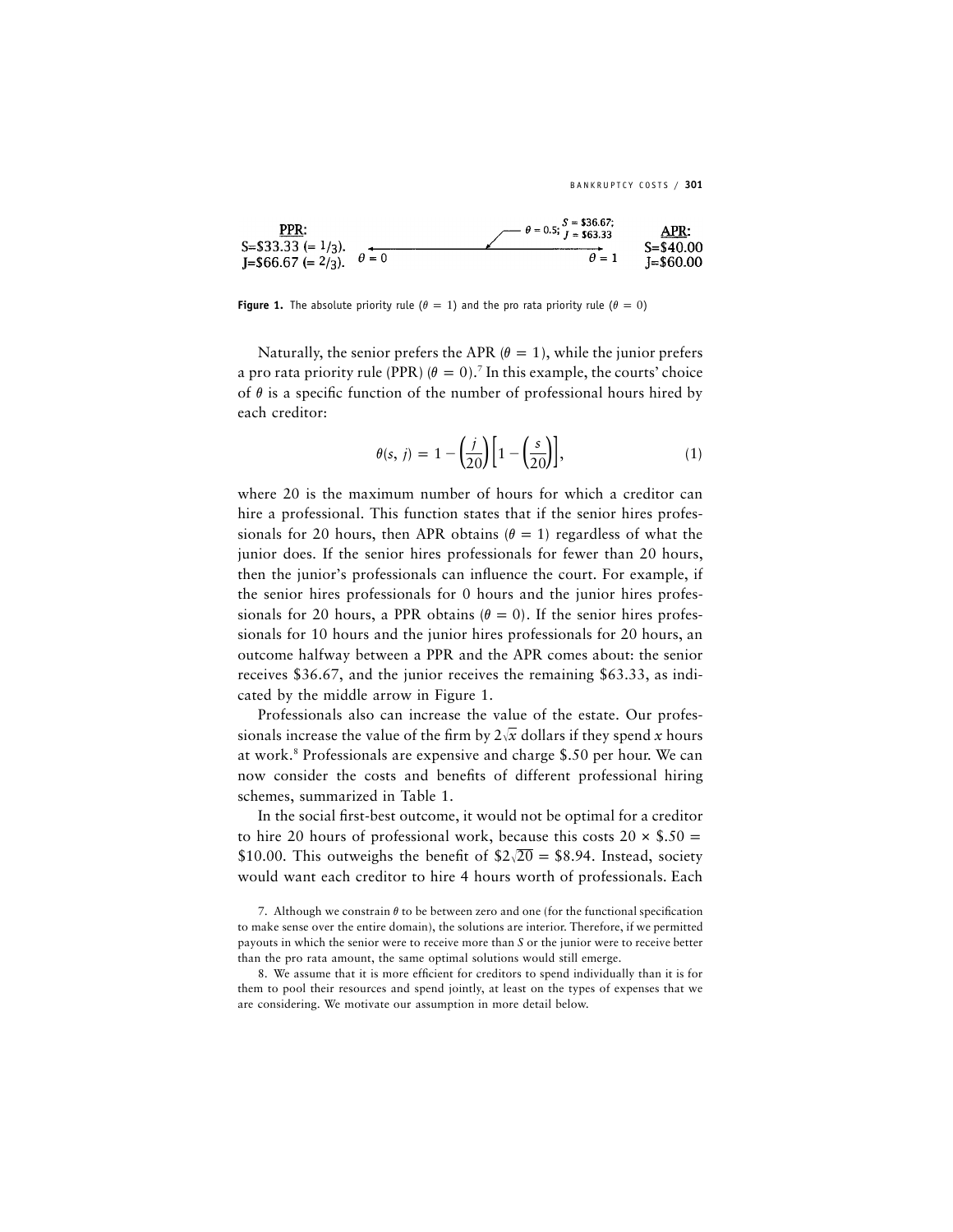

**Figure 1.** The absolute priority rule ( $\theta = 1$ ) and the pro rata priority rule ( $\theta = 0$ )

Naturally, the senior prefers the APR ( $\theta = 1$ ), while the junior prefers a pro rata priority rule (PPR)  $(\theta = 0)$ .<sup>7</sup> In this example, the courts' choice of  $\theta$  is a specific function of the number of professional hours hired by each creditor:

$$
\theta(s, j) = 1 - \left(\frac{j}{20}\right) \left[1 - \left(\frac{s}{20}\right)\right],\tag{1}
$$

where 20 is the maximum number of hours for which a creditor can hire a professional. This function states that if the senior hires professionals for 20 hours, then APR obtains  $(\theta = 1)$  regardless of what the junior does. If the senior hires professionals for fewer than 20 hours, then the junior's professionals can influence the court. For example, if the senior hires professionals for 0 hours and the junior hires professionals for 20 hours, a PPR obtains  $(\theta = 0)$ . If the senior hires professionals for 10 hours and the junior hires professionals for 20 hours, an outcome halfway between a PPR and the APR comes about: the senior receives \$36.67, and the junior receives the remaining \$63.33, as indicated by the middle arrow in Figure 1.

Professionals also can increase the value of the estate. Our professionals increase the value of the firm by  $2\sqrt{x}$  dollars if they spend x hours at work.8 Professionals are expensive and charge \$.50 per hour. We can now consider the costs and benefits of different professional hiring schemes, summarized in Table 1.

In the social first-best outcome, it would not be optimal for a creditor to hire 20 hours of professional work, because this costs  $20 \times $.50 =$ \$10.00. This outweighs the benefit of  $$2\sqrt{20} = $8.94$ . Instead, society would want each creditor to hire 4 hours worth of professionals. Each

<sup>7.</sup> Although we constrain  $\theta$  to be between zero and one (for the functional specification to make sense over the entire domain), the solutions are interior. Therefore, if we permitted payouts in which the senior were to receive more than *S* or the junior were to receive better than the pro rata amount, the same optimal solutions would still emerge.

<sup>8.</sup> We assume that it is more efficient for creditors to spend individually than it is for them to pool their resources and spend jointly, at least on the types of expenses that we are considering. We motivate our assumption in more detail below.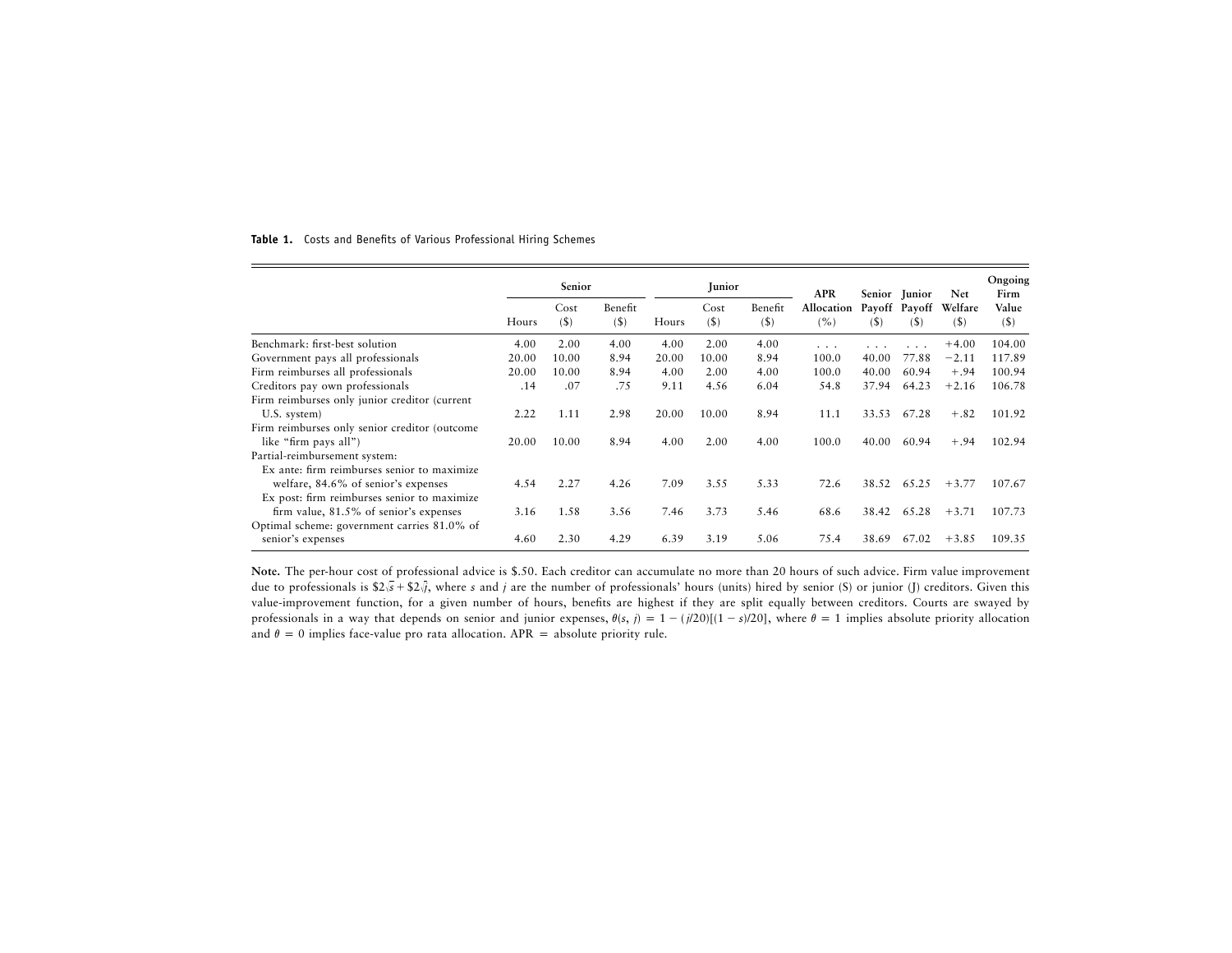#### **Table 1.** Costs and Benefits of Various Professional Hiring Schemes

|                                               | Senior |             |                | Junior |             |                   | APR                     |                   | Senior Junior        | Net            | Ongoing<br>Firm |
|-----------------------------------------------|--------|-------------|----------------|--------|-------------|-------------------|-------------------------|-------------------|----------------------|----------------|-----------------|
|                                               | Hours  | Cost<br>(5) | Benefit<br>(S) | Hours  | Cost<br>(S) | Benefit<br>$($ \$ | ( %)                    | Allocation<br>(5) | Payoff Payoff<br>(5) | Welfare<br>(5) | Value<br>$($ \$ |
| Benchmark: first-best solution                | 4.00   | 2.00        | 4.00           | 4.00   | 2.00        | 4.00              | $\cdot$ $\cdot$ $\cdot$ | .                 | .                    | $+4.00$        | 104.00          |
| Government pays all professionals             | 20.00  | 10.00       | 8.94           | 20.00  | 10.00       | 8.94              | 100.0                   | 40.00             | 77.88                | $-2.11$        | 117.89          |
| Firm reimburses all professionals             | 20.00  | 10.00       | 8.94           | 4.00   | 2.00        | 4.00              | 100.0                   | 40.00             | 60.94                | $+.94$         | 100.94          |
| Creditors pay own professionals               | .14    | .07         | .75            | 9.11   | 4.56        | 6.04              | 54.8                    | 37.94             | 64.23                | $+2.16$        | 106.78          |
| Firm reimburses only junior creditor (current |        |             |                |        |             |                   |                         |                   |                      |                |                 |
| U.S. system)                                  | 2.22   | 1.11        | 2.98           | 20.00  | 10.00       | 8.94              | 11.1                    | 33.53             | 67.28                | $+.82$         | 101.92          |
| Firm reimburses only senior creditor (outcome |        |             |                |        |             |                   |                         |                   |                      |                |                 |
| like "firm pays all")                         | 20.00  | 10.00       | 8.94           | 4.00   | 2.00        | 4.00              | 100.0                   | 40.00             | 60.94                | $+.94$         | 102.94          |
| Partial-reimbursement system:                 |        |             |                |        |             |                   |                         |                   |                      |                |                 |
| Ex ante: firm reimburses senior to maximize   |        |             |                |        |             |                   |                         |                   |                      |                |                 |
| welfare, 84.6% of senior's expenses           | 4.54   | 2.27        | 4.26           | 7.09   | 3.55        | 5.33              | 72.6                    | 38.52             | 65.25                | $+3.77$        | 107.67          |
| Ex post: firm reimburses senior to maximize   |        |             |                |        |             |                   |                         |                   |                      |                |                 |
| firm value, $81.5\%$ of senior's expenses     | 3.16   | 1.58        | 3.56           | 7.46   | 3.73        | 5.46              | 68.6                    | 38.42             | 65.28                | $+3.71$        | 107.73          |
| Optimal scheme: government carries 81.0% of   |        |             |                |        |             |                   |                         |                   |                      |                |                 |
| senior's expenses                             | 4.60   | 2.30        | 4.29           | 6.39   | 3.19        | 5.06              | 75.4                    | 38.69             | 67.02                | $+3.85$        | 109.35          |

**Note.** The per-hour cost of professional advice is \$.50. Each creditor can accumulate no more than 20 hours of such advice. Firm value improvement due to professionals is \$2 $\sqrt{s} +$  \$2 $\sqrt{t}$ , where *s* and *j* are the number of professionals' hours (units) hired by senior (S) or junior (J) creditors. Given this value-improvement function, for <sup>a</sup> <sup>g</sup>iven number of hours, benefits are highest if they are split equally between creditors. Courts are swayed by professionals in a way that depends on senior and junior expenses,  $\theta(s, j) = 1 - (j/20)[(1 - s)/20]$ , where  $\theta = 1$  implies absolute priority allocation and  $\theta = 0$  implies face-value pro rata allocation. APR = absolute priority rule.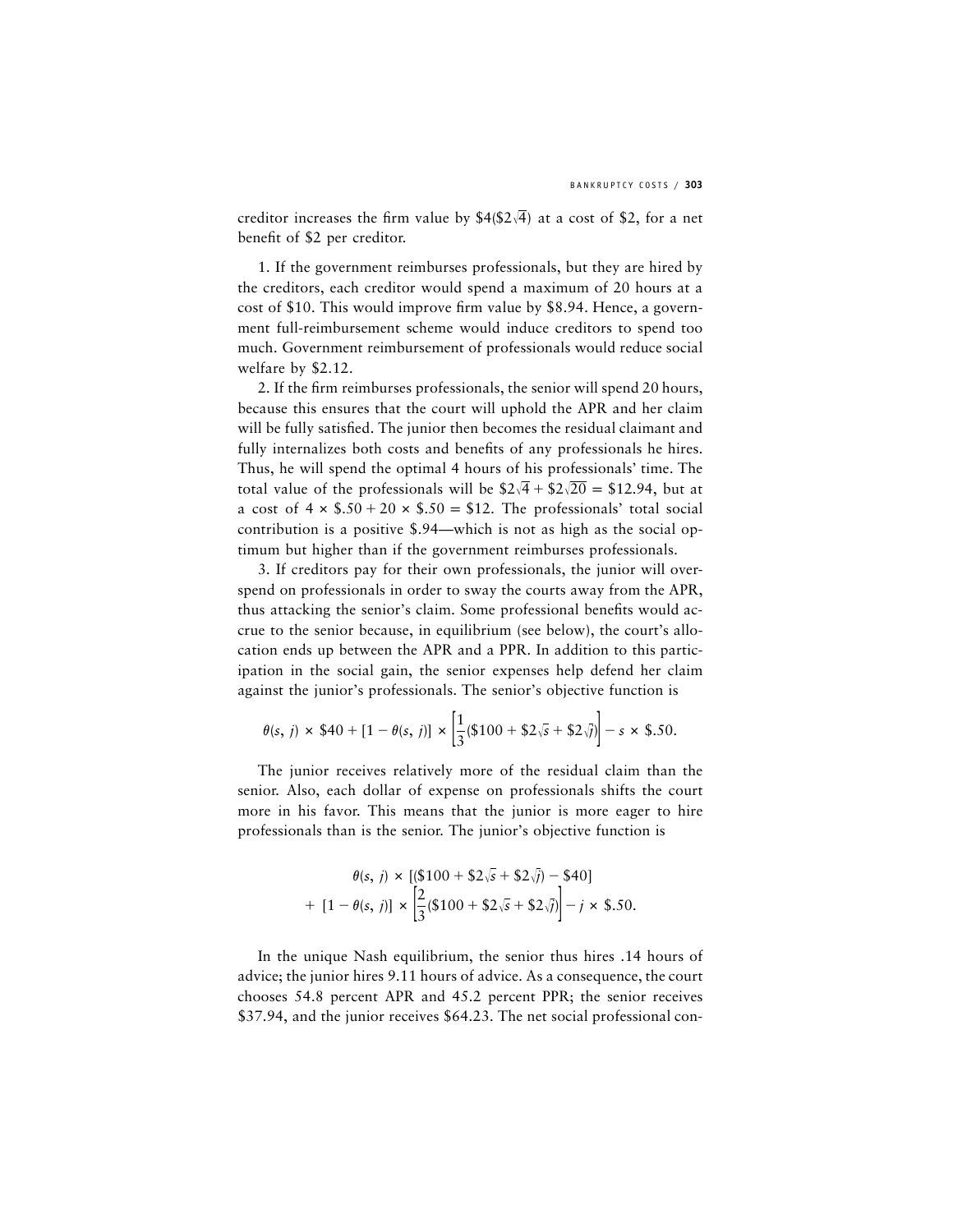creditor increases the firm value by  $$4(\$2\sqrt{4})$  at a cost of \$2, for a net benefit of \$2 per creditor.

1. If the government reimburses professionals, but they are hired by the creditors, each creditor would spend a maximum of 20 hours at a cost of \$10. This would improve firm value by \$8.94. Hence, a government full-reimbursement scheme would induce creditors to spend too much. Government reimbursement of professionals would reduce social welfare by \$2.12.

2. If the firm reimburses professionals, the senior will spend 20 hours, because this ensures that the court will uphold the APR and her claim will be fully satisfied. The junior then becomes the residual claimant and fully internalizes both costs and benefits of any professionals he hires. Thus, he will spend the optimal 4 hours of his professionals' time. The total value of the professionals will be  $$2\sqrt{4} + $2\sqrt{20} = $12.94$ , but at a cost of  $4 \times $.50 + 20 \times $.50 = $12$ . The professionals' total social contribution is a positive \$.94—which is not as high as the social optimum but higher than if the government reimburses professionals.

3. If creditors pay for their own professionals, the junior will overspend on professionals in order to sway the courts away from the APR, thus attacking the senior's claim. Some professional benefits would accrue to the senior because, in equilibrium (see below), the court's allocation ends up between the APR and a PPR. In addition to this participation in the social gain, the senior expenses help defend her claim against the junior's professionals. The senior's objective function is

$$
\theta(s, j) \times \$40 + [1 - \theta(s, j)] \times \left[\frac{1}{3}(\$100 + \$2\sqrt{s} + \$2\sqrt{j})\right] - s \times \$.50.
$$

The junior receives relatively more of the residual claim than the senior. Also, each dollar of expense on professionals shifts the court more in his favor. This means that the junior is more eager to hire professionals than is the senior. The junior's objective function is

$$
\theta(s, j) \times [(\$100 + \$2\sqrt{s} + \$2\sqrt{j}) - \$40] + [1 - \theta(s, j)] \times \left[\frac{2}{3}(\$100 + \$2\sqrt{s} + \$2\sqrt{j})\right] - j \times \$.50.
$$

In the unique Nash equilibrium, the senior thus hires .14 hours of advice; the junior hires 9.11 hours of advice. As a consequence, the court chooses 54.8 percent APR and 45.2 percent PPR; the senior receives \$37.94, and the junior receives \$64.23. The net social professional con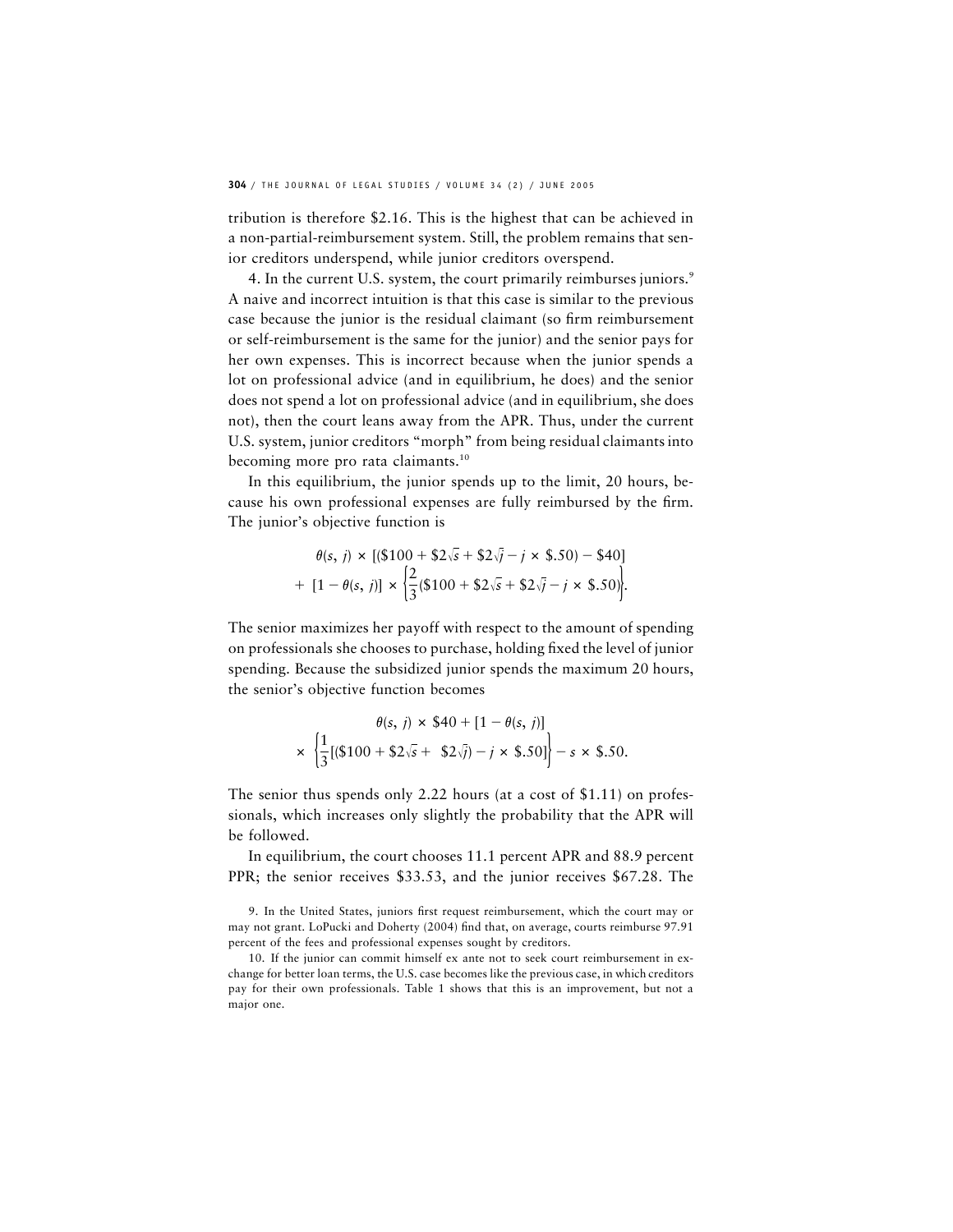tribution is therefore \$2.16. This is the highest that can be achieved in a non-partial-reimbursement system. Still, the problem remains that senior creditors underspend, while junior creditors overspend.

4. In the current U.S. system, the court primarily reimburses juniors.<sup>9</sup> A naive and incorrect intuition is that this case is similar to the previous case because the junior is the residual claimant (so firm reimbursement or self-reimbursement is the same for the junior) and the senior pays for her own expenses. This is incorrect because when the junior spends a lot on professional advice (and in equilibrium, he does) and the senior does not spend a lot on professional advice (and in equilibrium, she does not), then the court leans away from the APR. Thus, under the current U.S. system, junior creditors "morph" from being residual claimants into becoming more pro rata claimants.<sup>10</sup>

In this equilibrium, the junior spends up to the limit, 20 hours, because his own professional expenses are fully reimbursed by the firm. The junior's objective function is

$$
\theta(s, j) \times [(\$100 + \$2\sqrt{s} + \$2\sqrt{j} - j \times \$.50) - \$40] + [1 - \theta(s, j)] \times \left\{ \frac{2}{3} (\$100 + \$2\sqrt{s} + \$2\sqrt{j} - j \times \$.50) \right\}.
$$

The senior maximizes her payoff with respect to the amount of spending on professionals she chooses to purchase, holding fixed the level of junior spending. Because the subsidized junior spends the maximum 20 hours, the senior's objective function becomes

$$
\theta(s, j) \times \$40 + [1 - \theta(s, j)]
$$
  
 
$$
\times \left\{ \frac{1}{3} [(\$100 + \$2\sqrt{s} + \$2\sqrt{j}) - j \times \$.50] \right\} - s \times \$.50.
$$

The senior thus spends only 2.22 hours (at a cost of \$1.11) on professionals, which increases only slightly the probability that the APR will be followed.

In equilibrium, the court chooses 11.1 percent APR and 88.9 percent PPR; the senior receives \$33.53, and the junior receives \$67.28. The

9. In the United States, juniors first request reimbursement, which the court may or may not grant. LoPucki and Doherty (2004) find that, on average, courts reimburse 97.91 percent of the fees and professional expenses sought by creditors.

10. If the junior can commit himself ex ante not to seek court reimbursement in exchange for better loan terms, the U.S. case becomes like the previous case, in which creditors pay for their own professionals. Table 1 shows that this is an improvement, but not a major one.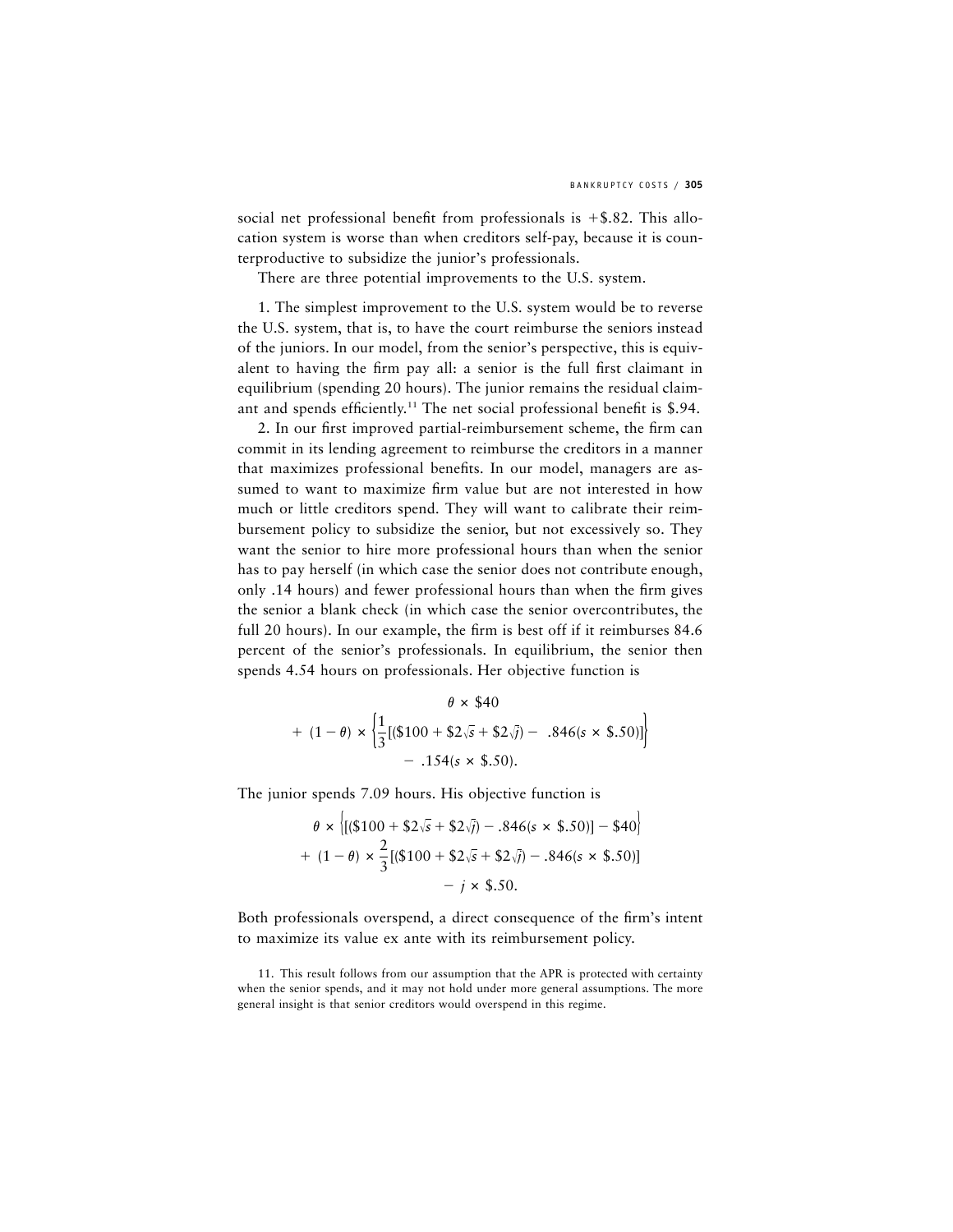social net professional benefit from professionals is +\$.82. This allocation system is worse than when creditors self-pay, because it is counterproductive to subsidize the junior's professionals.

There are three potential improvements to the U.S. system.

1. The simplest improvement to the U.S. system would be to reverse the U.S. system, that is, to have the court reimburse the seniors instead of the juniors. In our model, from the senior's perspective, this is equivalent to having the firm pay all: a senior is the full first claimant in equilibrium (spending 20 hours). The junior remains the residual claimant and spends efficiently.<sup>11</sup> The net social professional benefit is \$.94.

2. In our first improved partial-reimbursement scheme, the firm can commit in its lending agreement to reimburse the creditors in a manner that maximizes professional benefits. In our model, managers are assumed to want to maximize firm value but are not interested in how much or little creditors spend. They will want to calibrate their reimbursement policy to subsidize the senior, but not excessively so. They want the senior to hire more professional hours than when the senior has to pay herself (in which case the senior does not contribute enough, only .14 hours) and fewer professional hours than when the firm gives the senior a blank check (in which case the senior overcontributes, the full 20 hours). In our example, the firm is best off if it reimburses 84.6 percent of the senior's professionals. In equilibrium, the senior then spends 4.54 hours on professionals. Her objective function is

$$
\theta \times \$40
$$
  
+ (1 -  $\theta$ ) ×  $\left\{ \frac{1}{3} [(\$100 + \$2\sqrt{s} + \$2\sqrt{j}) - .846(s \times \$.50)] \right\}$   
- .154(s × \\$.50).

The junior spends 7.09 hours. His objective function is

$$
\theta \times \left[ \left[ (\$100 + \$2\sqrt{s} + \$2\sqrt{j}) - .846(s \times \$.50) \right] - \$40 \right]
$$
  
+ 
$$
(1 - \theta) \times \frac{2}{3} \left[ (\$100 + \$2\sqrt{s} + \$2\sqrt{j}) - .846(s \times \$.50) \right]
$$
  
- 
$$
j \times \$.50.
$$

Both professionals overspend, a direct consequence of the firm's intent to maximize its value ex ante with its reimbursement policy.

<sup>11.</sup> This result follows from our assumption that the APR is protected with certainty when the senior spends, and it may not hold under more general assumptions. The more general insight is that senior creditors would overspend in this regime.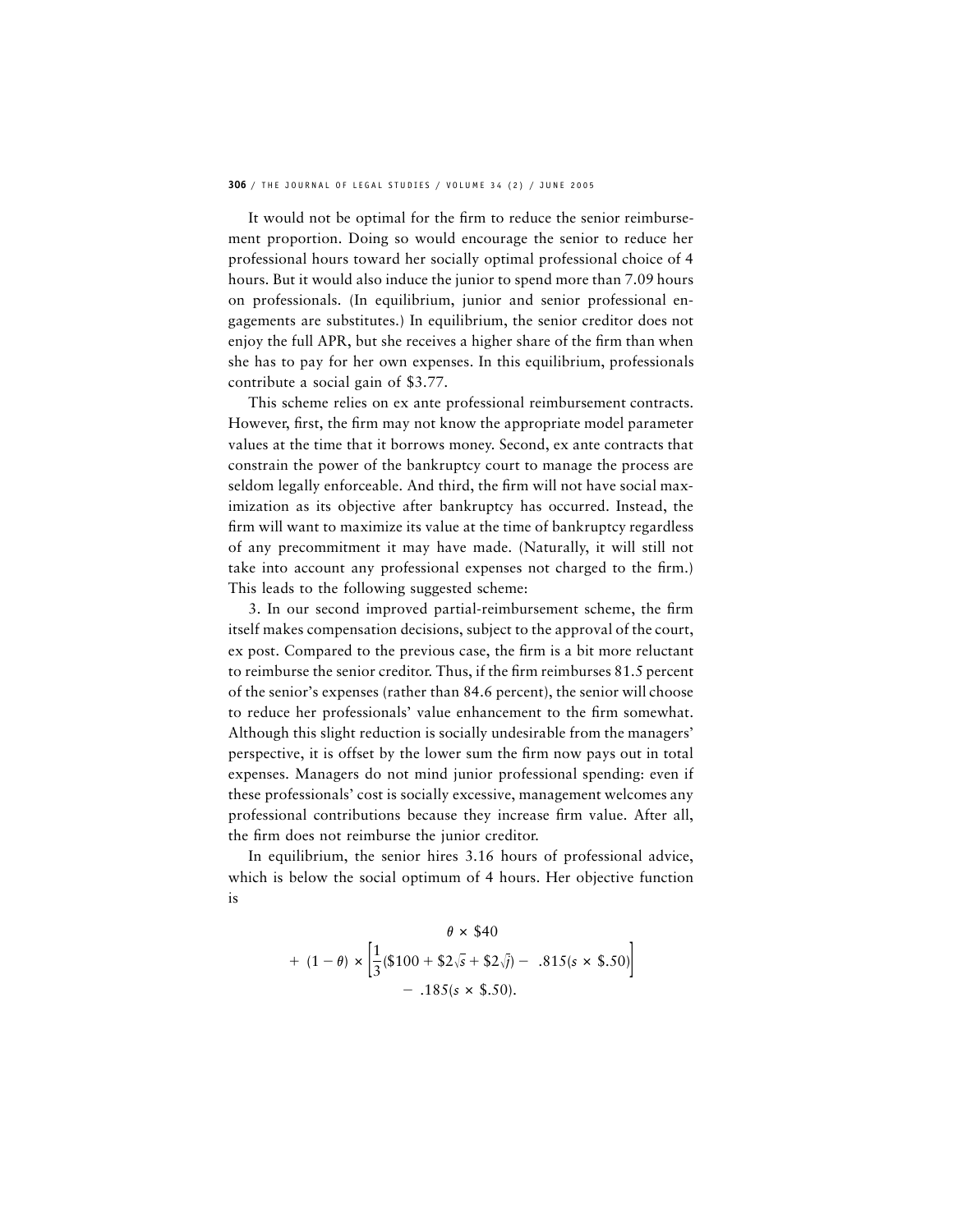It would not be optimal for the firm to reduce the senior reimbursement proportion. Doing so would encourage the senior to reduce her professional hours toward her socially optimal professional choice of 4 hours. But it would also induce the junior to spend more than 7.09 hours on professionals. (In equilibrium, junior and senior professional engagements are substitutes.) In equilibrium, the senior creditor does not enjoy the full APR, but she receives a higher share of the firm than when she has to pay for her own expenses. In this equilibrium, professionals contribute a social gain of \$3.77.

This scheme relies on ex ante professional reimbursement contracts. However, first, the firm may not know the appropriate model parameter values at the time that it borrows money. Second, ex ante contracts that constrain the power of the bankruptcy court to manage the process are seldom legally enforceable. And third, the firm will not have social maximization as its objective after bankruptcy has occurred. Instead, the firm will want to maximize its value at the time of bankruptcy regardless of any precommitment it may have made. (Naturally, it will still not take into account any professional expenses not charged to the firm.) This leads to the following suggested scheme:

3. In our second improved partial-reimbursement scheme, the firm itself makes compensation decisions, subject to the approval of the court, ex post. Compared to the previous case, the firm is a bit more reluctant to reimburse the senior creditor. Thus, if the firm reimburses 81.5 percent of the senior's expenses (rather than 84.6 percent), the senior will choose to reduce her professionals' value enhancement to the firm somewhat. Although this slight reduction is socially undesirable from the managers' perspective, it is offset by the lower sum the firm now pays out in total expenses. Managers do not mind junior professional spending: even if these professionals' cost is socially excessive, management welcomes any professional contributions because they increase firm value. After all, the firm does not reimburse the junior creditor.

In equilibrium, the senior hires 3.16 hours of professional advice, which is below the social optimum of 4 hours. Her objective function is

$$
\theta \times \$40
$$
  
+  $(1 - \theta) \times \left[\frac{1}{3}(\$100 + \$2\sqrt{s} + \$2\sqrt{j}) - .815(s \times \$.50)\right]$   
- .185(s \times \\$.50).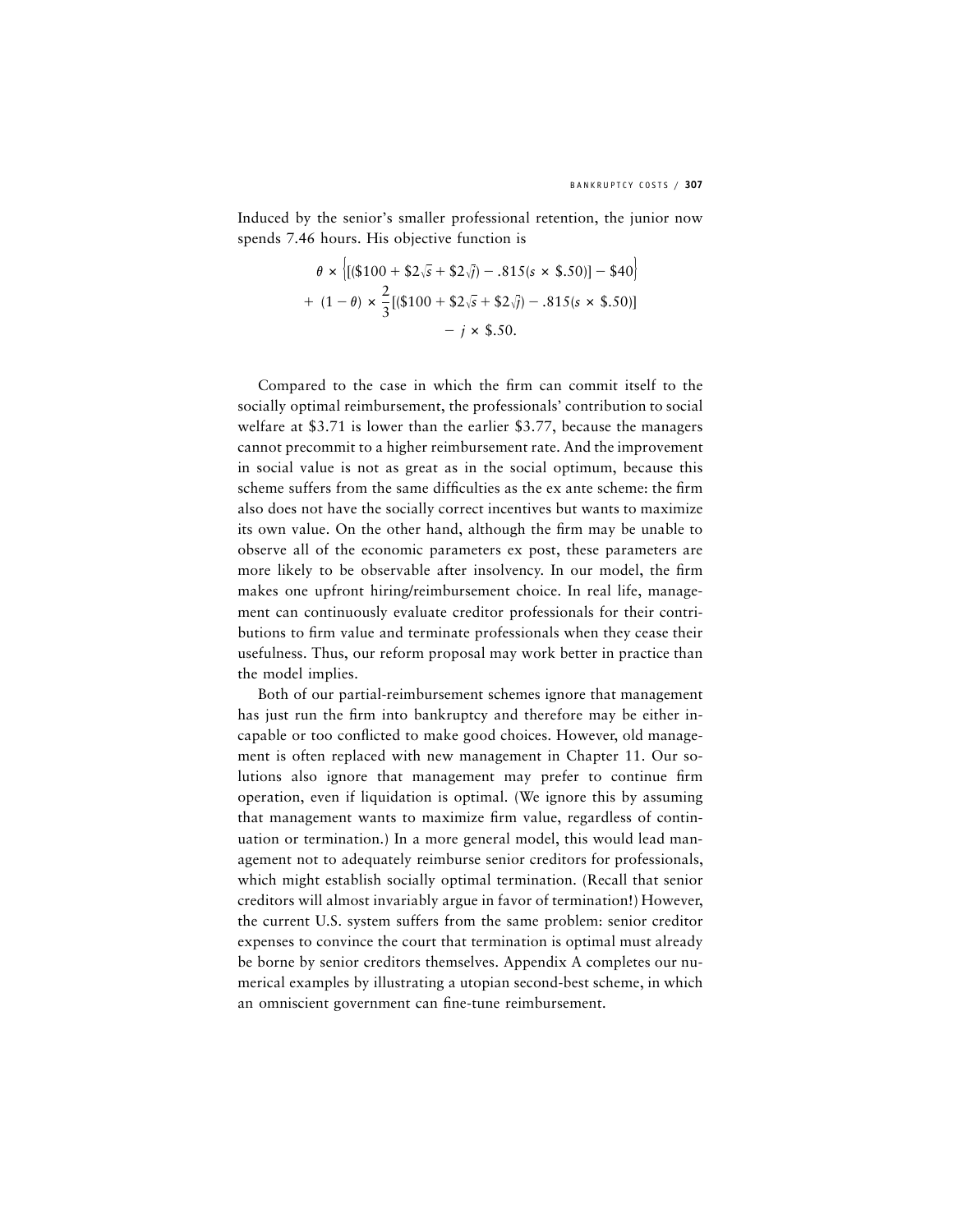Induced by the senior's smaller professional retention, the junior now spends 7.46 hours. His objective function is

$$
\theta \times \left[ \left[ (\$100 + \$2\sqrt{s} + \$2\sqrt{j}) - .815(s \times \$.50) \right] - \$40 \right]
$$
  
+ 
$$
(1 - \theta) \times \frac{2}{3} \left[ (\$100 + \$2\sqrt{s} + \$2\sqrt{j}) - .815(s \times \$.50) \right]
$$
  
- 
$$
j \times \$.50.
$$

Compared to the case in which the firm can commit itself to the socially optimal reimbursement, the professionals' contribution to social welfare at \$3.71 is lower than the earlier \$3.77, because the managers cannot precommit to a higher reimbursement rate. And the improvement in social value is not as great as in the social optimum, because this scheme suffers from the same difficulties as the ex ante scheme: the firm also does not have the socially correct incentives but wants to maximize its own value. On the other hand, although the firm may be unable to observe all of the economic parameters ex post, these parameters are more likely to be observable after insolvency. In our model, the firm makes one upfront hiring/reimbursement choice. In real life, management can continuously evaluate creditor professionals for their contributions to firm value and terminate professionals when they cease their usefulness. Thus, our reform proposal may work better in practice than the model implies.

Both of our partial-reimbursement schemes ignore that management has just run the firm into bankruptcy and therefore may be either incapable or too conflicted to make good choices. However, old management is often replaced with new management in Chapter 11. Our solutions also ignore that management may prefer to continue firm operation, even if liquidation is optimal. (We ignore this by assuming that management wants to maximize firm value, regardless of continuation or termination.) In a more general model, this would lead management not to adequately reimburse senior creditors for professionals, which might establish socially optimal termination. (Recall that senior creditors will almost invariably argue in favor of termination!) However, the current U.S. system suffers from the same problem: senior creditor expenses to convince the court that termination is optimal must already be borne by senior creditors themselves. Appendix A completes our numerical examples by illustrating a utopian second-best scheme, in which an omniscient government can fine-tune reimbursement.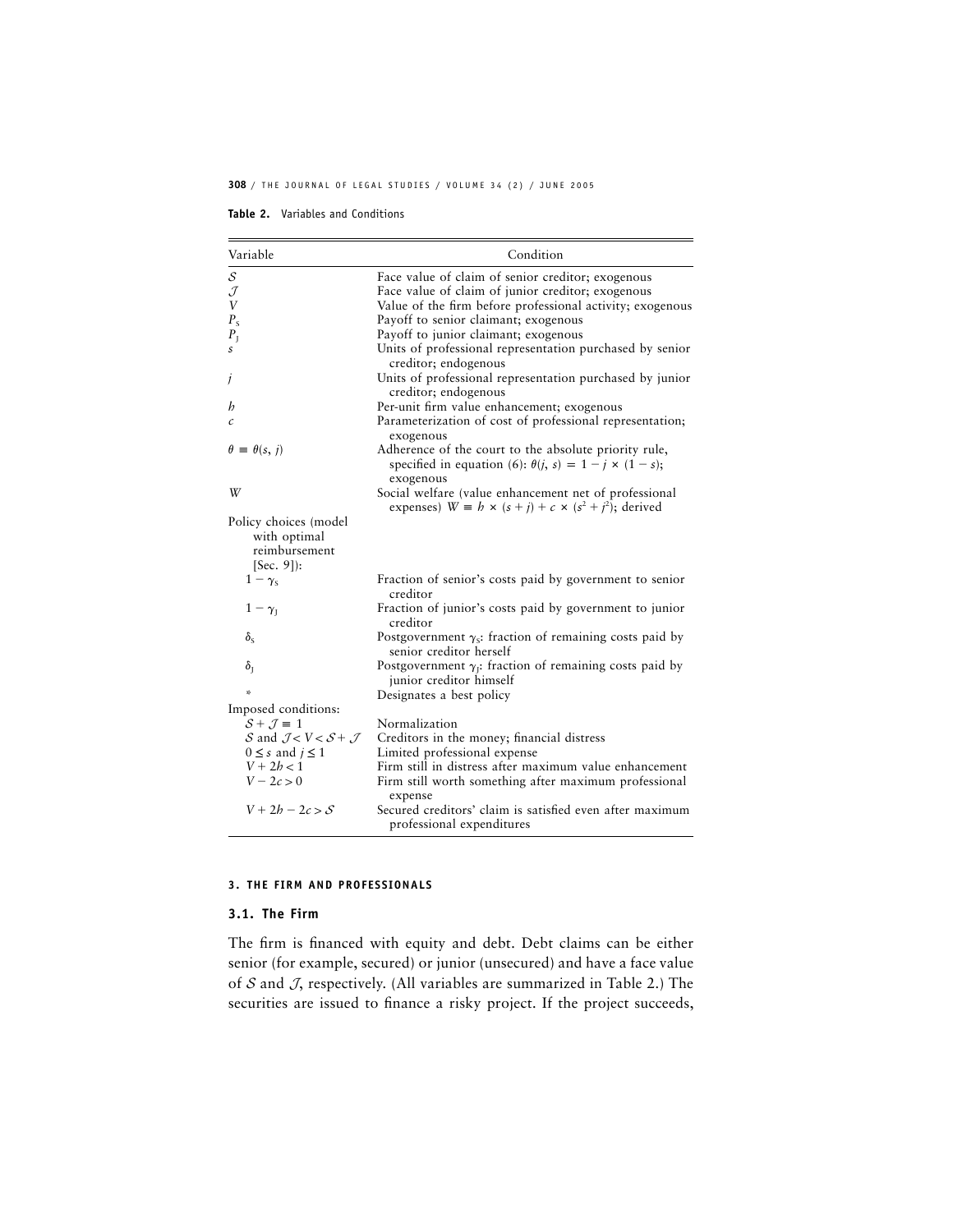**Table 2.** Variables and Conditions

| Variable                                            | Condition                                                                                                                                |  |  |  |
|-----------------------------------------------------|------------------------------------------------------------------------------------------------------------------------------------------|--|--|--|
| $\mathcal{S}_{0}$                                   | Face value of claim of senior creditor; exogenous                                                                                        |  |  |  |
| J                                                   | Face value of claim of junior creditor; exogenous                                                                                        |  |  |  |
| $\boldsymbol{V}$                                    | Value of the firm before professional activity; exogenous                                                                                |  |  |  |
| $P_{\rm S}$                                         | Payoff to senior claimant; exogenous                                                                                                     |  |  |  |
| $P_{\rm J}$                                         | Payoff to junior claimant; exogenous                                                                                                     |  |  |  |
| s                                                   | Units of professional representation purchased by senior<br>creditor; endogenous                                                         |  |  |  |
| $\mathfrak{1}$                                      | Units of professional representation purchased by junior<br>creditor; endogenous                                                         |  |  |  |
| h                                                   | Per-unit firm value enhancement; exogenous                                                                                               |  |  |  |
| $\mathcal{C}$                                       | Parameterization of cost of professional representation;<br>exogenous                                                                    |  |  |  |
| $\theta = \theta(s, j)$                             | Adherence of the court to the absolute priority rule,<br>specified in equation (6): $\theta(j, s) = 1 - j \times (1 - s)$ ;<br>exogenous |  |  |  |
| W                                                   | Social welfare (value enhancement net of professional<br>expenses) $W = h \times (s + j) + c \times (s^2 + j^2)$ ; derived               |  |  |  |
| Policy choices (model                               |                                                                                                                                          |  |  |  |
| with optimal                                        |                                                                                                                                          |  |  |  |
| reimbursement                                       |                                                                                                                                          |  |  |  |
| $[Sec. 9]$ :                                        |                                                                                                                                          |  |  |  |
| $1-\gamma_s$                                        | Fraction of senior's costs paid by government to senior<br>creditor                                                                      |  |  |  |
| $1-\gamma_{\rm I}$                                  | Fraction of junior's costs paid by government to junior<br>creditor                                                                      |  |  |  |
| $\delta_{\rm S}$                                    | Postgovernment $\gamma_s$ : fraction of remaining costs paid by<br>senior creditor herself                                               |  |  |  |
| $\delta_1$                                          | Postgovernment $\gamma_i$ : fraction of remaining costs paid by<br>junior creditor himself                                               |  |  |  |
| ×.                                                  | Designates a best policy                                                                                                                 |  |  |  |
| Imposed conditions:                                 |                                                                                                                                          |  |  |  |
| $S + \mathcal{J} = 1$                               | Normalization                                                                                                                            |  |  |  |
| S and $\mathcal{J} < V < \mathcal{S} + \mathcal{J}$ | Creditors in the money; financial distress                                                                                               |  |  |  |
| $0 \leq s$ and $j \leq 1$                           | Limited professional expense                                                                                                             |  |  |  |
| $V + 2h < 1$                                        | Firm still in distress after maximum value enhancement                                                                                   |  |  |  |
| $V-2c>0$                                            | Firm still worth something after maximum professional<br>expense                                                                         |  |  |  |
| $V + 2h - 2c > S$                                   | Secured creditors' claim is satisfied even after maximum<br>professional expenditures                                                    |  |  |  |

# **3. THE FIRM AND PROFESSIONALS**

# **3.1. The Firm**

The firm is financed with equity and debt. Debt claims can be either senior (for example, secured) or junior (unsecured) and have a face value of  $S$  and  $J$ , respectively. (All variables are summarized in Table 2.) The securities are issued to finance a risky project. If the project succeeds,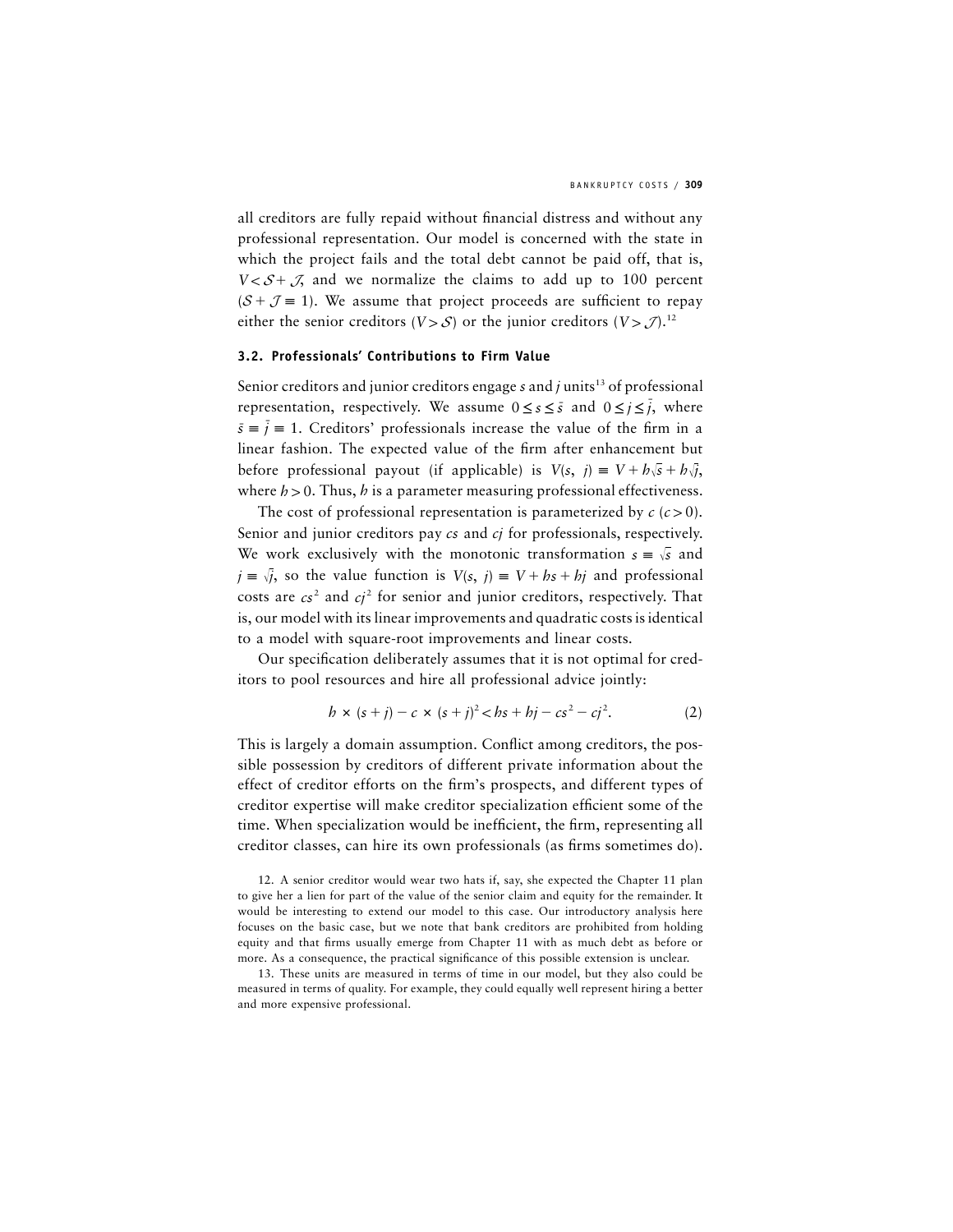all creditors are fully repaid without financial distress and without any professional representation. Our model is concerned with the state in which the project fails and the total debt cannot be paid off, that is,  $V < S + J$ , and we normalize the claims to add up to 100 percent  $(S + J = 1)$ . We assume that project proceeds are sufficient to repay either the senior creditors ( $V > S$ ) or the junior creditors ( $V > J$ ).<sup>12</sup>

## **3.2. Professionals' Contributions to Firm Value**

Senior creditors and junior creditors engage  $s$  and  $j$  units<sup>13</sup> of professional representation, respectively. We assume  $0 \le s \le \bar{s}$  and  $0 \le j \le \bar{j}$ , where  $\bar{s} = \bar{j} = 1$ . Creditors' professionals increase the value of the firm in a linear fashion. The expected value of the firm after enhancement but before professional payout (if applicable) is  $V(s, j) = V + h\sqrt{s} + h\sqrt{j}$ , where  $h > 0$ . Thus, h is a parameter measuring professional effectiveness.

The cost of professional representation is parameterized by  $c$  ( $c > 0$ ). Senior and junior creditors pay  $cs$  and  $ci$  for professionals, respectively. We work exclusively with the monotonic transformation  $s = \sqrt{s}$  and  $j \equiv \sqrt{j}$ , so the value function is  $V(s, j) \equiv V + hs + hj$  and professional costs are  $cs^2$  and  $cj^2$  for senior and junior creditors, respectively. That is, our model with its linear improvements and quadratic costs is identical to a model with square-root improvements and linear costs.

Our specification deliberately assumes that it is not optimal for creditors to pool resources and hire all professional advice jointly:

$$
h \times (s+j) - c \times (s+j)^2 < hs + hj - cs^2 - cj^2. \tag{2}
$$

This is largely a domain assumption. Conflict among creditors, the possible possession by creditors of different private information about the effect of creditor efforts on the firm's prospects, and different types of creditor expertise will make creditor specialization efficient some of the time. When specialization would be inefficient, the firm, representing all creditor classes, can hire its own professionals (as firms sometimes do).

12. A senior creditor would wear two hats if, say, she expected the Chapter 11 plan to give her a lien for part of the value of the senior claim and equity for the remainder. It would be interesting to extend our model to this case. Our introductory analysis here focuses on the basic case, but we note that bank creditors are prohibited from holding equity and that firms usually emerge from Chapter 11 with as much debt as before or more. As a consequence, the practical significance of this possible extension is unclear.

13. These units are measured in terms of time in our model, but they also could be measured in terms of quality. For example, they could equally well represent hiring a better and more expensive professional.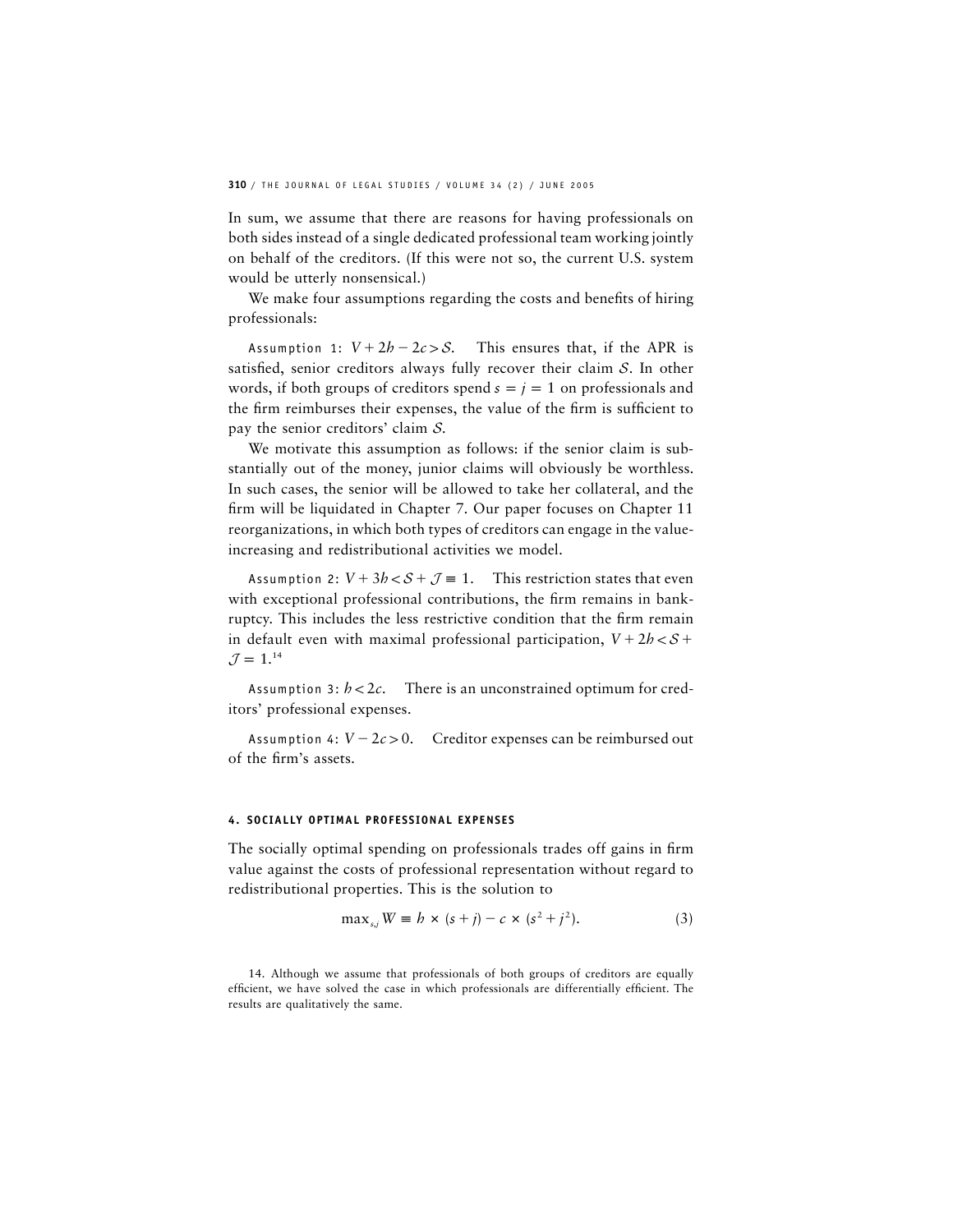In sum, we assume that there are reasons for having professionals on both sides instead of a single dedicated professional team working jointly on behalf of the creditors. (If this were not so, the current U.S. system would be utterly nonsensical.)

We make four assumptions regarding the costs and benefits of hiring professionals:

Assumption 1:  $V + 2h - 2c > S$ . This ensures that, if the APR is satisfied, senior creditors always fully recover their claim  $S$ . In other words, if both groups of creditors spend  $s = j = 1$  on professionals and the firm reimburses their expenses, the value of the firm is sufficient to pay the senior creditors' claim  $S$ .

We motivate this assumption as follows: if the senior claim is substantially out of the money, junior claims will obviously be worthless. In such cases, the senior will be allowed to take her collateral, and the firm will be liquidated in Chapter 7. Our paper focuses on Chapter 11 reorganizations, in which both types of creditors can engage in the valueincreasing and redistributional activities we model.

Assumption 2:  $V + 3h < S + J \equiv 1$ . This restriction states that even with exceptional professional contributions, the firm remains in bankruptcy. This includes the less restrictive condition that the firm remain in default even with maximal professional participation,  $V + 2h < S +$  $\mathcal{J} = 1.^{14}$ 

Assumption 3:  $h < 2c$ . There is an unconstrained optimum for creditors' professional expenses.

Assumption 4:  $V - 2c > 0$ . Creditor expenses can be reimbursed out of the firm's assets.

# **4. SOCIALLY OPTIMAL PROFESSIONAL EXPENSES**

The socially optimal spending on professionals trades off gains in firm value against the costs of professional representation without regard to redistributional properties. This is the solution to

$$
\max_{s,j} W \equiv h \times (s+j) - c \times (s^2 + j^2). \tag{3}
$$

14. Although we assume that professionals of both groups of creditors are equally efficient, we have solved the case in which professionals are differentially efficient. The results are qualitatively the same.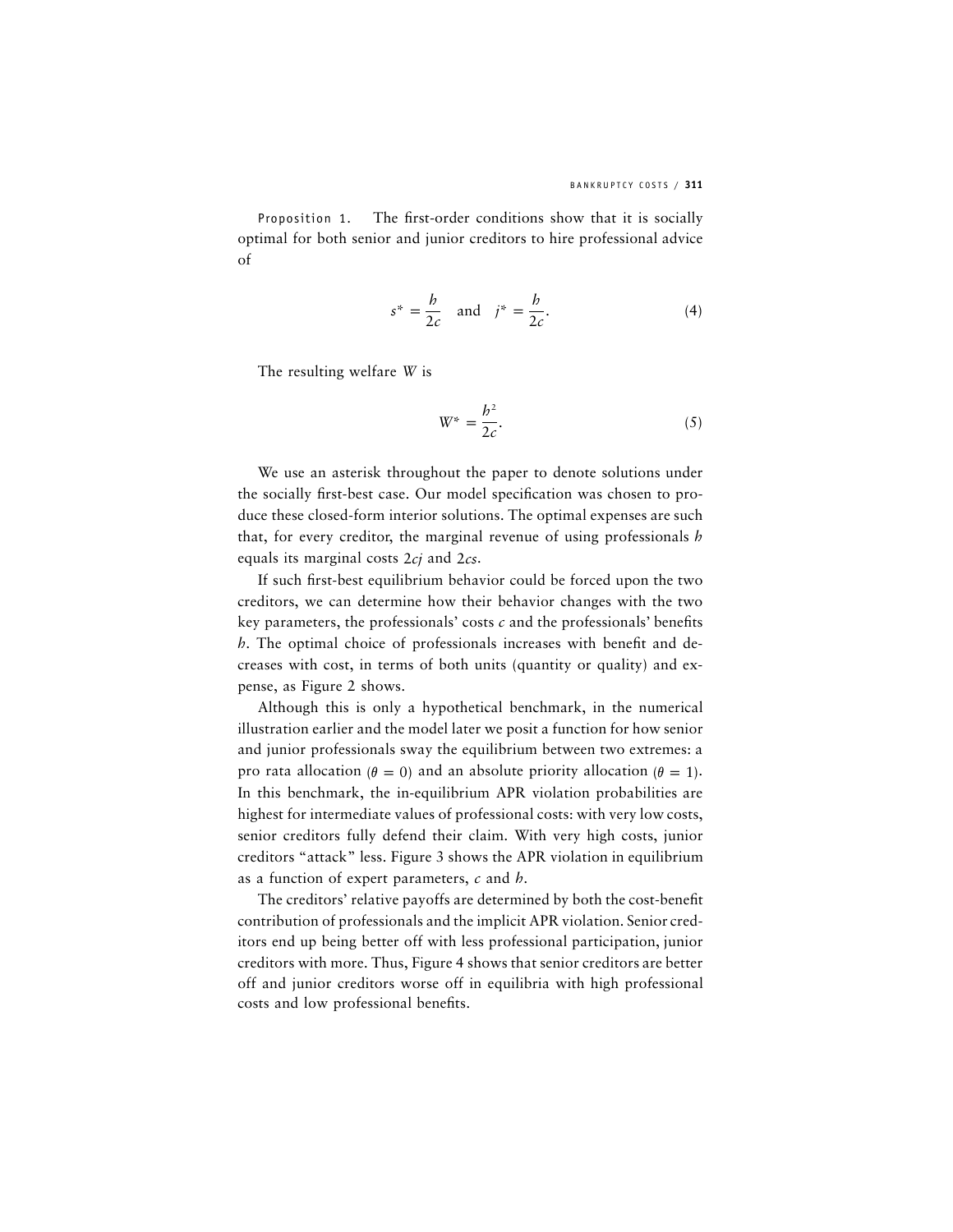Proposition 1. The first-order conditions show that it is socially optimal for both senior and junior creditors to hire professional advice of

$$
s^* = \frac{b}{2c} \quad \text{and} \quad j^* = \frac{b}{2c}.\tag{4}
$$

The resulting welfare *W* is

$$
W^* = \frac{h^2}{2c}.\tag{5}
$$

We use an asterisk throughout the paper to denote solutions under the socially first-best case. Our model specification was chosen to produce these closed-form interior solutions. The optimal expenses are such that, for every creditor, the marginal revenue of using professionals *h* equals its marginal costs  $2c<sub>j</sub>$  and  $2c<sub>s</sub>$ .

If such first-best equilibrium behavior could be forced upon the two creditors, we can determine how their behavior changes with the two key parameters, the professionals' costs *c* and the professionals' benefits *h*. The optimal choice of professionals increases with benefit and decreases with cost, in terms of both units (quantity or quality) and expense, as Figure 2 shows.

Although this is only a hypothetical benchmark, in the numerical illustration earlier and the model later we posit a function for how senior and junior professionals sway the equilibrium between two extremes: a pro rata allocation  $(\theta = 0)$  and an absolute priority allocation  $(\theta = 1)$ . In this benchmark, the in-equilibrium APR violation probabilities are highest for intermediate values of professional costs: with very low costs, senior creditors fully defend their claim. With very high costs, junior creditors "attack" less. Figure 3 shows the APR violation in equilibrium as a function of expert parameters, *c* and *h*.

The creditors' relative payoffs are determined by both the cost-benefit contribution of professionals and the implicit APR violation. Senior creditors end up being better off with less professional participation, junior creditors with more. Thus, Figure 4 shows that senior creditors are better off and junior creditors worse off in equilibria with high professional costs and low professional benefits.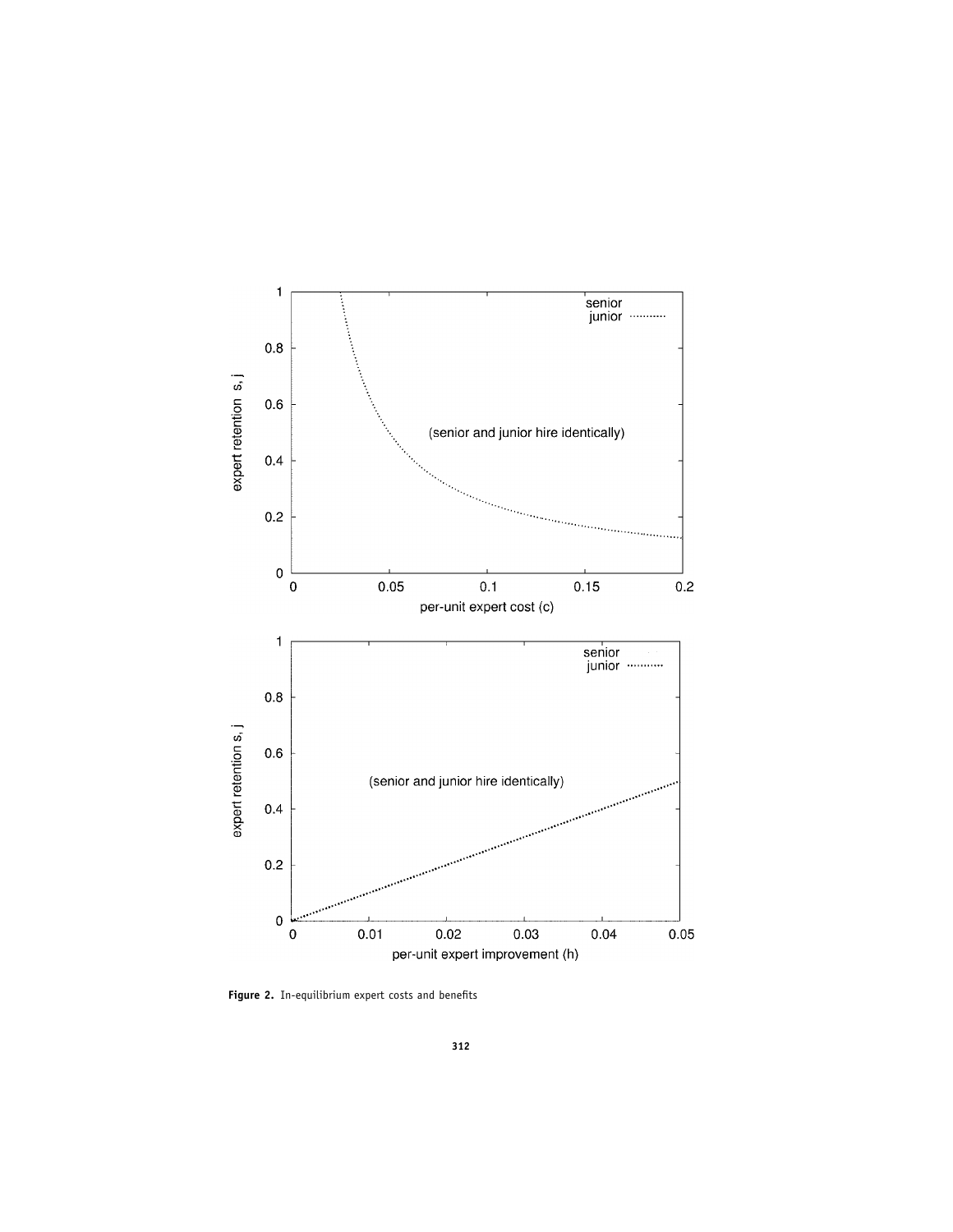

**Figure 2.** In-equilibrium expert costs and benefits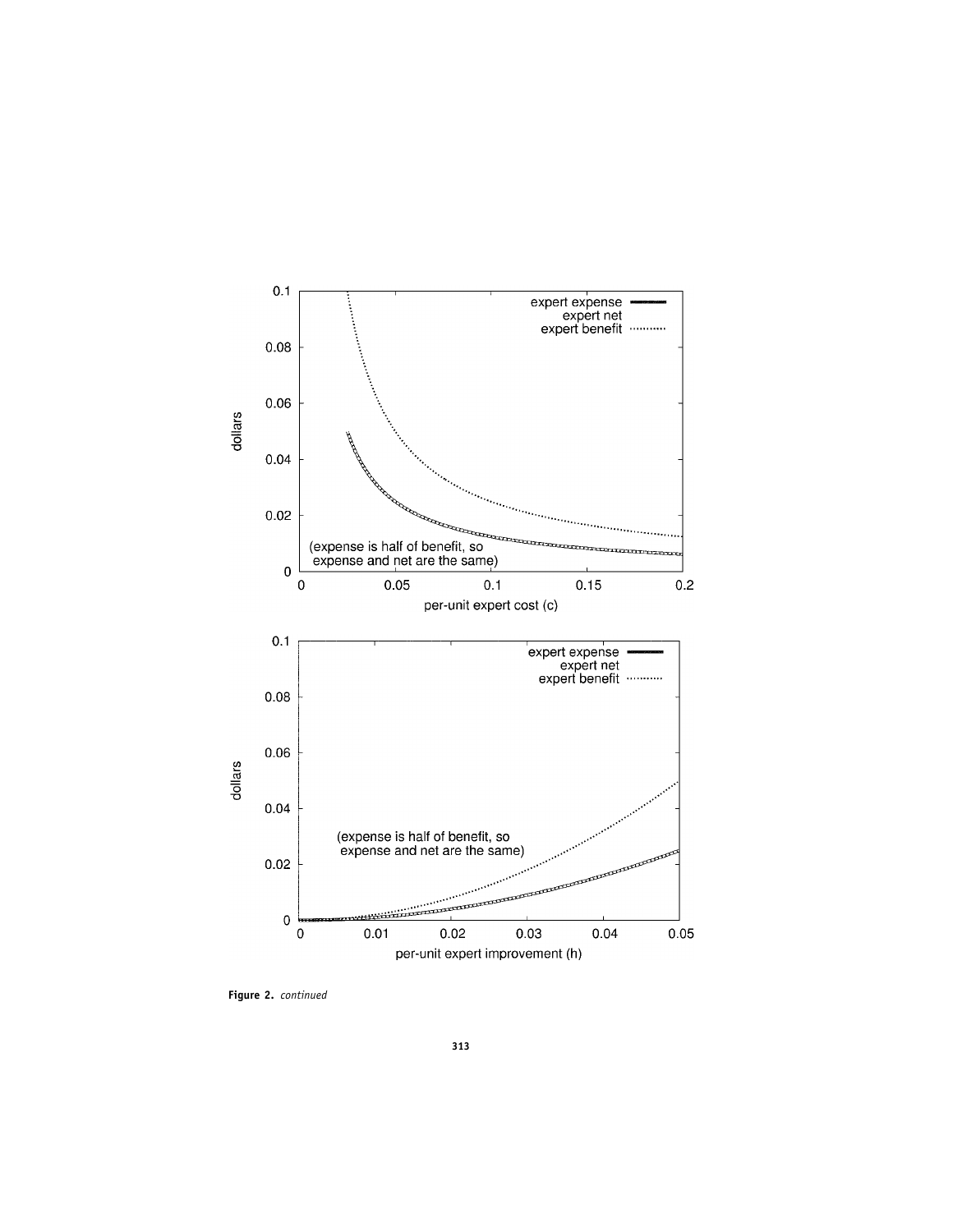

**Figure 2.** *continued*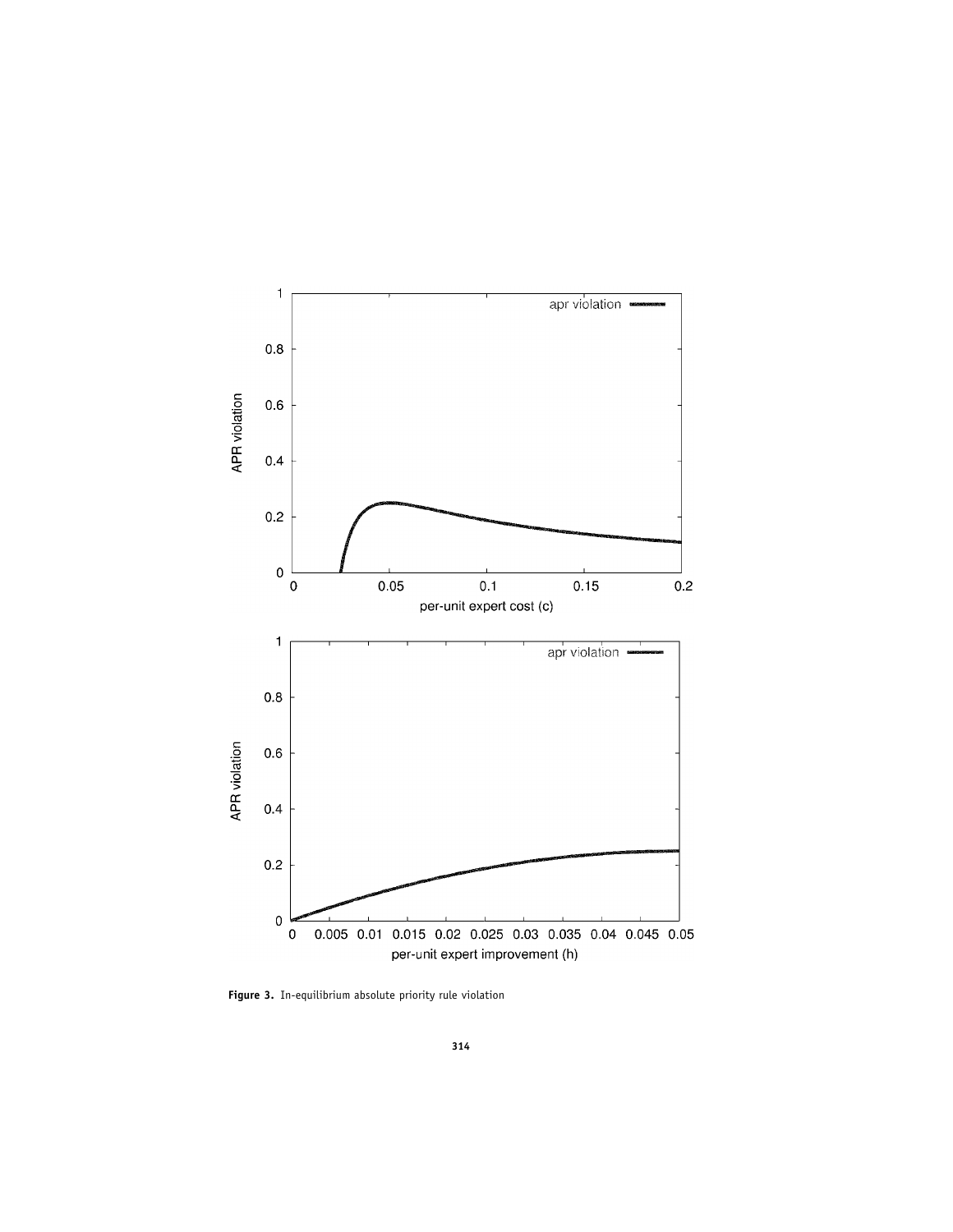

**Figure 3.** In-equilibrium absolute priority rule violation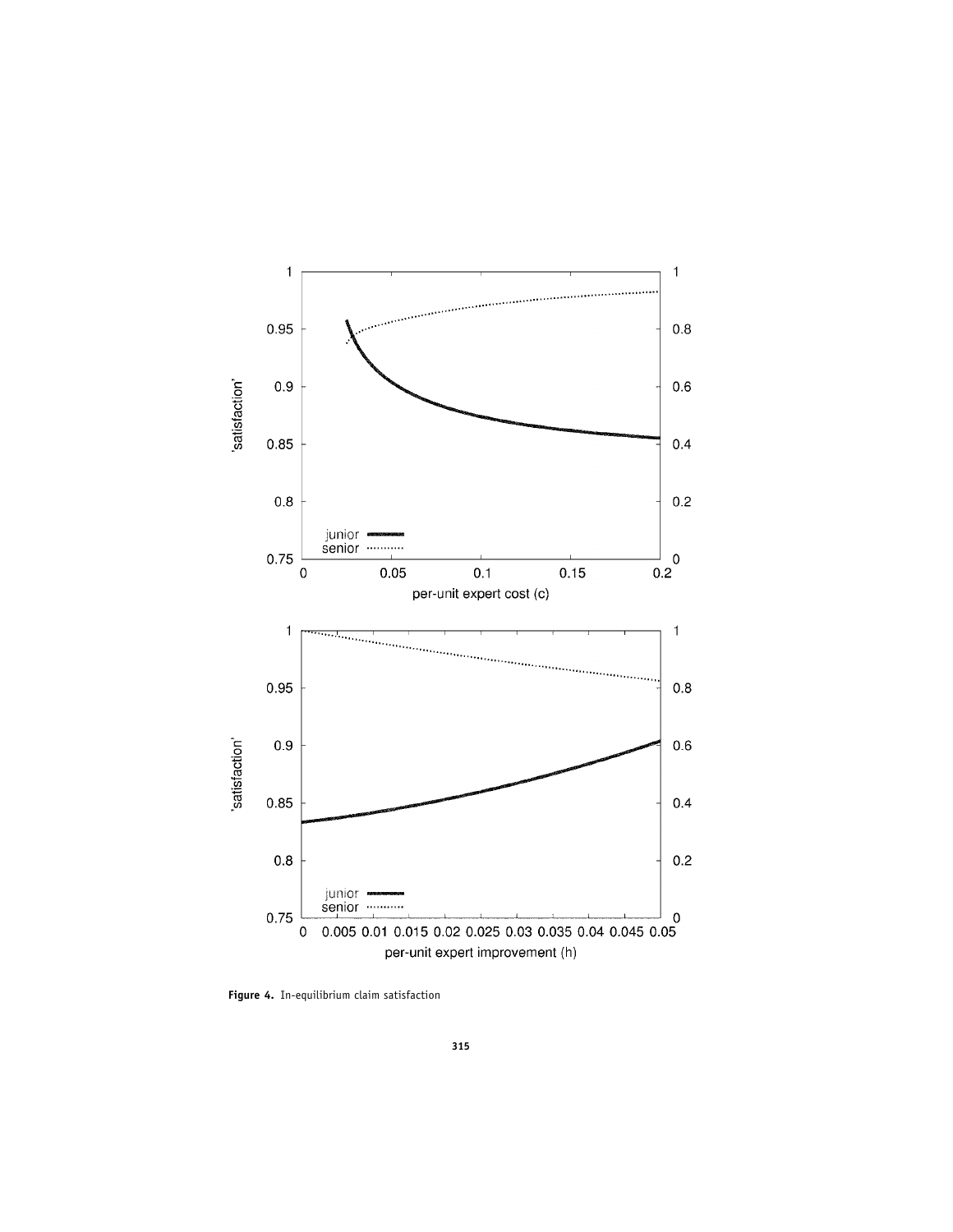

**Figure 4.** In-equilibrium claim satisfaction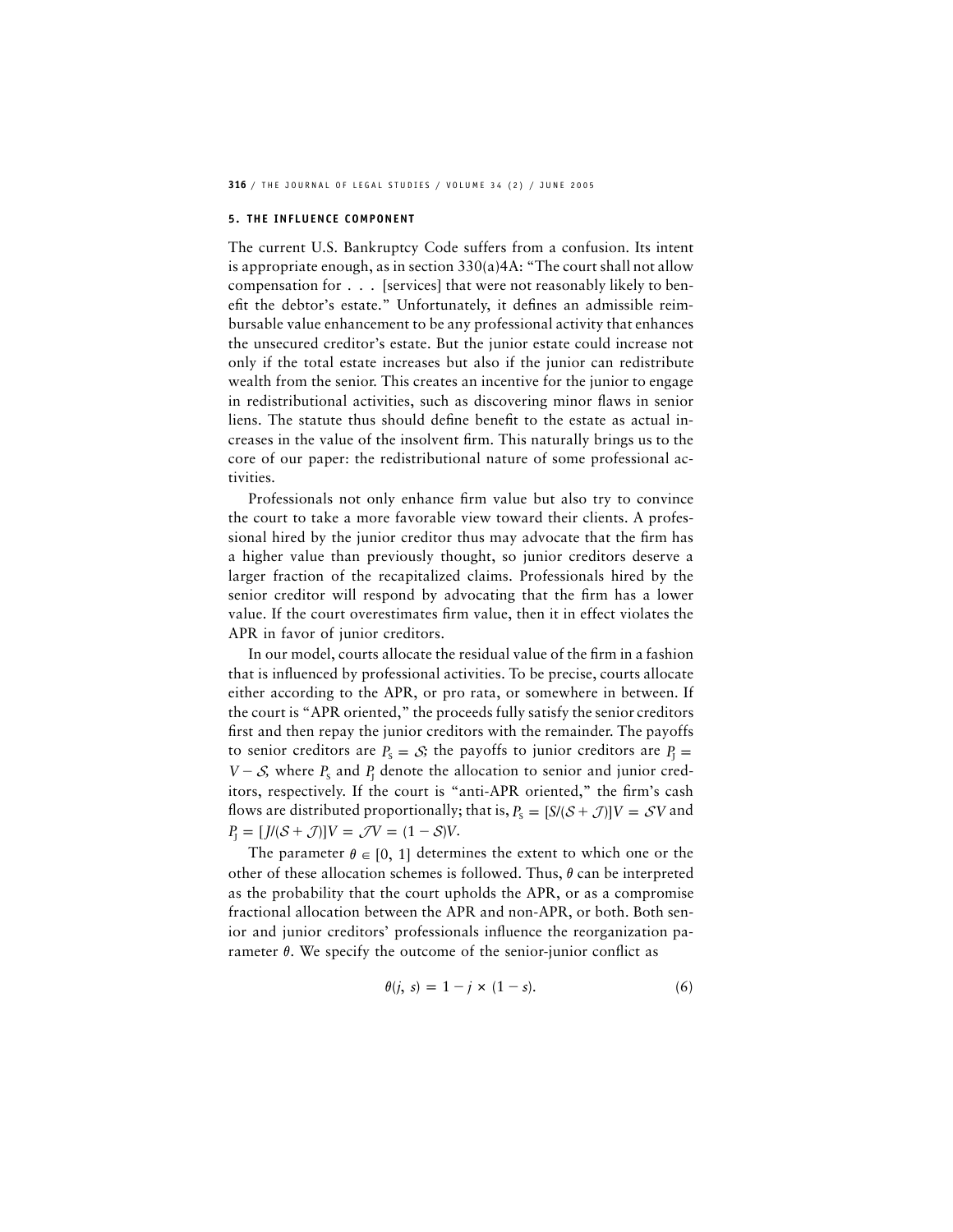### **5. THE INFLUENCE COMPONENT**

The current U.S. Bankruptcy Code suffers from a confusion. Its intent is appropriate enough, as in section 330(a)4A: "The court shall not allow compensation for . . . [services] that were not reasonably likely to benefit the debtor's estate." Unfortunately, it defines an admissible reimbursable value enhancement to be any professional activity that enhances the unsecured creditor's estate. But the junior estate could increase not only if the total estate increases but also if the junior can redistribute wealth from the senior. This creates an incentive for the junior to engage in redistributional activities, such as discovering minor flaws in senior liens. The statute thus should define benefit to the estate as actual increases in the value of the insolvent firm. This naturally brings us to the core of our paper: the redistributional nature of some professional activities.

Professionals not only enhance firm value but also try to convince the court to take a more favorable view toward their clients. A professional hired by the junior creditor thus may advocate that the firm has a higher value than previously thought, so junior creditors deserve a larger fraction of the recapitalized claims. Professionals hired by the senior creditor will respond by advocating that the firm has a lower value. If the court overestimates firm value, then it in effect violates the APR in favor of junior creditors.

In our model, courts allocate the residual value of the firm in a fashion that is influenced by professional activities. To be precise, courts allocate either according to the APR, or pro rata, or somewhere in between. If the court is "APR oriented," the proceeds fully satisfy the senior creditors first and then repay the junior creditors with the remainder. The payoffs to senior creditors are  $P_s = S$ ; the payoffs to junior creditors are  $P_i =$  $V - S$ , where  $P_s$  and  $P_l$  denote the allocation to senior and junior creditors, respectively. If the court is "anti-APR oriented," the firm's cash flows are distributed proportionally; that is,  $P_s = [S/(\mathcal{S} + \mathcal{J})]V = \mathcal{S}V$  and  $P_{\text{J}} = [J/(\mathcal{S} + \mathcal{J})]V = \mathcal{J}V = (1 - \mathcal{S})V.$ 

The parameter  $\theta \in [0, 1]$  determines the extent to which one or the other of these allocation schemes is followed. Thus,  $\theta$  can be interpreted as the probability that the court upholds the APR, or as a compromise fractional allocation between the APR and non-APR, or both. Both senior and junior creditors' professionals influence the reorganization parameter  $\theta$ . We specify the outcome of the senior-junior conflict as

$$
\theta(j, s) = 1 - j \times (1 - s). \tag{6}
$$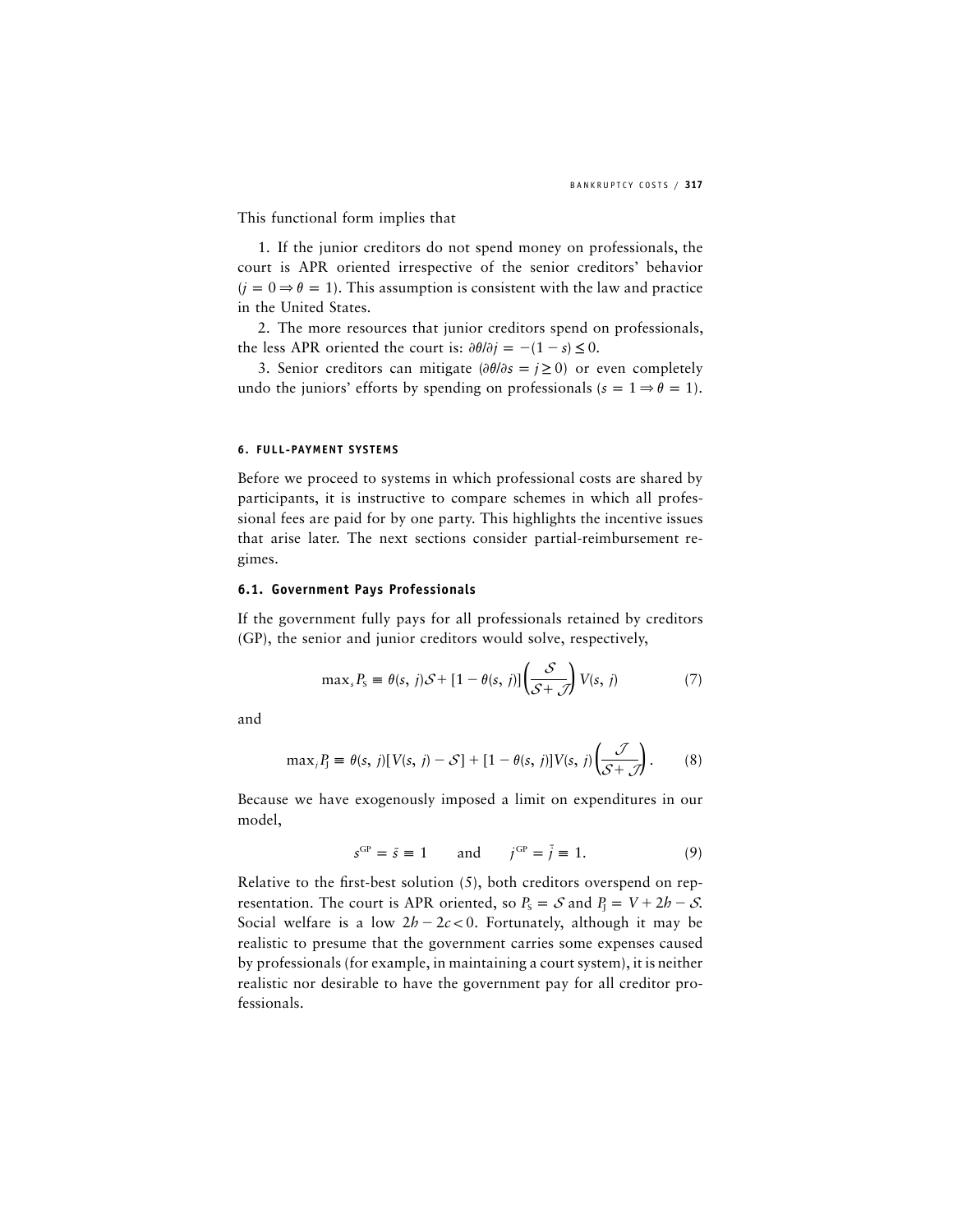This functional form implies that

1. If the junior creditors do not spend money on professionals, the court is APR oriented irrespective of the senior creditors' behavior  $(j = 0 \Rightarrow \theta = 1)$ . This assumption is consistent with the law and practice in the United States.

2. The more resources that junior creditors spend on professionals, the less APR oriented the court is:  $\partial \theta / \partial j = -(1 - s) \leq 0$ .

3. Senior creditors can mitigate  $(\partial \theta / \partial s = j \ge 0)$  or even completely undo the juniors' efforts by spending on professionals ( $s = 1 \Rightarrow \theta = 1$ ).

# **6. FULL-PAYMENT SYSTEMS**

Before we proceed to systems in which professional costs are shared by participants, it is instructive to compare schemes in which all professional fees are paid for by one party. This highlights the incentive issues that arise later. The next sections consider partial-reimbursement regimes.

# **6.1. Government Pays Professionals**

If the government fully pays for all professionals retained by creditors (GP), the senior and junior creditors would solve, respectively,

$$
\max_{s} P_{s} \equiv \theta(s, j)\mathcal{S} + [1 - \theta(s, j)] \left(\frac{\mathcal{S}}{\mathcal{S} + \mathcal{J}}\right) V(s, j) \tag{7}
$$

and

$$
\max_{j} P_{j} \equiv \theta(s, j) [V(s, j) - S] + [1 - \theta(s, j)] V(s, j) \left(\frac{\mathcal{J}}{\mathcal{S} + \mathcal{J}}\right). \tag{8}
$$

Because we have exogenously imposed a limit on expenditures in our model,

$$
s^{\text{GP}} = \bar{s} \equiv 1 \qquad \text{and} \qquad j^{\text{GP}} = \bar{j} \equiv 1. \tag{9}
$$

Relative to the first-best solution (5), both creditors overspend on representation. The court is APR oriented, so  $P_s = S$  and  $P_l = V + 2h - S$ . Social welfare is a low  $2h - 2c < 0$ . Fortunately, although it may be realistic to presume that the government carries some expenses caused by professionals (for example, in maintaining a court system), it is neither realistic nor desirable to have the government pay for all creditor professionals.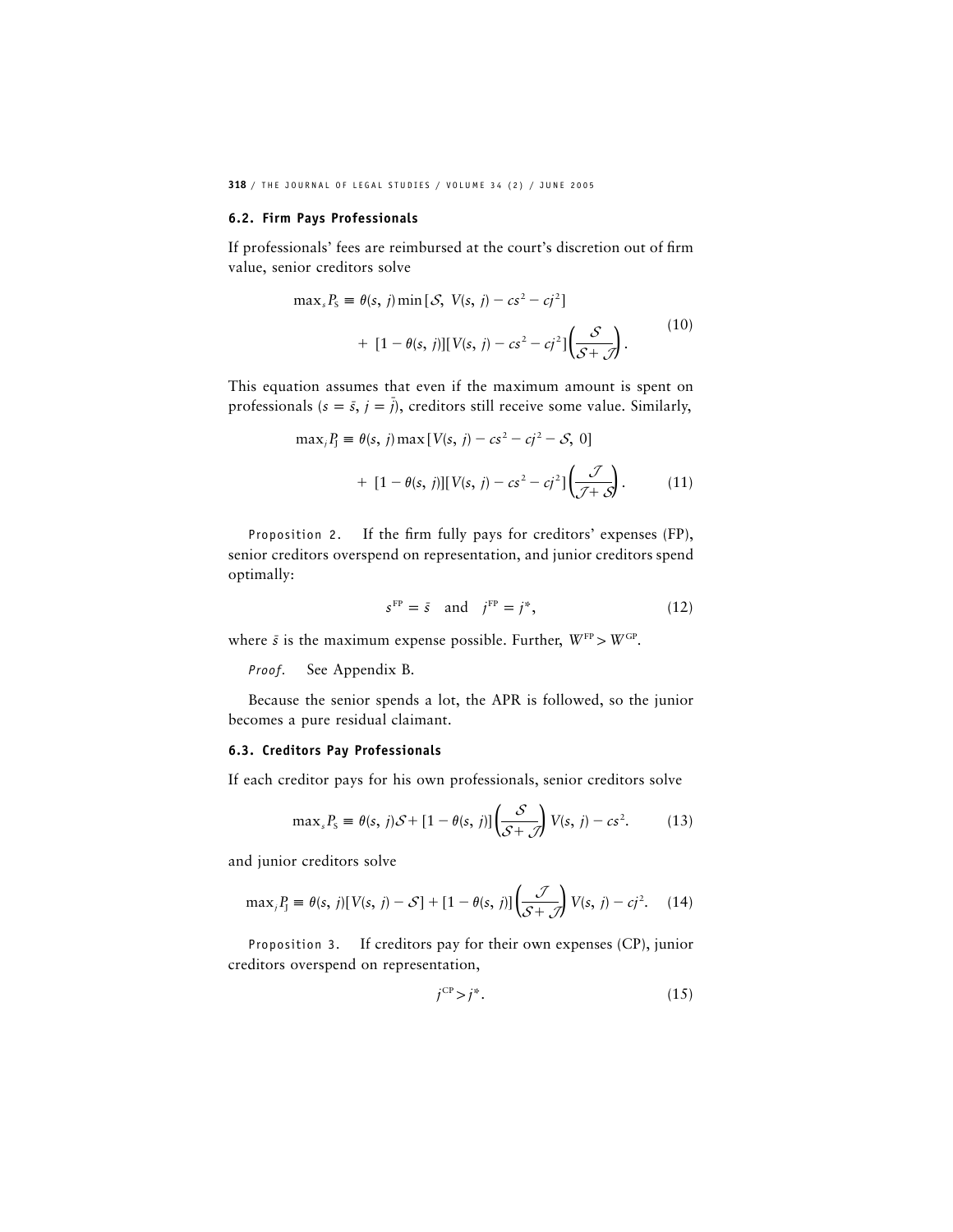### **6.2. Firm Pays Professionals**

If professionals' fees are reimbursed at the court's discretion out of firm value, senior creditors solve

$$
\max_{s} P_s \equiv \theta(s, j) \min \left[ \mathcal{S}, V(s, j) - cs^2 - cj^2 \right]
$$

$$
+ \left[ 1 - \theta(s, j) \right] \left[ V(s, j) - cs^2 - cj^2 \right] \left( \frac{\mathcal{S}}{\mathcal{S} + \mathcal{J}} \right). \tag{10}
$$

This equation assumes that even if the maximum amount is spent on professionals ( $s = \overline{s}$ ,  $\overline{j} = \overline{j}$ ), creditors still receive some value. Similarly,

$$
\max_{j} P_{j} \equiv \theta(s, j) \max[V(s, j) - cs^{2} - c j^{2} - S, 0]
$$
  
+  $[1 - \theta(s, j)][V(s, j) - cs^{2} - c j^{2}] \left(\frac{\mathcal{J}}{\mathcal{J} + S}\right).$  (11)

Proposition 2. If the firm fully pays for creditors' expenses (FP), senior creditors overspend on representation, and junior creditors spend optimally:

$$
s^{\text{FP}} = \bar{s} \quad \text{and} \quad j^{\text{FP}} = j^*, \tag{12}
$$

where  $\bar{s}$  is the maximum expense possible. Further,  $W^{FP} > W^{GP}$ .

*Proof.* See Appendix B.

Because the senior spends a lot, the APR is followed, so the junior becomes a pure residual claimant.

# **6.3. Creditors Pay Professionals**

If each creditor pays for his own professionals, senior creditors solve

$$
\max_{s} P_{s} \equiv \theta(s, j)\mathcal{S} + [1 - \theta(s, j)] \left(\frac{\mathcal{S}}{\mathcal{S} + \mathcal{J}}\right) V(s, j) - cs^{2}.
$$
 (13)

and junior creditors solve

$$
\max_{j} P_{j} \equiv \theta(s, j) [V(s, j) - S] + [1 - \theta(s, j)] \left(\frac{\mathcal{J}}{\mathcal{S} + \mathcal{J}}\right) V(s, j) - c j^{2}.
$$
 (14)

Proposition 3. If creditors pay for their own expenses (CP), junior creditors overspend on representation,

$$
j^{\rm CP} > j^* \tag{15}
$$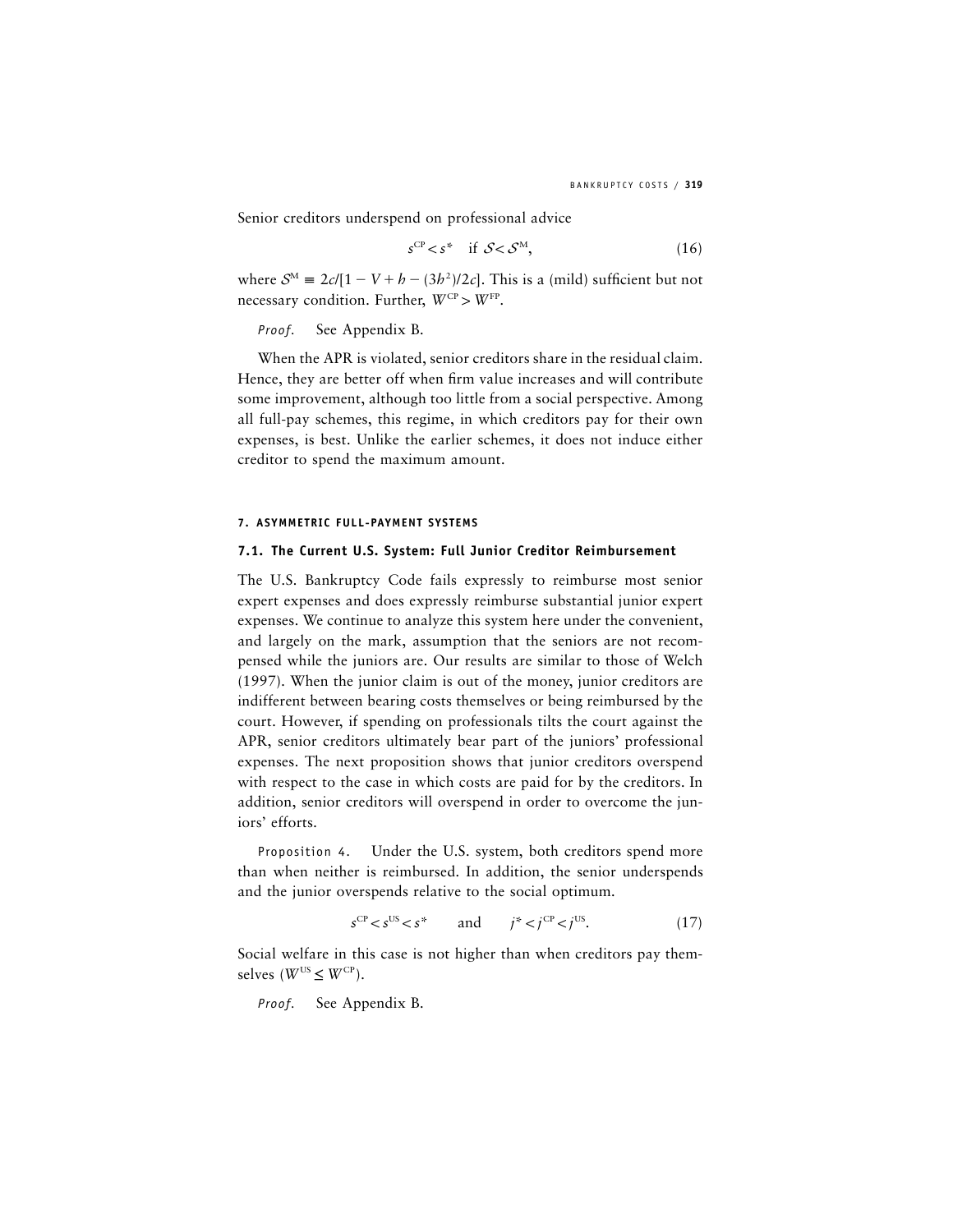Senior creditors underspend on professional advice

$$
s^{CP} < s^* \quad \text{if } \mathcal{S} < \mathcal{S}^M,\tag{16}
$$

where  $S^M \equiv 2c/[1 - V + h - (3h^2)/2c]$ . This is a (mild) sufficient but not necessary condition. Further,  $W^{CP}$  >  $W^{FP}$ .

*Proof.* See Appendix B.

When the APR is violated, senior creditors share in the residual claim. Hence, they are better off when firm value increases and will contribute some improvement, although too little from a social perspective. Among all full-pay schemes, this regime, in which creditors pay for their own expenses, is best. Unlike the earlier schemes, it does not induce either creditor to spend the maximum amount.

# **7. ASYMMETRIC FULL-PAYMENT SYSTEMS**

# **7.1. The Current U.S. System: Full Junior Creditor Reimbursement**

The U.S. Bankruptcy Code fails expressly to reimburse most senior expert expenses and does expressly reimburse substantial junior expert expenses. We continue to analyze this system here under the convenient, and largely on the mark, assumption that the seniors are not recompensed while the juniors are. Our results are similar to those of Welch (1997). When the junior claim is out of the money, junior creditors are indifferent between bearing costs themselves or being reimbursed by the court. However, if spending on professionals tilts the court against the APR, senior creditors ultimately bear part of the juniors' professional expenses. The next proposition shows that junior creditors overspend with respect to the case in which costs are paid for by the creditors. In addition, senior creditors will overspend in order to overcome the juniors' efforts.

Proposition 4. Under the U.S. system, both creditors spend more than when neither is reimbursed. In addition, the senior underspends and the junior overspends relative to the social optimum.

$$
s^{CP} < s^{US} < s^* \qquad \text{and} \qquad j^* < j^{CP} < j^{US}. \tag{17}
$$

Social welfare in this case is not higher than when creditors pay themselves  $(W^{US} \leq W^{CP})$ .

*Proof.* See Appendix B.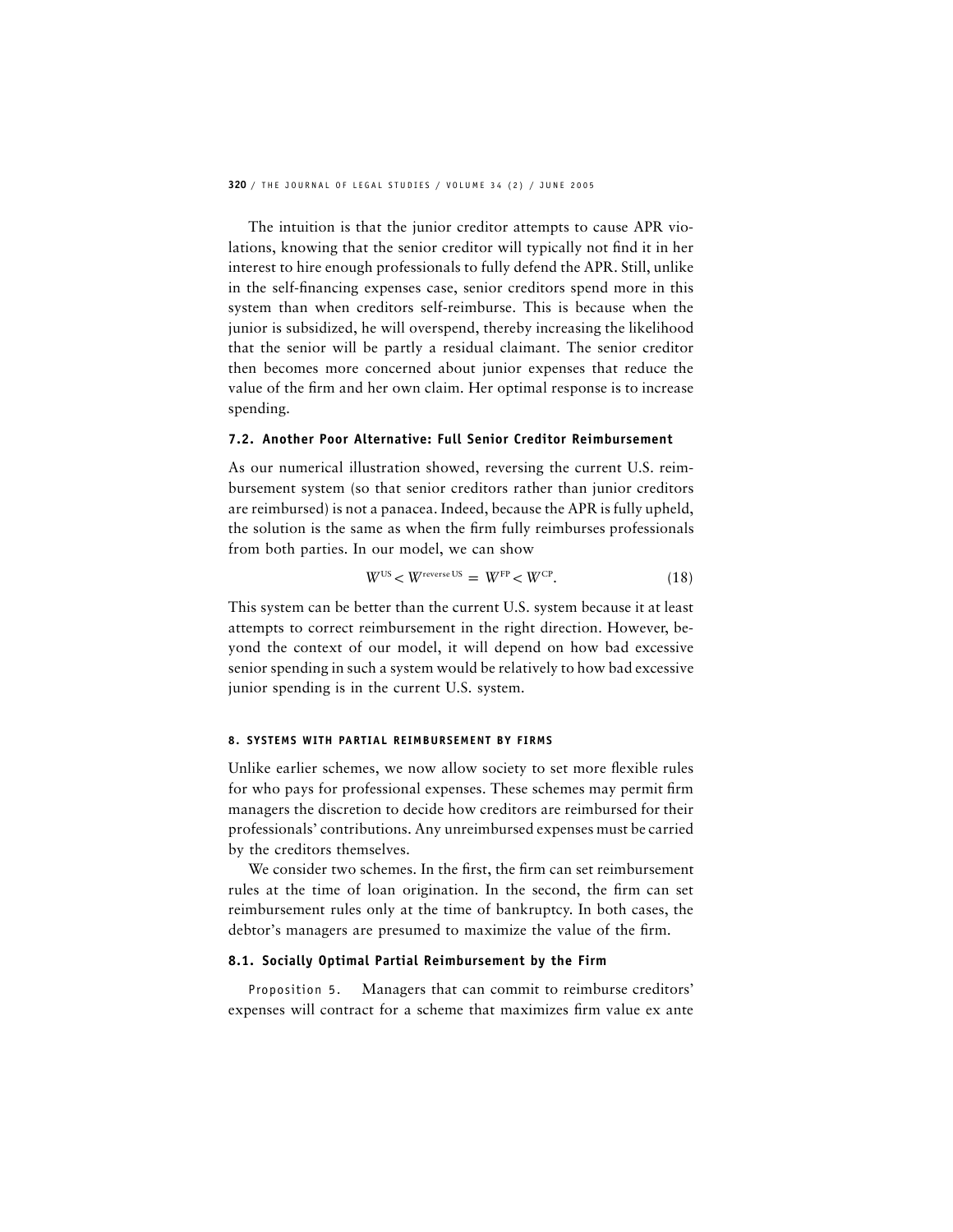The intuition is that the junior creditor attempts to cause APR violations, knowing that the senior creditor will typically not find it in her interest to hire enough professionals to fully defend the APR. Still, unlike in the self-financing expenses case, senior creditors spend more in this system than when creditors self-reimburse. This is because when the junior is subsidized, he will overspend, thereby increasing the likelihood that the senior will be partly a residual claimant. The senior creditor then becomes more concerned about junior expenses that reduce the value of the firm and her own claim. Her optimal response is to increase spending.

# **7.2. Another Poor Alternative: Full Senior Creditor Reimbursement**

As our numerical illustration showed, reversing the current U.S. reimbursement system (so that senior creditors rather than junior creditors are reimbursed) is not a panacea. Indeed, because the APR is fully upheld, the solution is the same as when the firm fully reimburses professionals from both parties. In our model, we can show

$$
W^{US} < W^{\text{reverse US}} = W^{\text{FP}} < W^{\text{CP}}.\tag{18}
$$

This system can be better than the current U.S. system because it at least attempts to correct reimbursement in the right direction. However, beyond the context of our model, it will depend on how bad excessive senior spending in such a system would be relatively to how bad excessive junior spending is in the current U.S. system.

# **8. SYSTEMS WITH PARTIAL REIMBURSEMENT BY FIRMS**

Unlike earlier schemes, we now allow society to set more flexible rules for who pays for professional expenses. These schemes may permit firm managers the discretion to decide how creditors are reimbursed for their professionals' contributions. Any unreimbursed expenses must be carried by the creditors themselves.

We consider two schemes. In the first, the firm can set reimbursement rules at the time of loan origination. In the second, the firm can set reimbursement rules only at the time of bankruptcy. In both cases, the debtor's managers are presumed to maximize the value of the firm.

### **8.1. Socially Optimal Partial Reimbursement by the Firm**

Proposition 5. Managers that can commit to reimburse creditors' expenses will contract for a scheme that maximizes firm value ex ante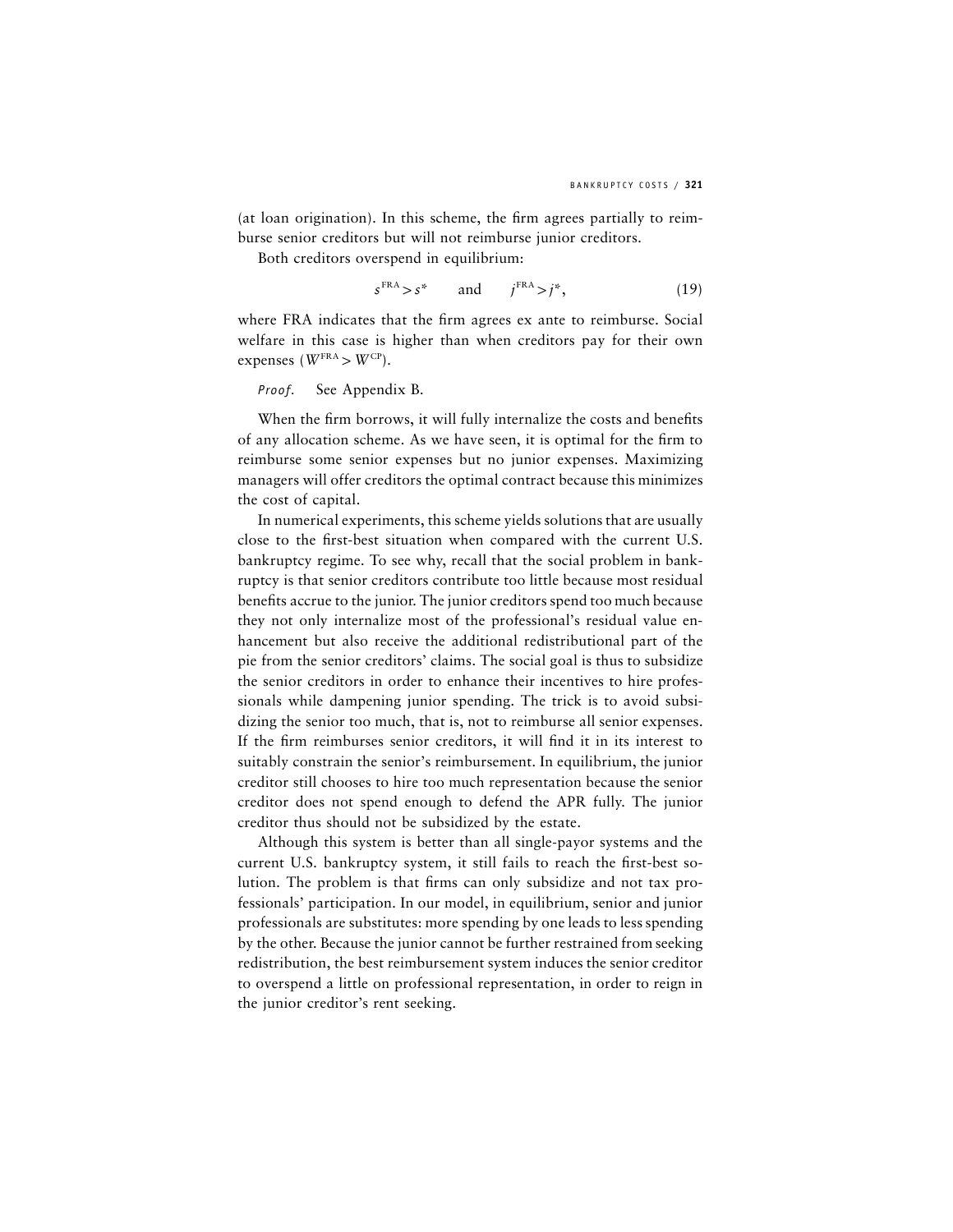(at loan origination). In this scheme, the firm agrees partially to reimburse senior creditors but will not reimburse junior creditors.

Both creditors overspend in equilibrium:

$$
s^{\text{FRA}} > s^* \qquad \text{and} \qquad j^{\text{FRA}} > j^*, \tag{19}
$$

where FRA indicates that the firm agrees ex ante to reimburse. Social welfare in this case is higher than when creditors pay for their own expenses  $(W<sup>FRA</sup> > W<sup>CP</sup>)$ .

*Proof.* See Appendix B.

When the firm borrows, it will fully internalize the costs and benefits of any allocation scheme. As we have seen, it is optimal for the firm to reimburse some senior expenses but no junior expenses. Maximizing managers will offer creditors the optimal contract because this minimizes the cost of capital.

In numerical experiments, this scheme yields solutions that are usually close to the first-best situation when compared with the current U.S. bankruptcy regime. To see why, recall that the social problem in bankruptcy is that senior creditors contribute too little because most residual benefits accrue to the junior. The junior creditors spend too much because they not only internalize most of the professional's residual value enhancement but also receive the additional redistributional part of the pie from the senior creditors' claims. The social goal is thus to subsidize the senior creditors in order to enhance their incentives to hire professionals while dampening junior spending. The trick is to avoid subsidizing the senior too much, that is, not to reimburse all senior expenses. If the firm reimburses senior creditors, it will find it in its interest to suitably constrain the senior's reimbursement. In equilibrium, the junior creditor still chooses to hire too much representation because the senior creditor does not spend enough to defend the APR fully. The junior creditor thus should not be subsidized by the estate.

Although this system is better than all single-payor systems and the current U.S. bankruptcy system, it still fails to reach the first-best solution. The problem is that firms can only subsidize and not tax professionals' participation. In our model, in equilibrium, senior and junior professionals are substitutes: more spending by one leads to less spending by the other. Because the junior cannot be further restrained from seeking redistribution, the best reimbursement system induces the senior creditor to overspend a little on professional representation, in order to reign in the junior creditor's rent seeking.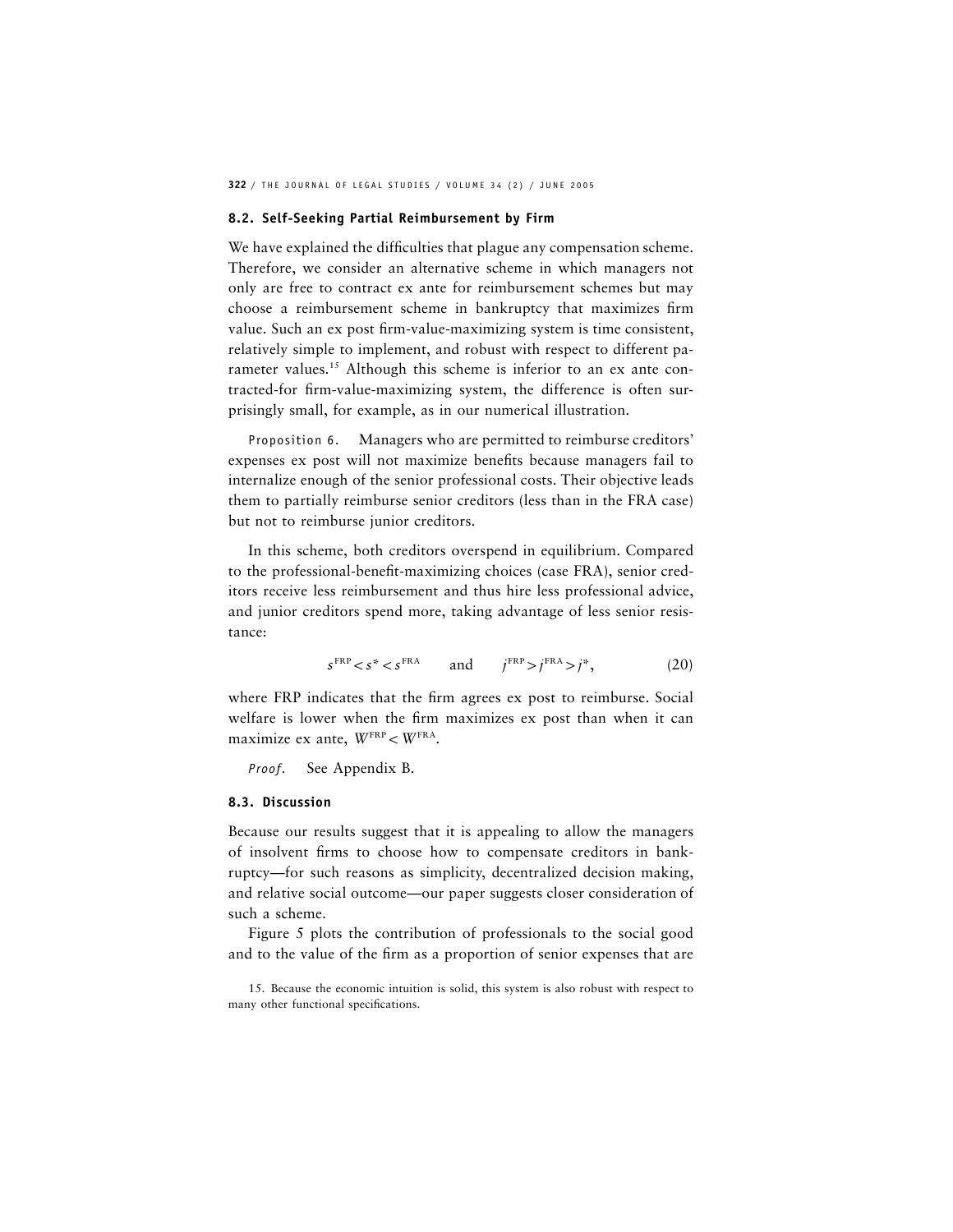# **8.2. Self-Seeking Partial Reimbursement by Firm**

We have explained the difficulties that plague any compensation scheme. Therefore, we consider an alternative scheme in which managers not only are free to contract ex ante for reimbursement schemes but may choose a reimbursement scheme in bankruptcy that maximizes firm value. Such an ex post firm-value-maximizing system is time consistent, relatively simple to implement, and robust with respect to different parameter values.<sup>15</sup> Although this scheme is inferior to an ex ante contracted-for firm-value-maximizing system, the difference is often surprisingly small, for example, as in our numerical illustration.

Proposition 6. Managers who are permitted to reimburse creditors' expenses ex post will not maximize benefits because managers fail to internalize enough of the senior professional costs. Their objective leads them to partially reimburse senior creditors (less than in the FRA case) but not to reimburse junior creditors.

In this scheme, both creditors overspend in equilibrium. Compared to the professional-benefit-maximizing choices (case FRA), senior creditors receive less reimbursement and thus hire less professional advice, and junior creditors spend more, taking advantage of less senior resistance:

$$
sFRP < s* < sFRA \qquad \text{and} \qquad jFRP > jFRA > j*, \tag{20}
$$

where FRP indicates that the firm agrees ex post to reimburse. Social welfare is lower when the firm maximizes ex post than when it can maximize ex ante,  $W^{FRP}$  <  $W^{FRA}$ .

*Proof.* See Appendix B.

### **8.3. Discussion**

Because our results suggest that it is appealing to allow the managers of insolvent firms to choose how to compensate creditors in bankruptcy—for such reasons as simplicity, decentralized decision making, and relative social outcome—our paper suggests closer consideration of such a scheme.

Figure 5 plots the contribution of professionals to the social good and to the value of the firm as a proportion of senior expenses that are

<sup>15.</sup> Because the economic intuition is solid, this system is also robust with respect to many other functional specifications.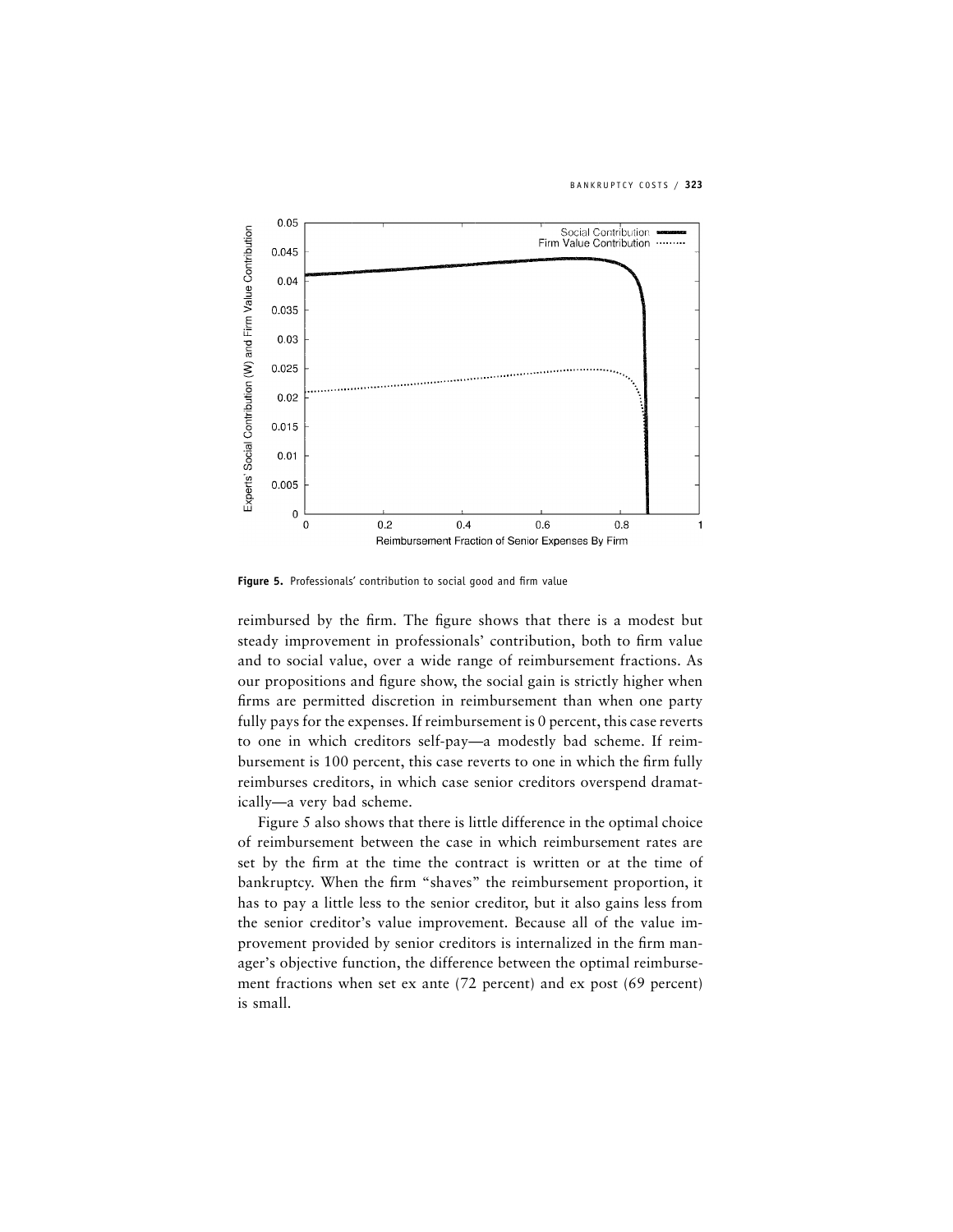### BANKRUPTCY COSTS / **323**



Figure 5. Professionals' contribution to social good and firm value

reimbursed by the firm. The figure shows that there is a modest but steady improvement in professionals' contribution, both to firm value and to social value, over a wide range of reimbursement fractions. As our propositions and figure show, the social gain is strictly higher when firms are permitted discretion in reimbursement than when one party fully pays for the expenses. If reimbursement is 0 percent, this case reverts to one in which creditors self-pay—a modestly bad scheme. If reimbursement is 100 percent, this case reverts to one in which the firm fully reimburses creditors, in which case senior creditors overspend dramatically—a very bad scheme.

Figure 5 also shows that there is little difference in the optimal choice of reimbursement between the case in which reimbursement rates are set by the firm at the time the contract is written or at the time of bankruptcy. When the firm "shaves" the reimbursement proportion, it has to pay a little less to the senior creditor, but it also gains less from the senior creditor's value improvement. Because all of the value improvement provided by senior creditors is internalized in the firm manager's objective function, the difference between the optimal reimbursement fractions when set ex ante (72 percent) and ex post (69 percent) is small.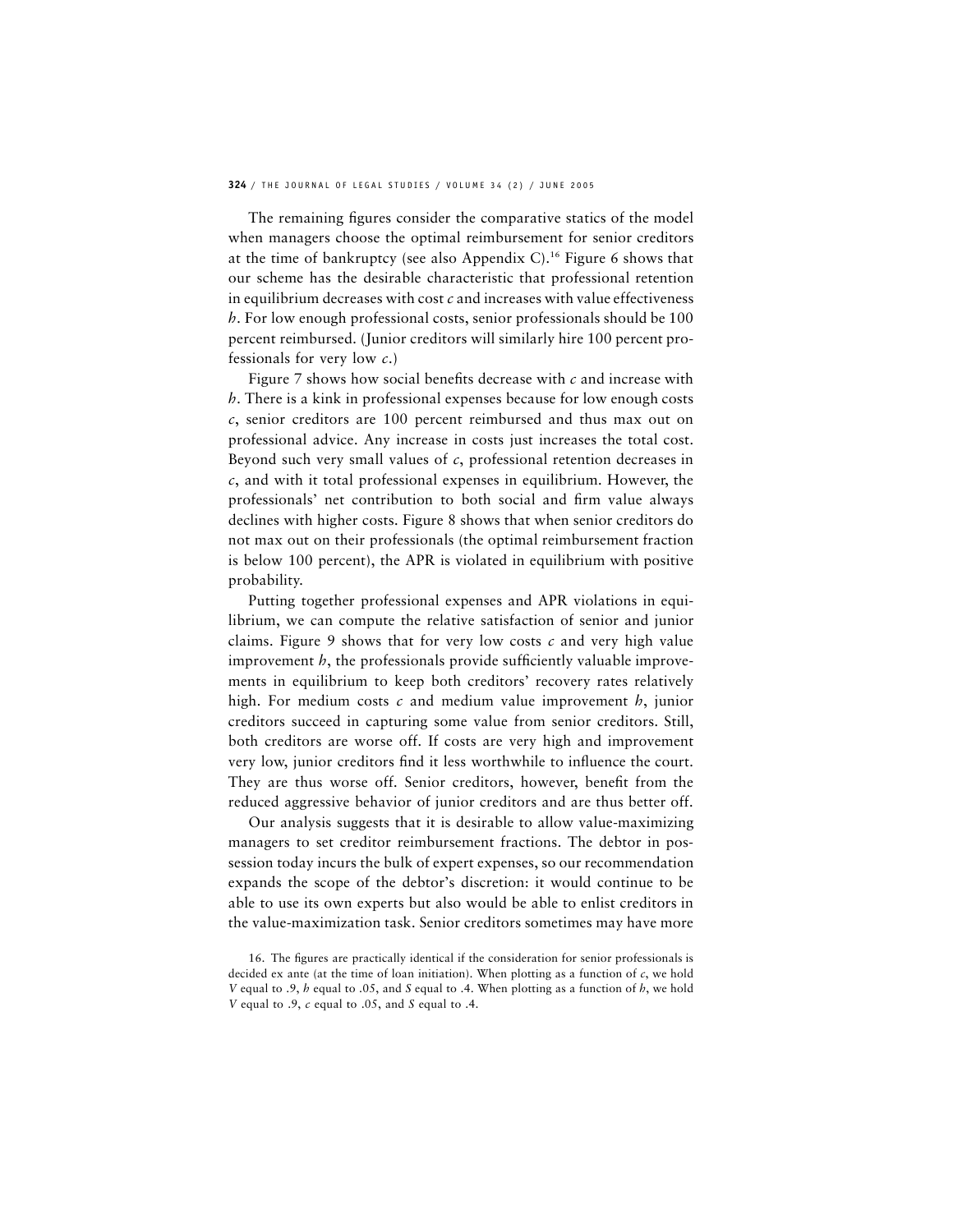The remaining figures consider the comparative statics of the model when managers choose the optimal reimbursement for senior creditors at the time of bankruptcy (see also Appendix C).<sup>16</sup> Figure 6 shows that our scheme has the desirable characteristic that professional retention in equilibrium decreases with cost *c* and increases with value effectiveness *h*. For low enough professional costs, senior professionals should be 100 percent reimbursed. (Junior creditors will similarly hire 100 percent professionals for very low *c*.)

Figure 7 shows how social benefits decrease with *c* and increase with *h*. There is a kink in professional expenses because for low enough costs *c*, senior creditors are 100 percent reimbursed and thus max out on professional advice. Any increase in costs just increases the total cost. Beyond such very small values of *c*, professional retention decreases in *c*, and with it total professional expenses in equilibrium. However, the professionals' net contribution to both social and firm value always declines with higher costs. Figure 8 shows that when senior creditors do not max out on their professionals (the optimal reimbursement fraction is below 100 percent), the APR is violated in equilibrium with positive probability.

Putting together professional expenses and APR violations in equilibrium, we can compute the relative satisfaction of senior and junior claims. Figure 9 shows that for very low costs *c* and very high value improvement *h*, the professionals provide sufficiently valuable improvements in equilibrium to keep both creditors' recovery rates relatively high. For medium costs *c* and medium value improvement *h*, junior creditors succeed in capturing some value from senior creditors. Still, both creditors are worse off. If costs are very high and improvement very low, junior creditors find it less worthwhile to influence the court. They are thus worse off. Senior creditors, however, benefit from the reduced aggressive behavior of junior creditors and are thus better off.

Our analysis suggests that it is desirable to allow value-maximizing managers to set creditor reimbursement fractions. The debtor in possession today incurs the bulk of expert expenses, so our recommendation expands the scope of the debtor's discretion: it would continue to be able to use its own experts but also would be able to enlist creditors in the value-maximization task. Senior creditors sometimes may have more

<sup>16.</sup> The figures are practically identical if the consideration for senior professionals is decided ex ante (at the time of loan initiation). When plotting as a function of *c*, we hold *V* equal to .9, *h* equal to .05, and *S* equal to .4. When plotting as a function of *h*, we hold *V* equal to .9, *c* equal to .05, and *S* equal to .4.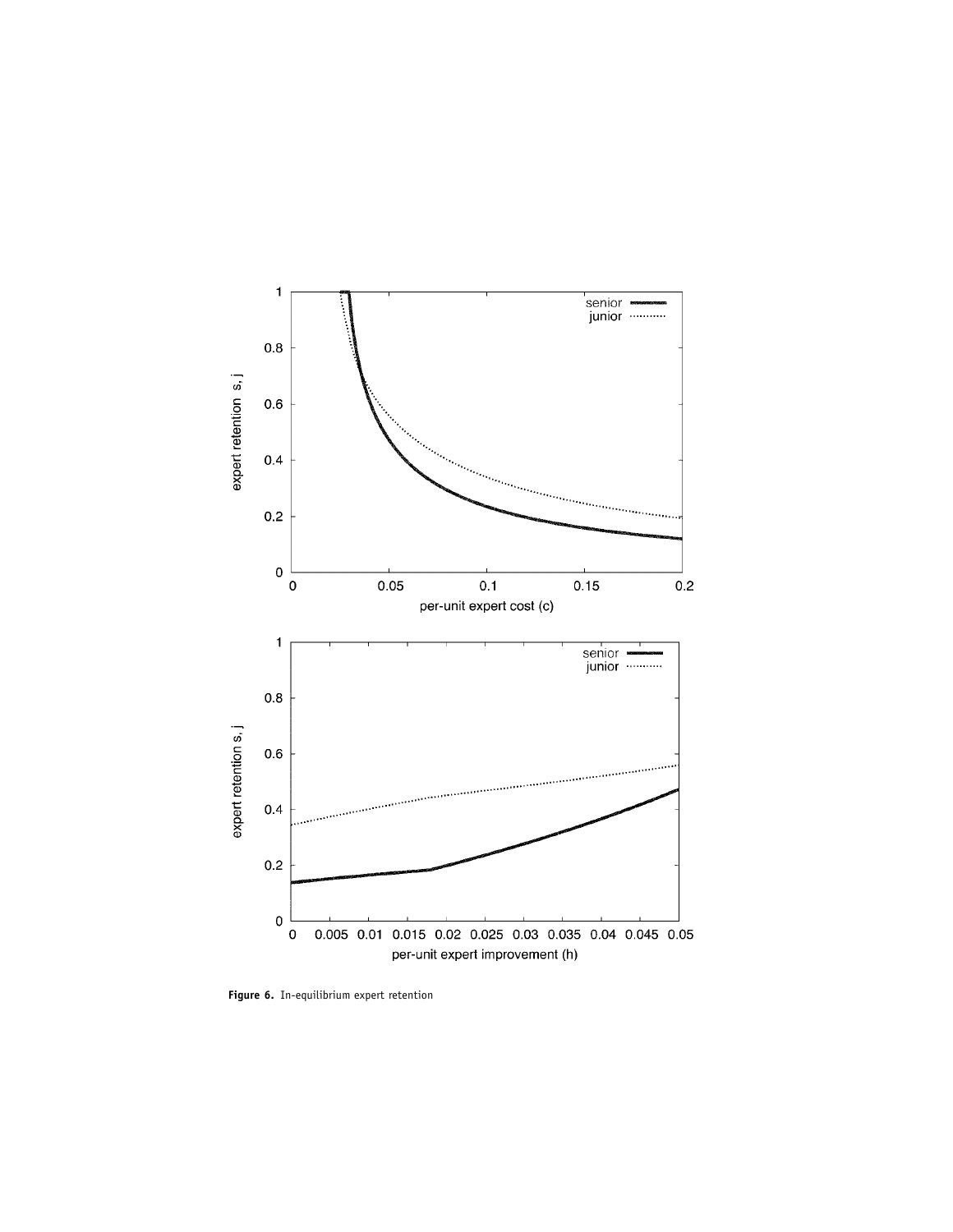

**Figure 6.** In-equilibrium expert retention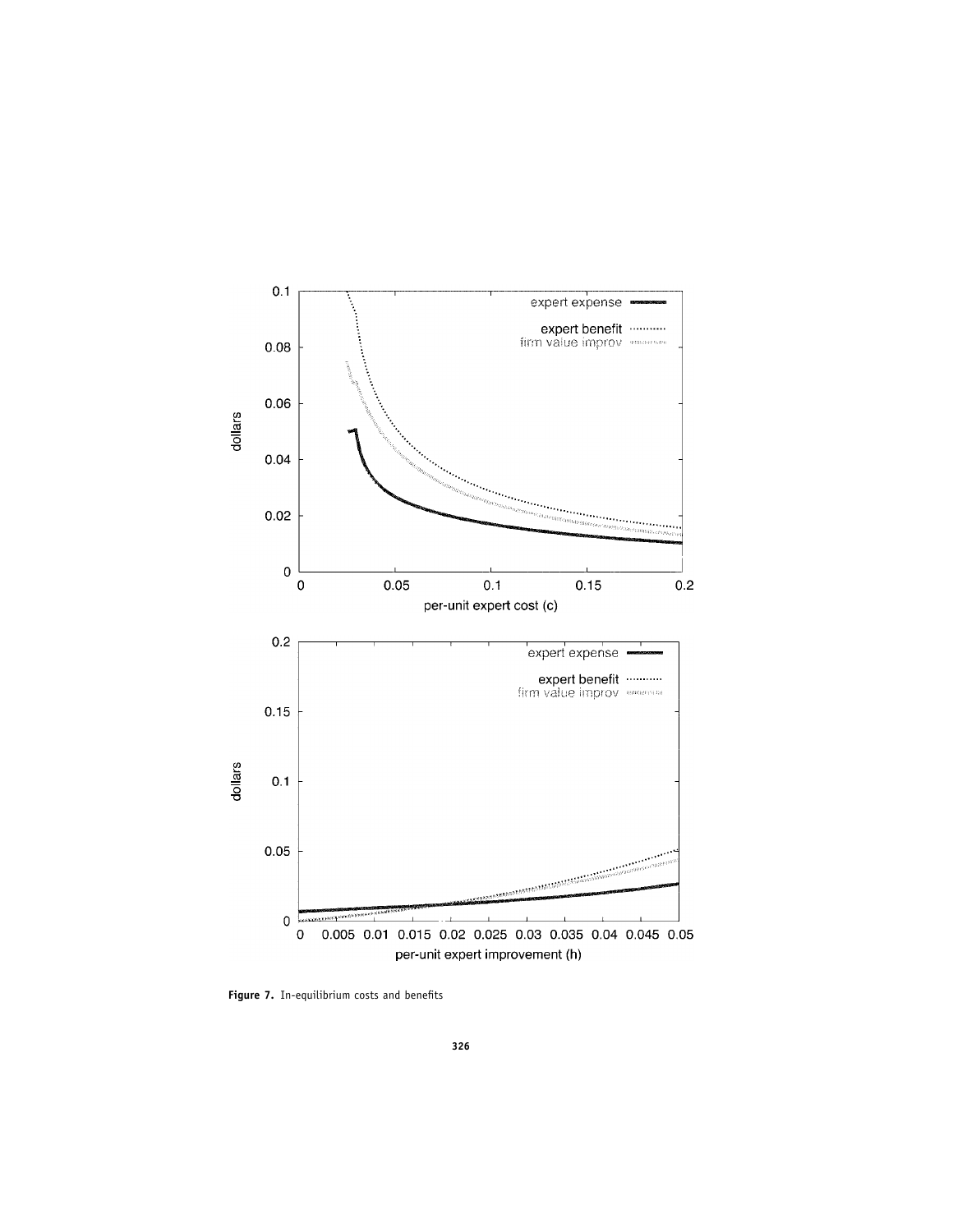

**Figure 7.** In-equilibrium costs and benefits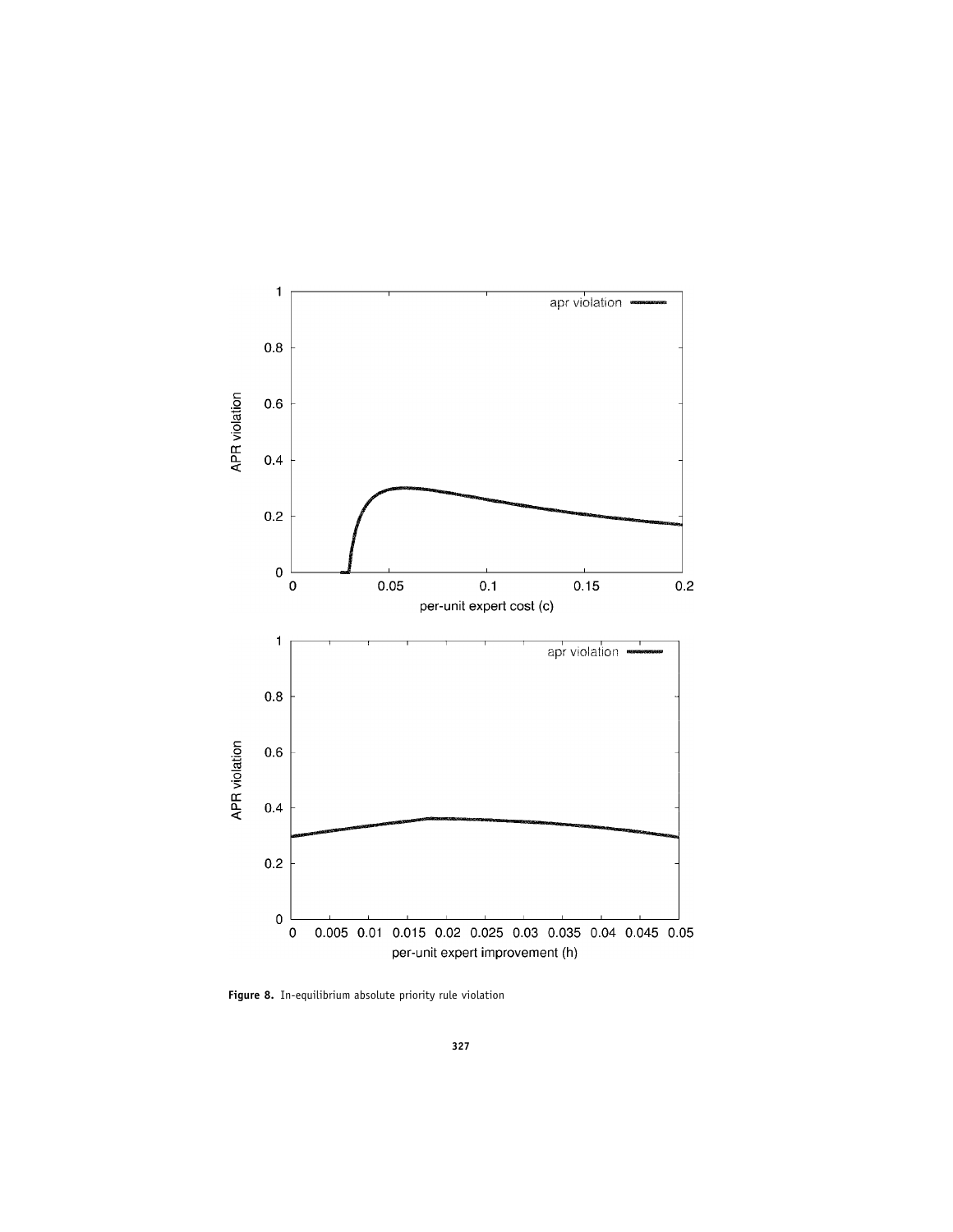

**Figure 8.** In-equilibrium absolute priority rule violation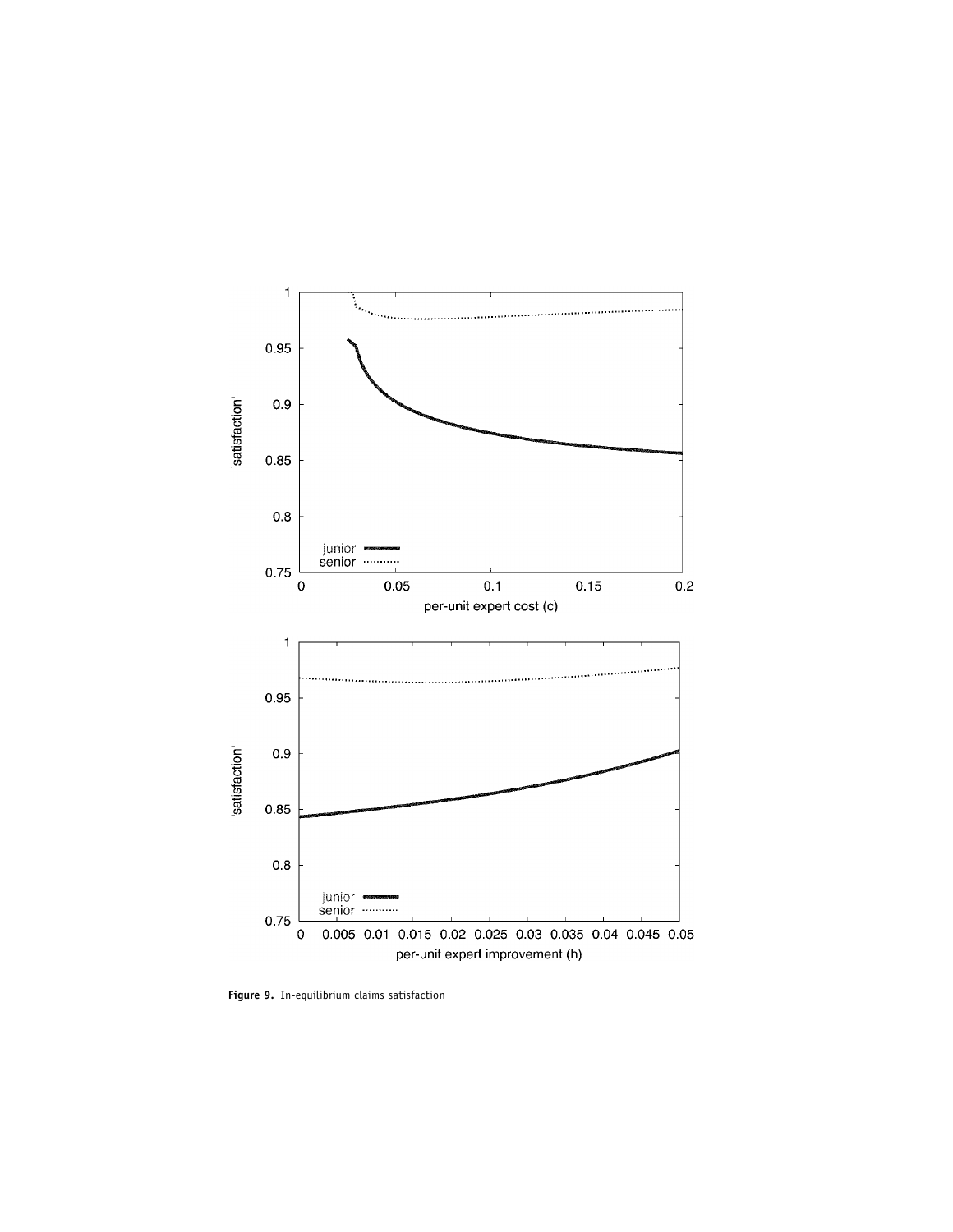

**Figure 9.** In-equilibrium claims satisfaction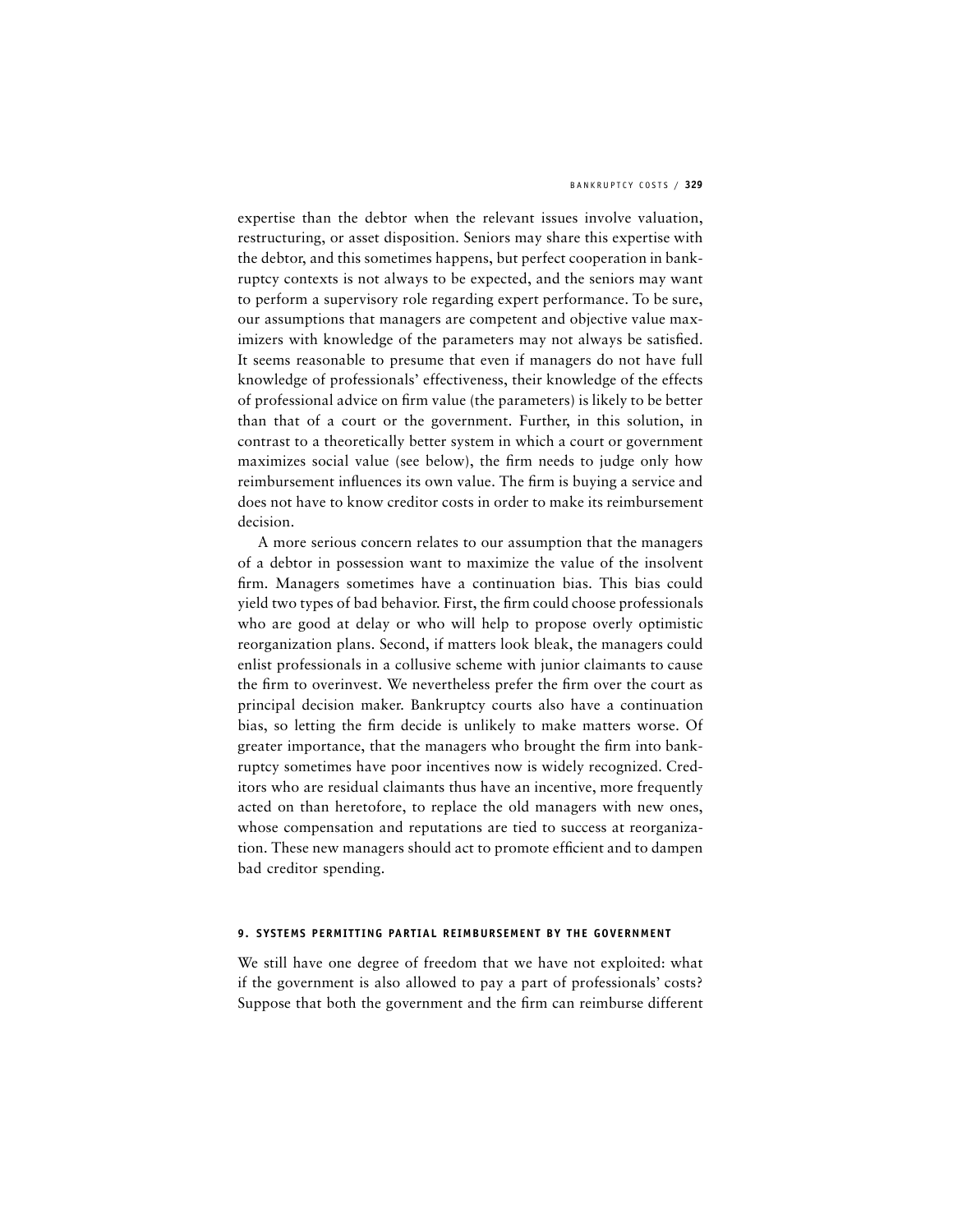expertise than the debtor when the relevant issues involve valuation, restructuring, or asset disposition. Seniors may share this expertise with the debtor, and this sometimes happens, but perfect cooperation in bankruptcy contexts is not always to be expected, and the seniors may want to perform a supervisory role regarding expert performance. To be sure, our assumptions that managers are competent and objective value maximizers with knowledge of the parameters may not always be satisfied. It seems reasonable to presume that even if managers do not have full knowledge of professionals' effectiveness, their knowledge of the effects of professional advice on firm value (the parameters) is likely to be better than that of a court or the government. Further, in this solution, in contrast to a theoretically better system in which a court or government maximizes social value (see below), the firm needs to judge only how reimbursement influences its own value. The firm is buying a service and does not have to know creditor costs in order to make its reimbursement decision.

A more serious concern relates to our assumption that the managers of a debtor in possession want to maximize the value of the insolvent firm. Managers sometimes have a continuation bias. This bias could yield two types of bad behavior. First, the firm could choose professionals who are good at delay or who will help to propose overly optimistic reorganization plans. Second, if matters look bleak, the managers could enlist professionals in a collusive scheme with junior claimants to cause the firm to overinvest. We nevertheless prefer the firm over the court as principal decision maker. Bankruptcy courts also have a continuation bias, so letting the firm decide is unlikely to make matters worse. Of greater importance, that the managers who brought the firm into bankruptcy sometimes have poor incentives now is widely recognized. Creditors who are residual claimants thus have an incentive, more frequently acted on than heretofore, to replace the old managers with new ones, whose compensation and reputations are tied to success at reorganization. These new managers should act to promote efficient and to dampen bad creditor spending.

# **9. SYSTEMS PERMITTING PARTIAL REIMBURSEMENT BY THE GOVERNMENT**

We still have one degree of freedom that we have not exploited: what if the government is also allowed to pay a part of professionals' costs? Suppose that both the government and the firm can reimburse different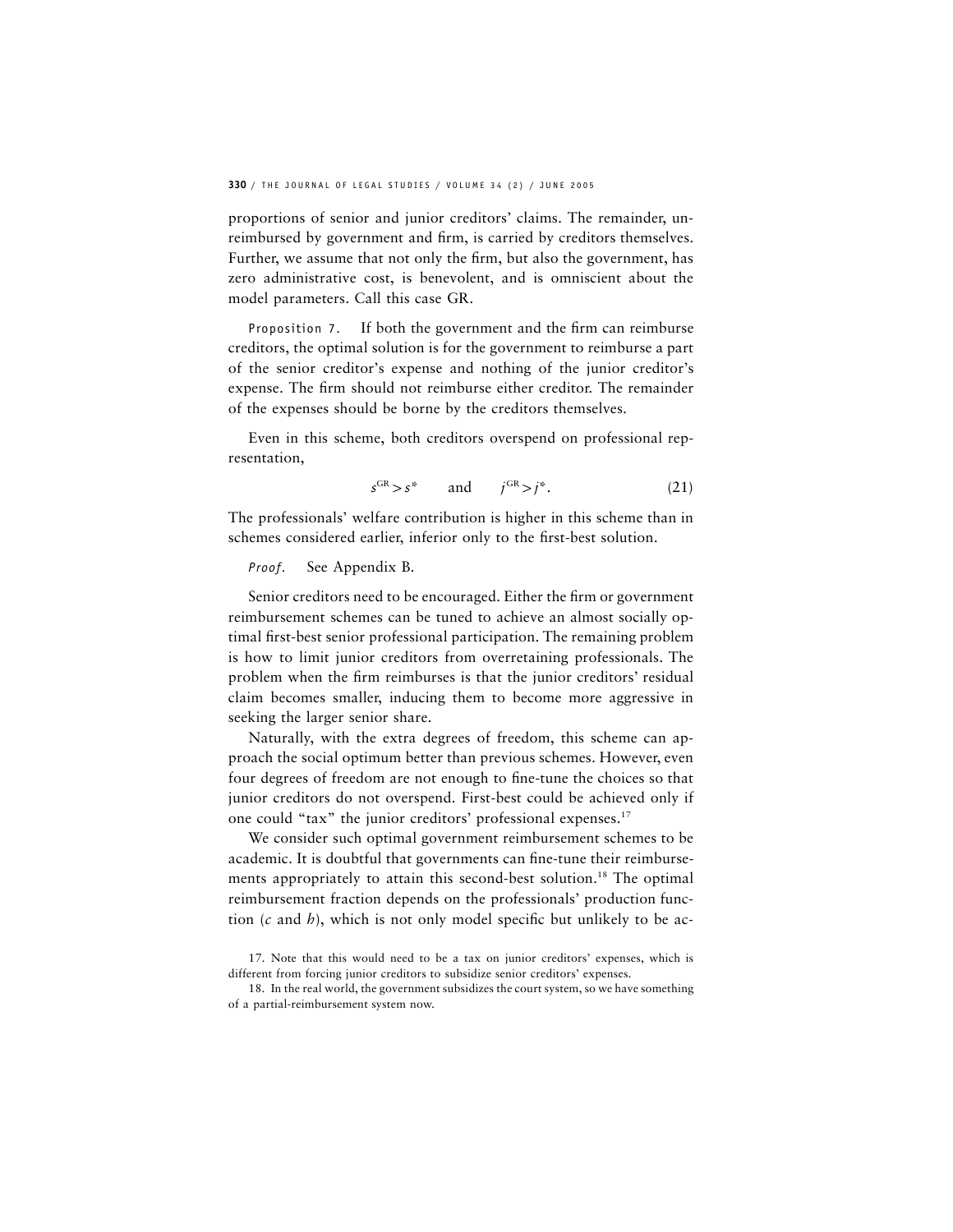proportions of senior and junior creditors' claims. The remainder, unreimbursed by government and firm, is carried by creditors themselves. Further, we assume that not only the firm, but also the government, has zero administrative cost, is benevolent, and is omniscient about the model parameters. Call this case GR.

Proposition 7. If both the government and the firm can reimburse creditors, the optimal solution is for the government to reimburse a part of the senior creditor's expense and nothing of the junior creditor's expense. The firm should not reimburse either creditor. The remainder of the expenses should be borne by the creditors themselves.

Even in this scheme, both creditors overspend on professional representation,

$$
s^{GR} > s^* \qquad \text{and} \qquad j^{GR} > j^* \tag{21}
$$

The professionals' welfare contribution is higher in this scheme than in schemes considered earlier, inferior only to the first-best solution.

# *Proof.* See Appendix B.

Senior creditors need to be encouraged. Either the firm or government reimbursement schemes can be tuned to achieve an almost socially optimal first-best senior professional participation. The remaining problem is how to limit junior creditors from overretaining professionals. The problem when the firm reimburses is that the junior creditors' residual claim becomes smaller, inducing them to become more aggressive in seeking the larger senior share.

Naturally, with the extra degrees of freedom, this scheme can approach the social optimum better than previous schemes. However, even four degrees of freedom are not enough to fine-tune the choices so that junior creditors do not overspend. First-best could be achieved only if one could "tax" the junior creditors' professional expenses.17

We consider such optimal government reimbursement schemes to be academic. It is doubtful that governments can fine-tune their reimbursements appropriately to attain this second-best solution.<sup>18</sup> The optimal reimbursement fraction depends on the professionals' production function (*c* and *h*), which is not only model specific but unlikely to be ac-

<sup>17.</sup> Note that this would need to be a tax on junior creditors' expenses, which is different from forcing junior creditors to subsidize senior creditors' expenses.

<sup>18.</sup> In the real world, the government subsidizes the court system, so we have something of a partial-reimbursement system now.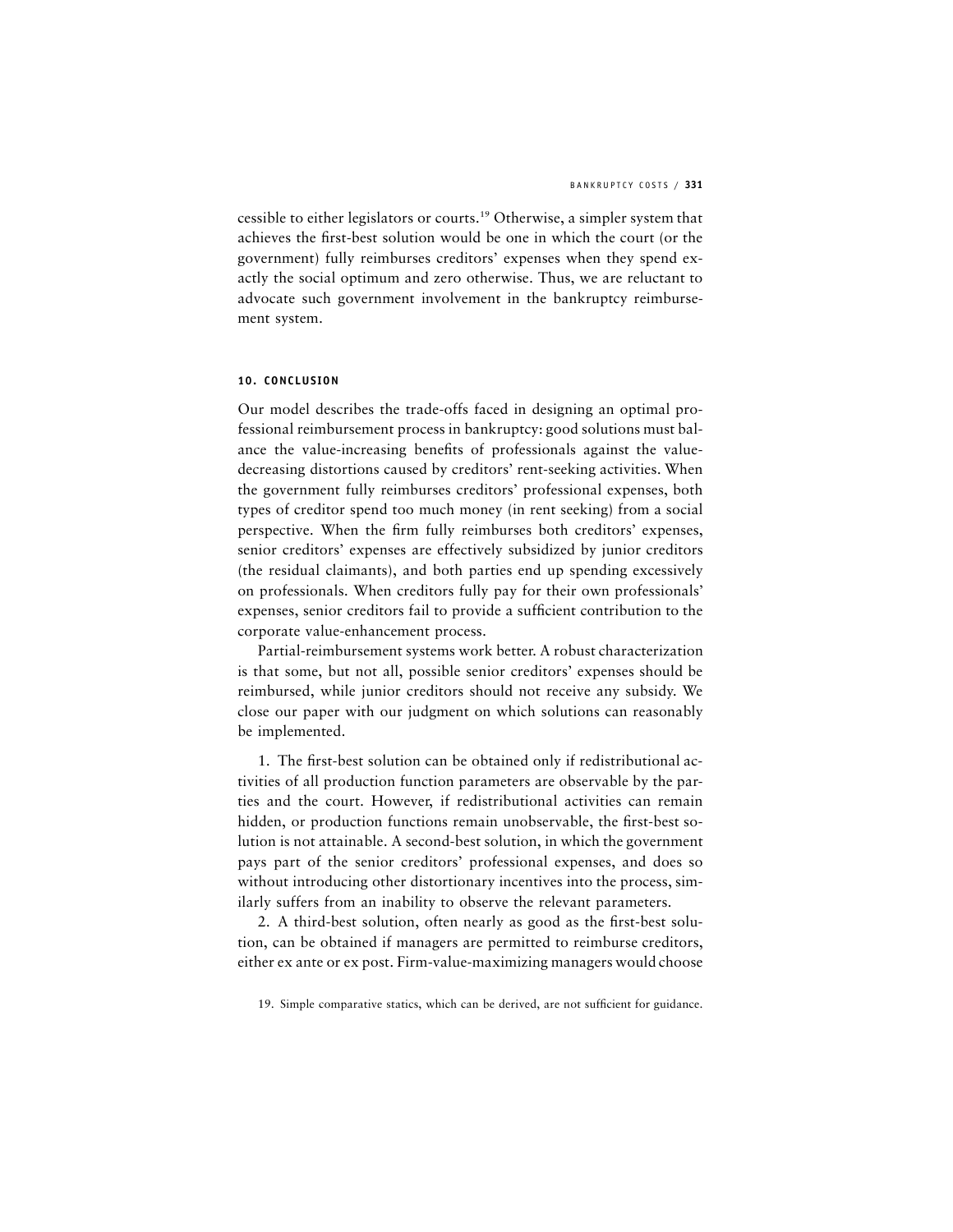cessible to either legislators or courts.19 Otherwise, a simpler system that achieves the first-best solution would be one in which the court (or the government) fully reimburses creditors' expenses when they spend exactly the social optimum and zero otherwise. Thus, we are reluctant to advocate such government involvement in the bankruptcy reimbursement system.

### **10. CONCLUSION**

Our model describes the trade-offs faced in designing an optimal professional reimbursement process in bankruptcy: good solutions must balance the value-increasing benefits of professionals against the valuedecreasing distortions caused by creditors' rent-seeking activities. When the government fully reimburses creditors' professional expenses, both types of creditor spend too much money (in rent seeking) from a social perspective. When the firm fully reimburses both creditors' expenses, senior creditors' expenses are effectively subsidized by junior creditors (the residual claimants), and both parties end up spending excessively on professionals. When creditors fully pay for their own professionals' expenses, senior creditors fail to provide a sufficient contribution to the corporate value-enhancement process.

Partial-reimbursement systems work better. A robust characterization is that some, but not all, possible senior creditors' expenses should be reimbursed, while junior creditors should not receive any subsidy. We close our paper with our judgment on which solutions can reasonably be implemented.

1. The first-best solution can be obtained only if redistributional activities of all production function parameters are observable by the parties and the court. However, if redistributional activities can remain hidden, or production functions remain unobservable, the first-best solution is not attainable. A second-best solution, in which the government pays part of the senior creditors' professional expenses, and does so without introducing other distortionary incentives into the process, similarly suffers from an inability to observe the relevant parameters.

2. A third-best solution, often nearly as good as the first-best solution, can be obtained if managers are permitted to reimburse creditors, either ex ante or ex post. Firm-value-maximizing managers would choose

<sup>19.</sup> Simple comparative statics, which can be derived, are not sufficient for guidance.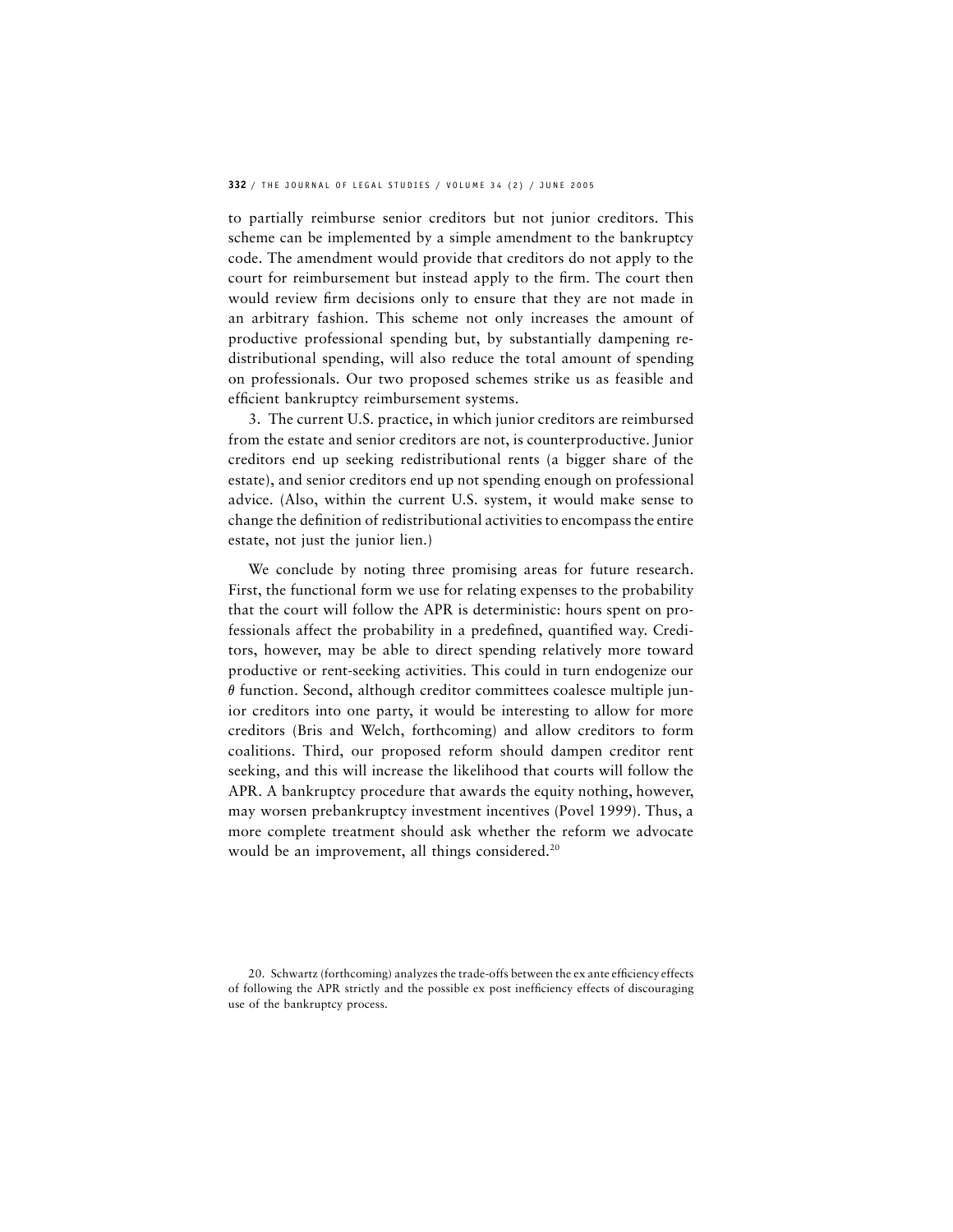to partially reimburse senior creditors but not junior creditors. This scheme can be implemented by a simple amendment to the bankruptcy code. The amendment would provide that creditors do not apply to the court for reimbursement but instead apply to the firm. The court then would review firm decisions only to ensure that they are not made in an arbitrary fashion. This scheme not only increases the amount of productive professional spending but, by substantially dampening redistributional spending, will also reduce the total amount of spending on professionals. Our two proposed schemes strike us as feasible and efficient bankruptcy reimbursement systems.

3. The current U.S. practice, in which junior creditors are reimbursed from the estate and senior creditors are not, is counterproductive. Junior creditors end up seeking redistributional rents (a bigger share of the estate), and senior creditors end up not spending enough on professional advice. (Also, within the current U.S. system, it would make sense to change the definition of redistributional activities to encompass the entire estate, not just the junior lien.)

We conclude by noting three promising areas for future research. First, the functional form we use for relating expenses to the probability that the court will follow the APR is deterministic: hours spent on professionals affect the probability in a predefined, quantified way. Creditors, however, may be able to direct spending relatively more toward productive or rent-seeking activities. This could in turn endogenize our  $\theta$  function. Second, although creditor committees coalesce multiple junior creditors into one party, it would be interesting to allow for more creditors (Bris and Welch, forthcoming) and allow creditors to form coalitions. Third, our proposed reform should dampen creditor rent seeking, and this will increase the likelihood that courts will follow the APR. A bankruptcy procedure that awards the equity nothing, however, may worsen prebankruptcy investment incentives (Povel 1999). Thus, a more complete treatment should ask whether the reform we advocate would be an improvement, all things considered.<sup>20</sup>

<sup>20.</sup> Schwartz (forthcoming) analyzes the trade-offs between the ex ante efficiency effects of following the APR strictly and the possible ex post inefficiency effects of discouraging use of the bankruptcy process.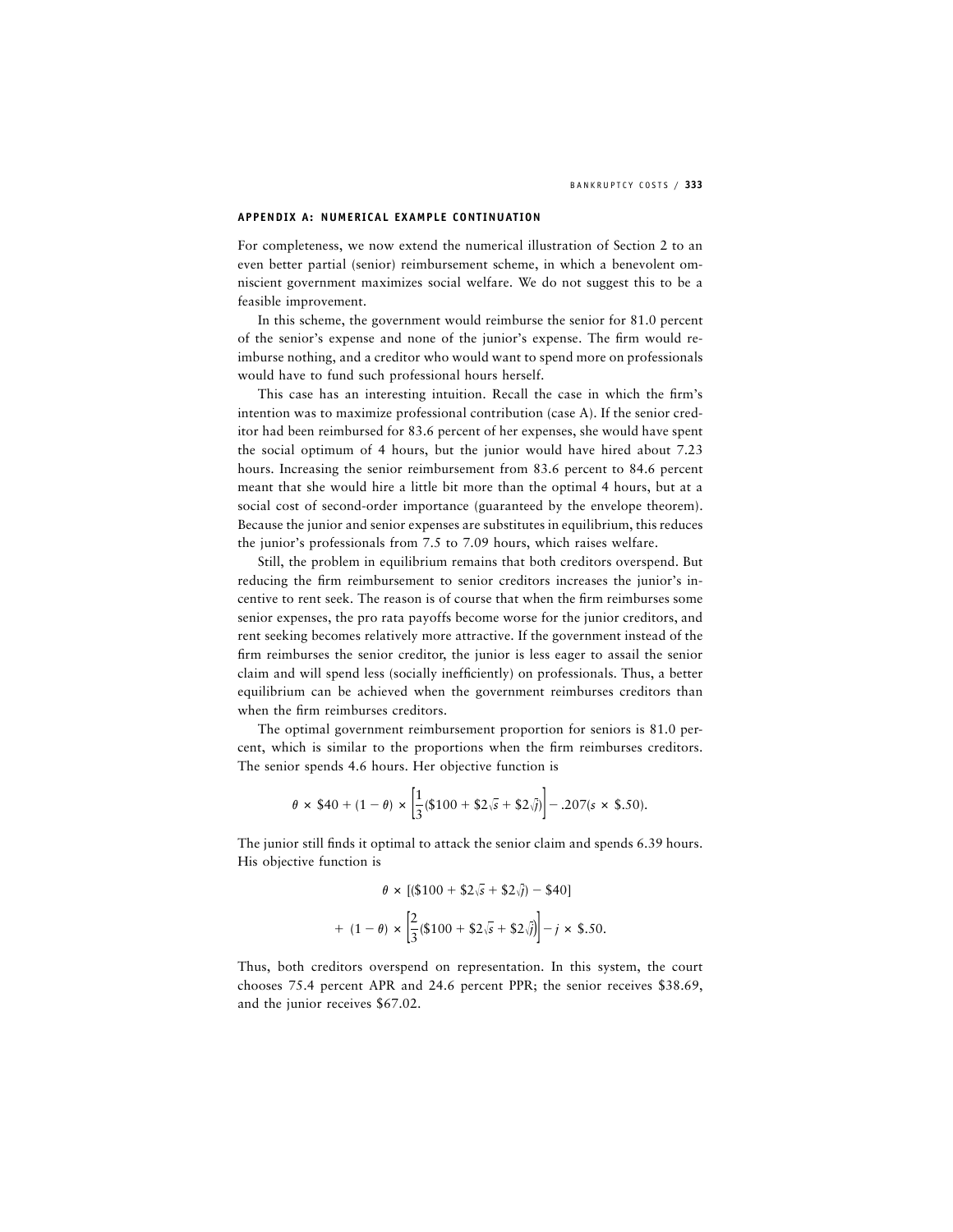### **APPENDIX A: NUMERICAL EXAMPLE CONTINUATION**

For completeness, we now extend the numerical illustration of Section 2 to an even better partial (senior) reimbursement scheme, in which a benevolent omniscient government maximizes social welfare. We do not suggest this to be a feasible improvement.

In this scheme, the government would reimburse the senior for 81.0 percent of the senior's expense and none of the junior's expense. The firm would reimburse nothing, and a creditor who would want to spend more on professionals would have to fund such professional hours herself.

This case has an interesting intuition. Recall the case in which the firm's intention was to maximize professional contribution (case A). If the senior creditor had been reimbursed for 83.6 percent of her expenses, she would have spent the social optimum of 4 hours, but the junior would have hired about 7.23 hours. Increasing the senior reimbursement from 83.6 percent to 84.6 percent meant that she would hire a little bit more than the optimal 4 hours, but at a social cost of second-order importance (guaranteed by the envelope theorem). Because the junior and senior expenses are substitutes in equilibrium, this reduces the junior's professionals from 7.5 to 7.09 hours, which raises welfare.

Still, the problem in equilibrium remains that both creditors overspend. But reducing the firm reimbursement to senior creditors increases the junior's incentive to rent seek. The reason is of course that when the firm reimburses some senior expenses, the pro rata payoffs become worse for the junior creditors, and rent seeking becomes relatively more attractive. If the government instead of the firm reimburses the senior creditor, the junior is less eager to assail the senior claim and will spend less (socially inefficiently) on professionals. Thus, a better equilibrium can be achieved when the government reimburses creditors than when the firm reimburses creditors.

The optimal government reimbursement proportion for seniors is 81.0 percent, which is similar to the proportions when the firm reimburses creditors. The senior spends 4.6 hours. Her objective function is

$$
\theta \times \$40 + (1 - \theta) \times \left[\frac{1}{3}(\$100 + \$2\sqrt{s} + \$2\sqrt{j})\right] - .207(s \times \$.50).
$$

The junior still finds it optimal to attack the senior claim and spends 6.39 hours. His objective function is

$$
\theta \times [(\$100 + \$2\sqrt{s} + \$2\sqrt{j}) - \$40]
$$
  
+  $(1 - \theta) \times \left[\frac{2}{3}(\$100 + \$2\sqrt{s} + \$2\sqrt{j})\right] - j \times \$.50.$ 

Thus, both creditors overspend on representation. In this system, the court chooses 75.4 percent APR and 24.6 percent PPR; the senior receives \$38.69, and the junior receives \$67.02.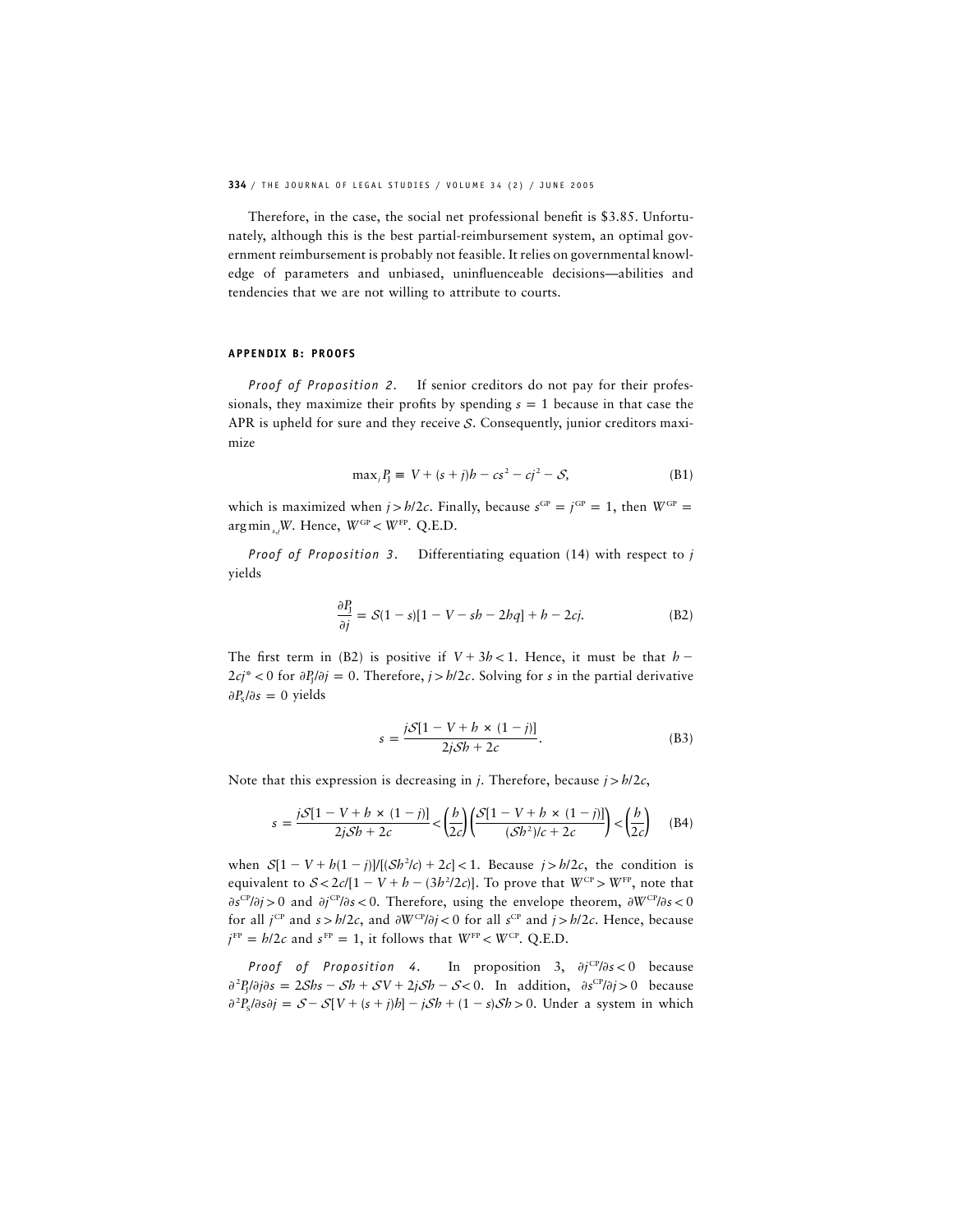Therefore, in the case, the social net professional benefit is \$3.85. Unfortunately, although this is the best partial-reimbursement system, an optimal government reimbursement is probably not feasible. It relies on governmental knowledge of parameters and unbiased, uninfluenceable decisions—abilities and tendencies that we are not willing to attribute to courts.

# **APPENDIX B: PROOFS**

*Proof of Proposition 2.* If senior creditors do not pay for their professionals, they maximize their profits by spending  $s = 1$  because in that case the APR is upheld for sure and they receive  $S$ . Consequently, junior creditors maximize

$$
\max_{j} P_{j} = V + (s + j)h - cs^{2} - cj^{2} - S,
$$
 (B1)

which is maximized when  $j > h/2c$ . Finally, because  $s^{GP} = j^{GP} = 1$ , then  $W^{GP} =$ arg min  $_{s,j}$ W. Hence,  $W^{GP}$  <  $W^{FP}$ . Q.E.D.

*Proof of Proposition 3.* Differentiating equation (14) with respect to *j* yields

$$
\frac{\partial P_j}{\partial j} = S(1-s)[1-V-sh-2hq] + h - 2cj.
$$
 (B2)

The first term in (B2) is positive if  $V + 3h < 1$ . Hence, it must be that  $h 2c j^* < 0$  for  $\partial P_i / \partial j = 0$ . Therefore,  $j > h/2c$ . Solving for *s* in the partial derivative  $\partial P_s/\partial s = 0$  yields

$$
s = \frac{j\mathcal{S}[1 - V + h \times (1 - j)]}{2j\mathcal{S}h + 2c}.
$$
 (B3)

Note that this expression is decreasing in *j*. Therefore, because  $j > h/2c$ ,

$$
s = \frac{j\mathcal{S}[1 - V + h \times (1 - j)]}{2j\mathcal{S}h + 2c} < \left(\frac{h}{2c}\right) \left(\frac{\mathcal{S}[1 - V + h \times (1 - j)]}{(\mathcal{S}h^2)/c + 2c}\right) < \left(\frac{h}{2c}\right)
$$
 (B4)

when  $S[1 - V + h(1 - j)]/[(Sh^2/c) + 2c] < 1$ . Because  $j > h/2c$ , the condition is equivalent to  $S < 2c/[1 - V + h - (3h^2/2c)]$ . To prove that  $W^{CP} > W^{FP}$ , note that  $\partial s^{CP}/\partial j > 0$  and  $\partial j^{CP}/\partial s < 0$ . Therefore, using the envelope theorem,  $\partial W^{CP}/\partial s < 0$ for all  $j^{\text{CP}}$  and  $s > h/2c$ , and  $\partial W^{\text{CP}}/\partial j < 0$  for all  $s^{\text{CP}}$  and  $j > h/2c$ . Hence, because  $j<sup>FP</sup> = h/2c$  and  $s<sup>FP</sup> = 1$ , it follows that  $W<sup>FP</sup> < W<sup>CP</sup>$ . Q.E.D.

*Proof of Proposition 4.* In proposition 3,  $\partial j^{\text{CP}}/\partial s < 0$  because  $\partial^2 P_j / \partial j \partial s = 2Sbs - Sh + SV + 2jSh - S < 0$ . In addition,  $\partial s^{CP} / \partial j > 0$  because  $\partial^2 P_s / \partial s \partial j = S - S[V + (s + j)h] - jSh + (1 - s)Sh > 0$ . Under a system in which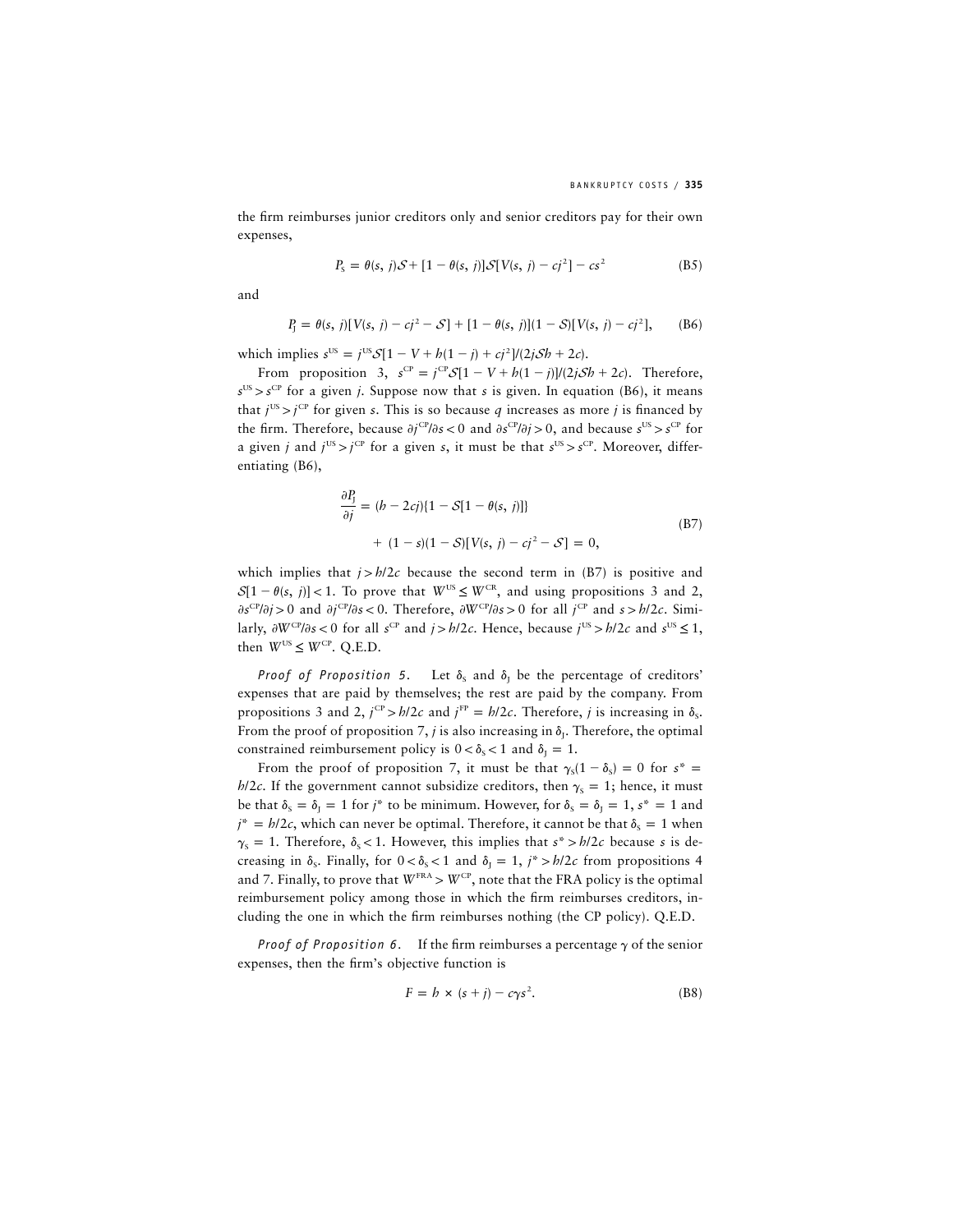the firm reimburses junior creditors only and senior creditors pay for their own expenses,

$$
P_{\rm s} = \theta(s, j)\mathcal{S} + [1 - \theta(s, j)]\mathcal{S}[V(s, j) - cj^2] - cs^2
$$
 (B5)

and

$$
P_{j} = \theta(s, j)[V(s, j) - cj^{2} - S] + [1 - \theta(s, j)](1 - S)[V(s, j) - cj^{2}], \quad (B6)
$$

which implies  $s^{US} = j^{US}S[1 - V + h(1 - j) + cj^2]/(2jSh + 2c)$ .

From proposition 3,  $s^{CP} = j^{CP} \mathcal{S} [1 - V + h(1 - j)]/(2j\mathcal{S}h + 2c)$ . Therefore,  $s^{US} > s^{CP}$  for a given *j*. Suppose now that *s* is given. In equation (B6), it means that  $j^{US} > j^{CP}$  for given *s*. This is so because *q* increases as more *j* is financed by the firm. Therefore, because  $\partial j^{CP}/\partial s < 0$  and  $\partial s^{CP}/\partial j > 0$ , and because  $s^{US} > s^{CP}$  for a given *j* and  $j^{US} > j^{CP}$  for a given *s*, it must be that  $s^{US} > s^{CP}$ . Moreover, differentiating (B6),

$$
\frac{\partial P_j}{\partial j} = (b - 2cj)\{1 - S[1 - \theta(s, j)]\}
$$
  
+  $(1 - s)(1 - S)[V(s, j) - cj^2 - S] = 0,$  (B7)

which implies that  $j > h/2c$  because the second term in (B7) is positive and  $[S[1 - \theta(s, j)] < 1$ . To prove that  $W^{US} \leq W^{CR}$ , and using propositions 3 and 2,  $\partial s^{CP}/\partial j > 0$  and  $\partial j^{CP}/\partial s < 0$ . Therefore,  $\partial W^{CP}/\partial s > 0$  for all  $j^{CP}$  and  $s > h/2c$ . Similarly,  $\partial W^{CP}/\partial s < 0$  for all  $s^{CP}$  and  $i > h/2c$ . Hence, because  $i^{US} > h/2c$  and  $s^{US} \le 1$ , then  $W^{US} \leq W^{CP}$ . Q.E.D.

*Proof of Proposition 5.* Let  $\delta_s$  and  $\delta_j$  be the percentage of creditors' expenses that are paid by themselves; the rest are paid by the company. From propositions 3 and 2,  $j^{CP} > h/2c$  and  $j^{FP} = h/2c$ . Therefore, *j* is increasing in  $\delta_s$ . From the proof of proposition 7, *j* is also increasing in  $\delta_1$ . Therefore, the optimal constrained reimbursement policy is  $0 < \delta_s < 1$  and  $\delta_l = 1$ .

From the proof of proposition 7, it must be that  $\gamma_s (1 - \delta_s) = 0$  for  $s^* =$ *h*/2*c*. If the government cannot subsidize creditors, then  $\gamma_s = 1$ ; hence, it must be that  $\delta_s = \delta_l = 1$  for  $j^*$  to be minimum. However, for  $\delta_s = \delta_l = 1$ ,  $s^* = 1$  and  $j^* = h/2c$ , which can never be optimal. Therefore, it cannot be that  $\delta_s = 1$  when  $\gamma_s = 1$ . Therefore,  $\delta_s < 1$ . However, this implies that  $s^* > h/2c$  because s is decreasing in  $\delta_s$ . Finally, for  $0 < \delta_s < 1$  and  $\delta_l = 1$ ,  $j^* > h/2c$  from propositions 4 and 7. Finally, to prove that  $W^{FRA} > W^{CP}$ , note that the FRA policy is the optimal reimbursement policy among those in which the firm reimburses creditors, including the one in which the firm reimburses nothing (the CP policy). Q.E.D.

*Proof of Proposition 6.* If the firm reimburses a percentage  $\gamma$  of the senior expenses, then the firm's objective function is

$$
F = h \times (s + j) - c\gamma s^2.
$$
 (B8)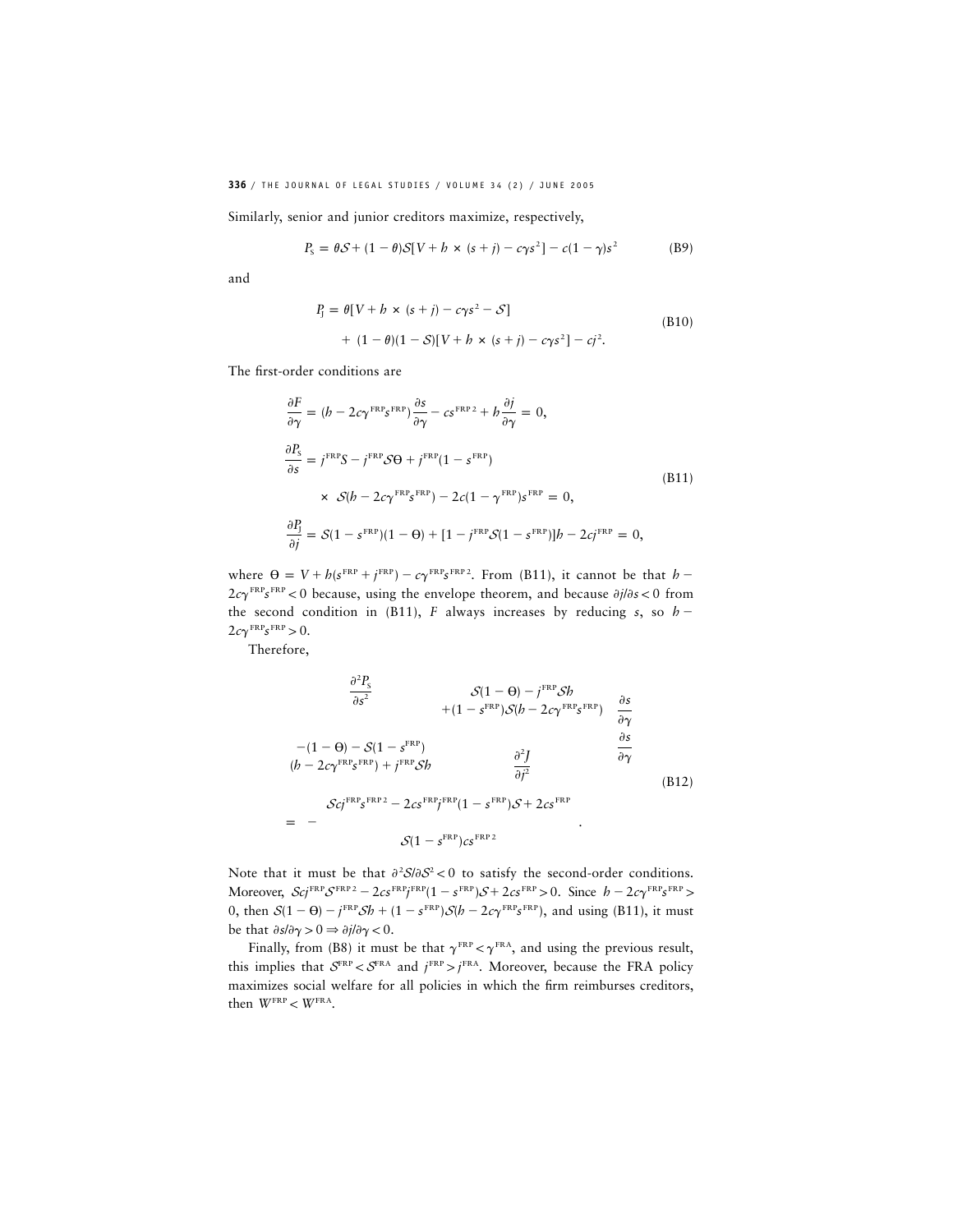Similarly, senior and junior creditors maximize, respectively,

$$
P_{\rm s} = \theta S + (1 - \theta)S[V + b \times (s + j) - c\gamma s^2] - c(1 - \gamma)s^2
$$
 (B9)

and

$$
P_j = \theta[V + b \times (s + j) - c\gamma s^2 - \mathcal{S}]
$$
  
+ 
$$
(1 - \theta)(1 - \mathcal{S})[V + b \times (s + j) - c\gamma s^2] - cj^2.
$$
 (B10)

The first-order conditions are

$$
\frac{\partial F}{\partial \gamma} = (b - 2c\gamma^{\text{FRP}} s^{\text{FRP}}) \frac{\partial s}{\partial \gamma} - c s^{\text{FRP}2} + b \frac{\partial j}{\partial \gamma} = 0,
$$
\n
$$
\frac{\partial P_s}{\partial s} = j^{\text{FRP}} S - j^{\text{FRP}} S \Theta + j^{\text{FRP}} (1 - s^{\text{FRP}})
$$
\n
$$
\times \ S(b - 2c\gamma^{\text{FRP}} s^{\text{FRP}}) - 2c(1 - \gamma^{\text{FRP}}) s^{\text{FRP}} = 0,
$$
\n
$$
\frac{\partial P_j}{\partial j} = S(1 - s^{\text{FRP}})(1 - \Theta) + [1 - j^{\text{FRP}} S(1 - s^{\text{FRP}})]b - 2c j^{\text{FRP}} = 0,
$$
\n(B11)

where  $\Theta = V + h(s^{FRP} + j^{FRP}) - c\gamma^{FRP} s^{FRP}$ . From (B11), it cannot be that  $h$  $2c\gamma$ <sup>FRP</sup>s<sup>FRP</sup> < 0 because, using the envelope theorem, and because  $\partial j/\partial s$  < 0 from the second condition in (B11),  $F$  always increases by reducing  $s$ , so  $h$  –  $2c\gamma$ <sup>FRP</sup> $s$ <sup>FRP</sup> $> 0$ .

Therefore,

$$
\begin{bmatrix}\n\frac{\partial^2 P_s}{\partial s^2} & \mathcal{S}(1-\Theta) - j^{\text{FRP}} \mathcal{S} h \\
+ (1 - s^{\text{FRP}}) \mathcal{S}(h - 2c\gamma^{\text{FRP}} s^{\text{FRP}})\n\end{bmatrix}\n\begin{bmatrix}\n\frac{\partial s}{\partial \gamma} \\
\frac{\partial s}{\partial \gamma} \\
\frac{\partial s}{\partial \gamma}\n\end{bmatrix}
$$
\n
$$
= -\begin{bmatrix}\n\mathcal{S}c j^{\text{FRP}} s^{\text{FRP}} + j^{\text{FRP}} \mathcal{S} h & \frac{\partial^2 J}{\partial j^2} \\
\mathcal{S} (1 - s^{\text{FRP}}) c s^{\text{FRP}} (1 - s^{\text{FRP}}) \mathcal{S} + 2c s^{\text{FRP}}\n\end{bmatrix}.
$$
\n(B12)

Note that it must be that  $\partial^2 S/\partial S^2 < 0$  to satisfy the second-order conditions. Moreover,  $\mathcal{S}c_j^{\text{FRP}} \mathcal{S}^{\text{FRP2}} - 2c \mathcal{S}^{\text{FRP}} j^{\text{FRP}} (1 - \mathcal{S}^{\text{FRP}}) \mathcal{S} + 2c \mathcal{S}^{\text{FRP}} > 0$ . Since  $h - 2c \gamma^{\text{FRP}} \mathcal{S}^{\text{FRP}} >$ 0, then  $S(1 - \Theta) - j^{\text{FRP}} S h + (1 - s^{\text{FRP}}) S(h - 2c \gamma^{\text{FRP}} s^{\text{FRP}})$ , and using (B11), it must be that  $\partial s/\partial \gamma > 0 \Rightarrow \partial j/\partial \gamma < 0$ .

Finally, from (B8) it must be that  $\gamma$ <sup>FRP</sup>  $<$   $\gamma$ <sup>FRA</sup>, and using the previous result, this implies that  $S^{FRP} < S^{FRA}$  and  $j^{FRP} > j^{FRA}$ . Moreover, because the FRA policy maximizes social welfare for all policies in which the firm reimburses creditors, then  $W^{FRP}$  <  $W^{FRA}$ .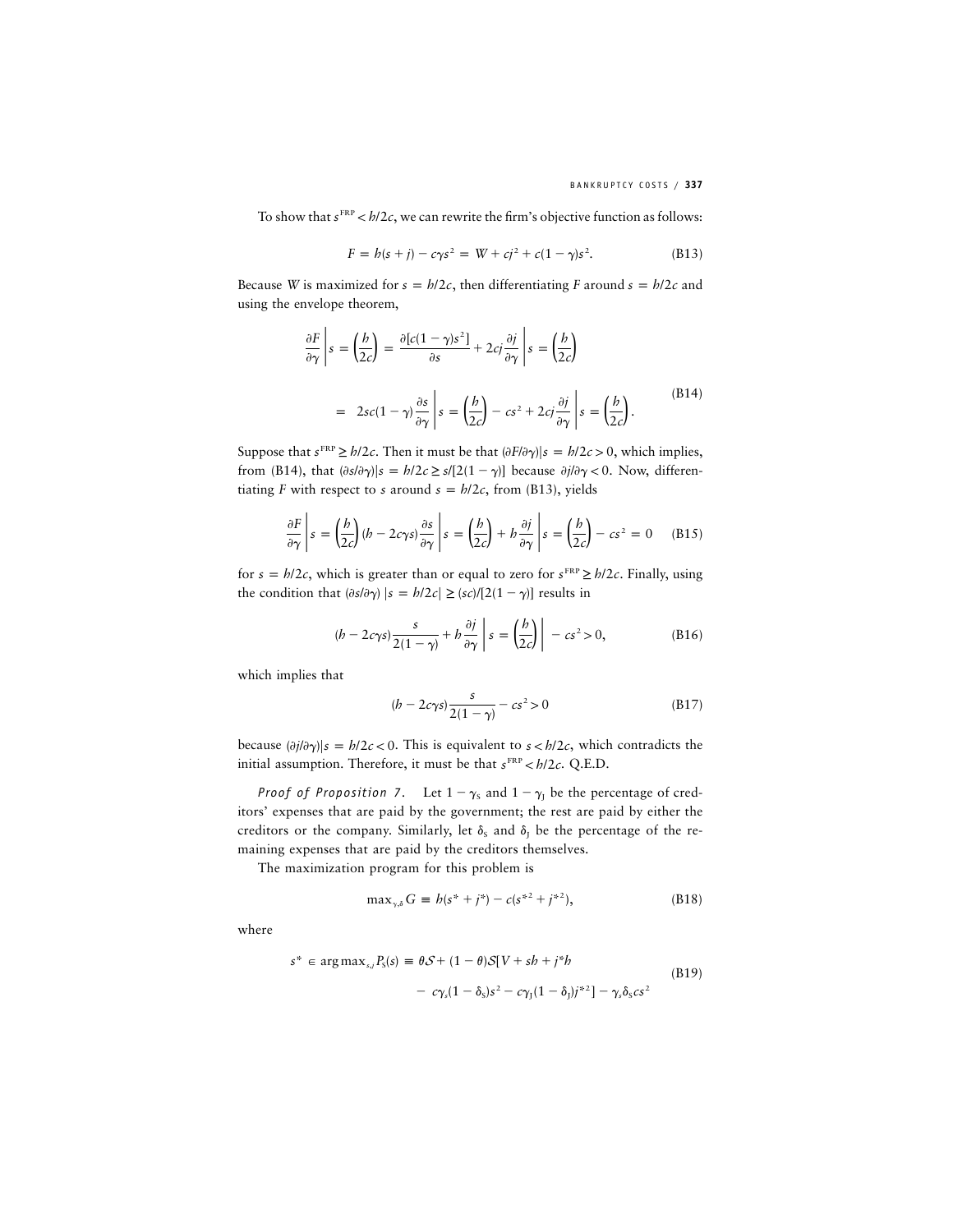To show that  $s^{\text{FRP}} < h/2c$ , we can rewrite the firm's objective function as follows:

$$
F = h(s + j) - c\gamma s^2 = W + cj^2 + c(1 - \gamma)s^2.
$$
 (B13)

Because *W* is maximized for  $s = h/2c$ , then differentiating *F* around  $s = h/2c$  and using the envelope theorem,

$$
\frac{\partial F}{\partial \gamma} \bigg| s = \left( \frac{b}{2c} \right) = \frac{\partial [c(1-\gamma)s^2]}{\partial s} + 2cj \frac{\partial j}{\partial \gamma} \bigg| s = \left( \frac{b}{2c} \right)
$$

$$
= 2sc(1-\gamma) \frac{\partial s}{\partial \gamma} \bigg| s = \left( \frac{b}{2c} \right) - cs^2 + 2cj \frac{\partial j}{\partial \gamma} \bigg| s = \left( \frac{b}{2c} \right). \tag{B14}
$$

Suppose that  $s^{FRP} \ge h/2c$ . Then it must be that  $(\partial F/\partial \gamma)|s = h/2c > 0$ , which implies, from (B14), that  $(\partial s/\partial \gamma)|s = h/2c \ge s/[2(1 - \gamma)]$  because  $\partial j/\partial \gamma < 0$ . Now, differentiating *F* with respect to *s* around  $s = h/2c$ , from (B13), yields

$$
\frac{\partial F}{\partial \gamma} \left| s = \left( \frac{b}{2c} \right) (b - 2c\gamma s) \frac{\partial s}{\partial \gamma} \right| s = \left( \frac{b}{2c} \right) + b \frac{\partial j}{\partial \gamma} \left| s = \left( \frac{b}{2c} \right) - cs^2 = 0 \quad (B15)
$$

for  $s = h/2c$ , which is greater than or equal to zero for  $s^{FRP} \ge h/2c$ . Finally, using the condition that  $(\partial s/\partial \gamma)$   $|s = h/2c| \geq (sc)/[2(1 - \gamma)]$  results in

$$
(b - 2c\gamma s) \frac{s}{2(1 - \gamma)} + b \frac{\partial j}{\partial \gamma} \left| s = \left(\frac{b}{2c}\right) \right| - cs^2 > 0,
$$
 (B16)

which implies that

 $\mathbf{r}$ 

$$
(h - 2c\gamma s)\frac{s}{2(1 - \gamma)} - cs^2 > 0
$$
\n(B17)

because  $(\partial j/\partial \gamma)|s = h/2c < 0$ . This is equivalent to  $s < h/2c$ , which contradicts the initial assumption. Therefore, it must be that  $s^{FRP}$  <  $h/2c$ . Q.E.D.

*Proof of Proposition 7*. Let  $1 - \gamma_s$  and  $1 - \gamma_j$  be the percentage of creditors' expenses that are paid by the government; the rest are paid by either the creditors or the company. Similarly, let  $\delta_s$  and  $\delta_l$  be the percentage of the remaining expenses that are paid by the creditors themselves.

The maximization program for this problem is

$$
\max_{\gamma,\delta} G \equiv h(s^* + j^*) - c(s^{*2} + j^{*2}), \tag{B18}
$$

where

$$
s^* \in \arg \max_{s,j} P_S(s) \equiv \theta S + (1 - \theta) S[V + sb + j^*b
$$
  
-  $c \gamma_s (1 - \delta_S) s^2 - c \gamma_j (1 - \delta_j) j^{*2} ] - \gamma_s \delta_S c s^2$  (B19)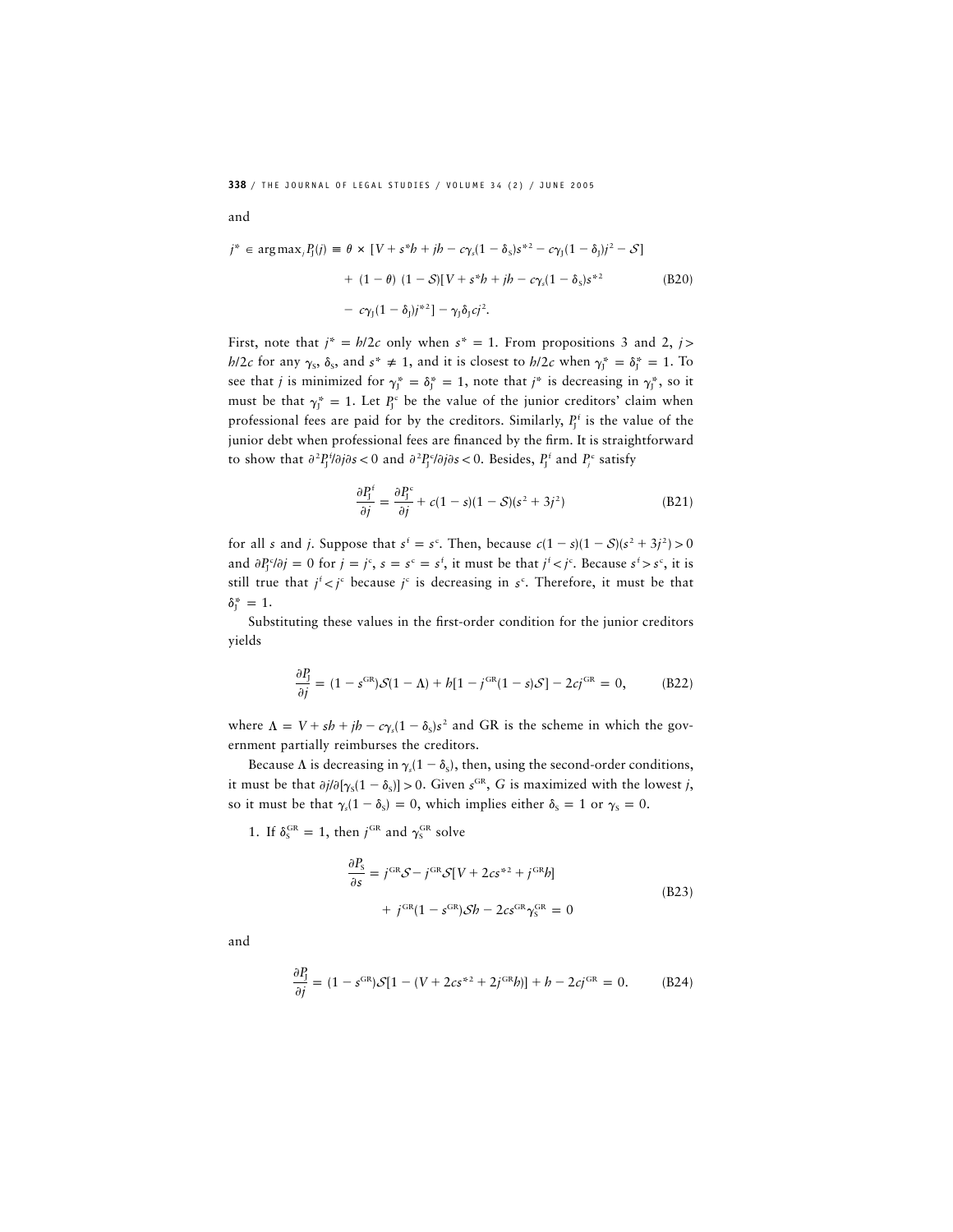and

$$
j^* \in \arg \max_j P_j(j) \equiv \theta \times [V + s^*h + jb - c\gamma_s(1 - \delta_s)s^{*2} - c\gamma_j(1 - \delta_j)j^2 - S] + (1 - \theta) (1 - S)[V + s^*h + jb - c\gamma_s(1 - \delta_s)s^{*2} - c\gamma_j(1 - \delta_j)j^{*2}] - \gamma_j\delta_j c j^2.
$$
 (B20)

First, note that  $j^* = h/2c$  only when  $s^* = 1$ . From propositions 3 and 2,  $j$ *h*/2*c* for any  $\gamma_s$ ,  $\delta_s$ , and  $s^* \neq 1$ , and it is closest to *h*/2*c* when  $\gamma_1^* = \delta_1^* = 1$ . To see that *j* is minimized for  $\gamma_j^* = \delta_j^* = 1$ , note that *j*\* is decreasing in  $\gamma_j^*$ , so it must be that  $\gamma_j^* = 1$ . Let  $P_j^c$  be the value of the junior creditors' claim when professional fees are paid for by the creditors. Similarly,  $P_i^f$  is the value of the junior debt when professional fees are financed by the firm. It is straightforward to show that  $\partial^2 P_i^f / \partial j \partial s < 0$  and  $\partial^2 P_i^c / \partial j \partial s < 0$ . Besides,  $P_i^f$  and  $P_i^c$  satisfy

$$
\frac{\partial P_j^{\epsilon}}{\partial j} = \frac{\partial P_j^{\epsilon}}{\partial j} + c(1 - s)(1 - S)(s^2 + 3j^2)
$$
 (B21)

for all *s* and *j*. Suppose that  $s^f = s^c$ . Then, because  $c(1 - s)(1 - S)(s^2 + 3j^2) > 0$ and  $\partial P_j^c / \partial j = 0$  for  $j = j^c$ ,  $s = s^c = s^f$ , it must be that  $j^f < j^c$ . Because  $s^f > s^c$ , it is still true that  $j^i < j^c$  because  $j^c$  is decreasing in  $s^c$ . Therefore, it must be that  $\delta_{I}^* = 1$ .

Substituting these values in the first-order condition for the junior creditors yields

$$
\frac{\partial P_j}{\partial j} = (1 - s^{\text{GR}}) \mathcal{S} (1 - \Lambda) + b [1 - j^{\text{GR}} (1 - s) \mathcal{S}] - 2cj^{\text{GR}} = 0,
$$
 (B22)

where  $\Lambda = V + s h + j h - c \gamma_s (1 - \delta_s) s^2$  and GR is the scheme in which the government partially reimburses the creditors.

Because  $\Lambda$  is decreasing in  $\gamma_s (1 - \delta_s)$ , then, using the second-order conditions, it must be that  $\partial j/\partial[\gamma_s(1 - \delta_s)] > 0$ . Given  $s^{\text{GR}}$ , G is maximized with the lowest *j*, so it must be that  $\gamma_s (1 - \delta_s) = 0$ , which implies either  $\delta_s = 1$  or  $\gamma_s = 0$ .

1. If  $\delta_s^{GR} = 1$ , then  $j^{GR}$  and  $\gamma_s^{GR}$  solve

$$
\frac{\partial P_{\rm S}}{\partial s} = j^{\rm GR} \mathcal{S} - j^{\rm GR} \mathcal{S} [V + 2cs^{*2} + j^{\rm GR}b]
$$
  
+  $j^{\rm GR} (1 - s^{\rm GR}) \mathcal{S}b - 2cs^{\rm GR} \gamma_{\rm S}^{\rm GR} = 0$  (B23)

and

$$
\frac{\partial P_j}{\partial j} = (1 - s^{\text{GR}}) \mathcal{S} [1 - (V + 2cs^{*2} + 2j^{\text{GR}} b)] + b - 2cj^{\text{GR}} = 0. \tag{B24}
$$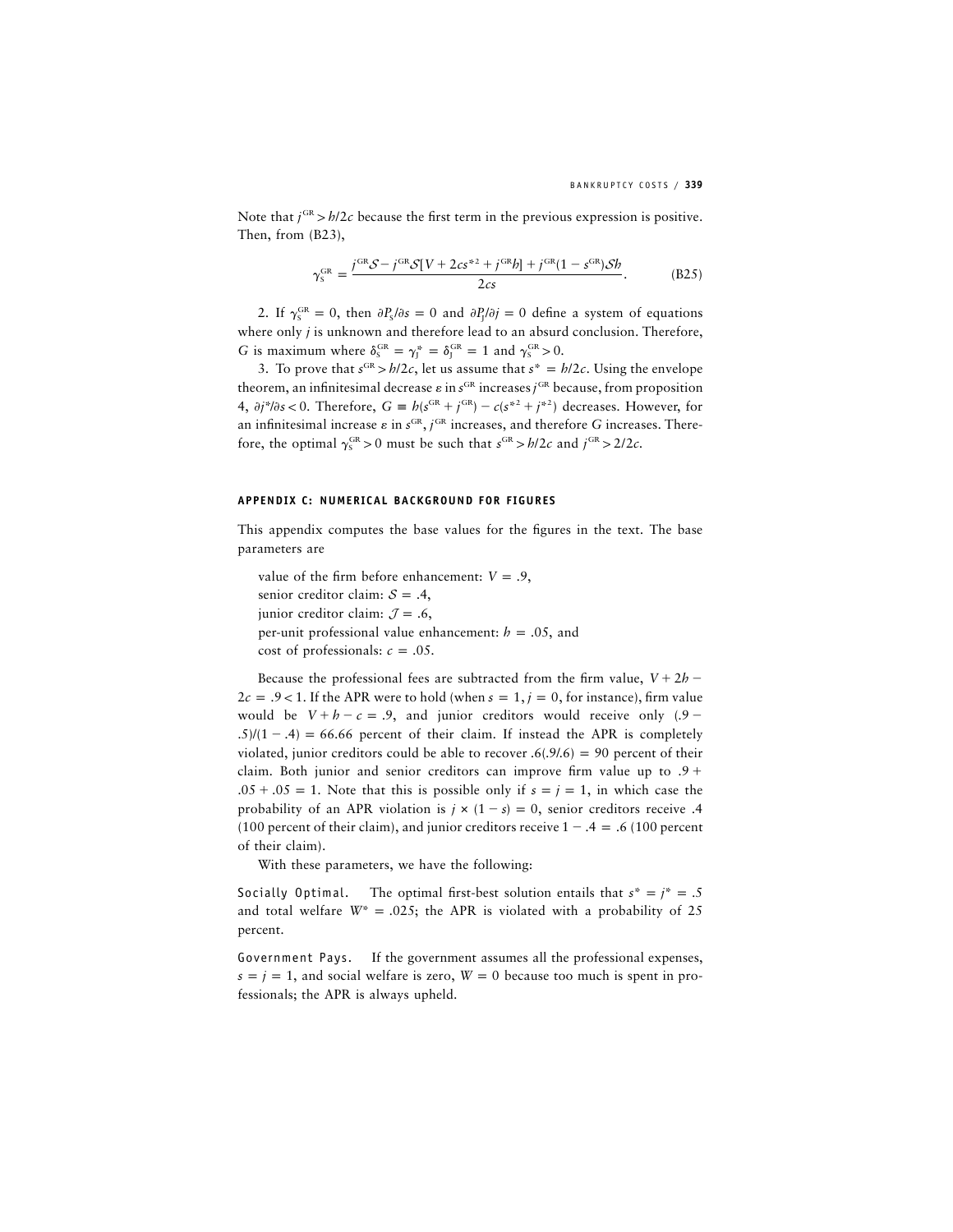Note that  $j^{GR} > h/2c$  because the first term in the previous expression is positive. Then, from (B23),

$$
\gamma_{\rm S}^{\rm GR} = \frac{j^{\rm GR} \mathcal{S} - j^{\rm GR} \mathcal{S} [V + 2cs^{*2} + j^{\rm GR}b] + j^{\rm GR} (1 - s^{\rm GR}) \mathcal{S}b}{2cs}.
$$
 (B25)

2. If  $\gamma_s^{GR} = 0$ , then  $\partial P_s / \partial s = 0$  and  $\partial P_t / \partial j = 0$  define a system of equations where only *j* is unknown and therefore lead to an absurd conclusion. Therefore, *G* is maximum where  $\delta_S^{GR} = \gamma_1^* = \delta_I^{GR} = 1$  and  $\gamma_S^{GR} > 0$ .

3. To prove that  $s^{GR} > h/2c$ , let us assume that  $s^* = h/2c$ . Using the envelope theorem, an infinitesimal decrease  $\varepsilon$  in  $s^{\text{GR}}$  increases  $j^{\text{GR}}$  because, from proposition  $4$ ,  $\partial j^* / \partial s < 0$ . Therefore,  $G \equiv h(s^{GR} + j^{GR}) - c(s^{*2} + j^{*2})$  decreases. However, for an infinitesimal increase  $\varepsilon$  in  $s^\text{GR}, j^\text{GR}$  increases, and therefore  $G$  increases. Therefore, the optimal  $\gamma_s^{GR} > 0$  must be such that  $s^{GR} > h/2c$  and  $j^{GR} > 2/2c$ .

### **APPENDIX C: NUMERICAL BACKGROUND FOR FIGURES**

This appendix computes the base values for the figures in the text. The base parameters are

value of the firm before enhancement:  $V = .9$ , senior creditor claim:  $S = .4$ , junior creditor claim:  $J = .6$ , per-unit professional value enhancement:  $h = .05$ , and cost of professionals:  $c = .05$ .

Because the professional fees are subtracted from the firm value,  $V + 2h$  $2c = .9 < 1$ . If the APR were to hold (when  $s = 1, j = 0$ , for instance), firm value would be  $V + h - c = .9$ , and junior creditors would receive only  $(0.9 - c)$  $.5/(1 - .4) = 66.66$  percent of their claim. If instead the APR is completely violated, junior creditors could be able to recover  $.6(.9/.6) = 90$  percent of their claim. Both junior and senior creditors can improve firm value up to .9 -  $.05 + .05 = 1$ . Note that this is possible only if  $s = j = 1$ , in which case the probability of an APR violation is  $j \times (1 - s) = 0$ , senior creditors receive .4 (100 percent of their claim), and junior creditors receive  $1 - .4 = .6$  (100 percent of their claim).

With these parameters, we have the following:

Socially Optimal. The optimal first-best solution entails that  $s^* = j^* = .5$ and total welfare  $W^* = .025$ ; the APR is violated with a probability of 25 percent.

Government Pays. If the government assumes all the professional expenses,  $s = j = 1$ , and social welfare is zero,  $W = 0$  because too much is spent in professionals; the APR is always upheld.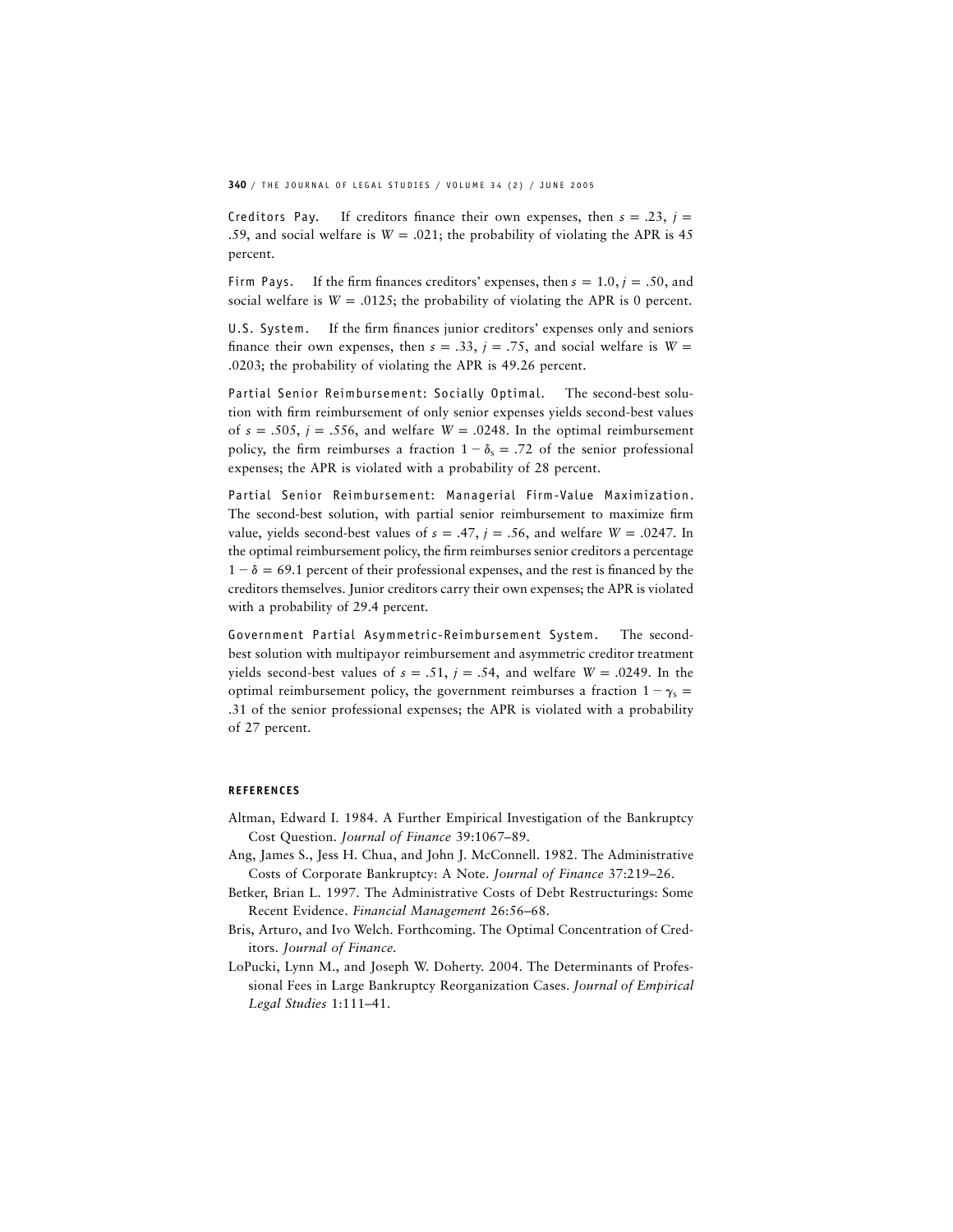Creditors Pay. If creditors finance their own expenses, then  $s = .23$ ,  $j = .25$ .59, and social welfare is  $W = .021$ ; the probability of violating the APR is 45 percent.

Firm Pays. If the firm finances creditors' expenses, then  $s = 1.0$ ,  $j = .50$ , and social welfare is  $W = 0.0125$ ; the probability of violating the APR is 0 percent.

U.S. System. If the firm finances junior creditors' expenses only and seniors finance their own expenses, then  $s = .33$ ,  $j = .75$ , and social welfare is  $W =$ .0203; the probability of violating the APR is 49.26 percent.

Partial Senior Reimbursement: Socially Optimal. The second-best solution with firm reimbursement of only senior expenses yields second-best values of  $s = .505$ ,  $j = .556$ , and welfare  $W = .0248$ . In the optimal reimbursement policy, the firm reimburses a fraction  $1 - \delta_s = .72$  of the senior professional expenses; the APR is violated with a probability of 28 percent.

Partial Senior Reimbursement: Managerial Firm-Value Maximization. The second-best solution, with partial senior reimbursement to maximize firm value, yields second-best values of  $s = .47$ ,  $j = .56$ , and welfare  $W = .0247$ . In the optimal reimbursement policy, the firm reimburses senior creditors a percentage  $1 - \delta = 69.1$  percent of their professional expenses, and the rest is financed by the creditors themselves. Junior creditors carry their own expenses; the APR is violated with a probability of 29.4 percent.

Government Partial Asymmetric-Reimbursement System. The secondbest solution with multipayor reimbursement and asymmetric creditor treatment yields second-best values of  $s = .51$ ,  $j = .54$ , and welfare  $W = .0249$ . In the optimal reimbursement policy, the government reimburses a fraction  $1 - \gamma_s =$ .31 of the senior professional expenses; the APR is violated with a probability of 27 percent.

### **REFERENCES**

- Altman, Edward I. 1984. A Further Empirical Investigation of the Bankruptcy Cost Question. *Journal of Finance* 39:1067–89.
- Ang, James S., Jess H. Chua, and John J. McConnell. 1982. The Administrative Costs of Corporate Bankruptcy: A Note. *Journal of Finance* 37:219–26.
- Betker, Brian L. 1997. The Administrative Costs of Debt Restructurings: Some Recent Evidence. *Financial Management* 26:56–68.
- Bris, Arturo, and Ivo Welch. Forthcoming. The Optimal Concentration of Creditors. *Journal of Finance.*
- LoPucki, Lynn M., and Joseph W. Doherty. 2004. The Determinants of Professional Fees in Large Bankruptcy Reorganization Cases. *Journal of Empirical Legal Studies* 1:111–41.